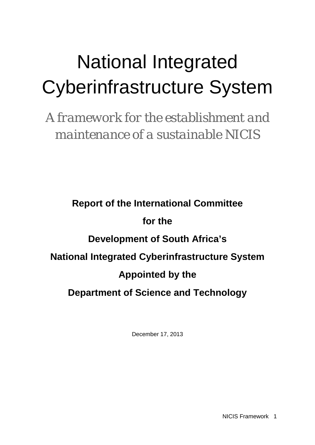# National Integrated Cyberinfrastructure System

*A framework for the establishment and maintenance of a sustainable NICIS*

**Report of the International Committee for the Development of South Africa's National Integrated Cyberinfrastructure System Appointed by the Department of Science and Technology**

<span id="page-0-0"></span>December 17, 2013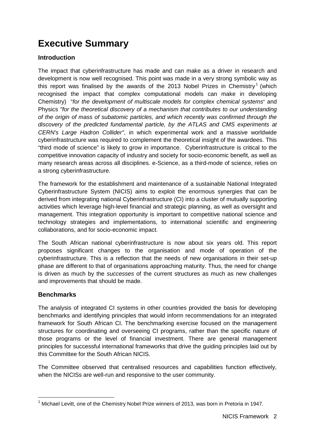# **Executive Summary**

### **Introduction**

The impact that cyberinfrastructure has made and can make as a driver in research and development is now well recognised. This point was made in a very strong symbolic way as this report was finalised by the awards of the 20[1](#page-0-0)3 Nobel Prizes in Chemistry<sup>1</sup> (which recognised the impact that complex computational models can make in developing Chemistry) "*for the development of multiscale models for complex chemical systems*" and Physics *"for the theoretical discovery of a mechanism that contributes to our understanding of the origin of mass of subatomic particles, and which recently was confirmed through the discovery of the predicted fundamental particle, by the ATLAS and CMS experiments at CERN's Large Hadron Collider"*, in which experimental work and a massive worldwide cyberinfrastructure was required to complement the theoretical insight of the awardees. This "third mode of science" is likely to grow in importance. Cyberinfrastructure is critical to the competitive innovation capacity of industry and society for socio-economic benefit, as well as many research areas across all disciplines. e-Science, as a third-mode of science, relies on a strong cyberinfrastructure.

The framework for the establishment and maintenance of a sustainable National Integrated Cyberinfrastructure System (NICIS) aims to exploit the enormous synergies that can be derived from integrating national Cyberinfrastructure (CI) into a cluster of mutually supporting activities which leverage high-level financial and strategic planning, as well as oversight and management. This integration opportunity is important to competitive national science and technology strategies and implementations, to international scientific and engineering collaborations, and for socio-economic impact.

The South African national cyberinfrastructure is now about six years old. This report proposes significant changes to the organisation and mode of operation of the cyberinfrastructure. This is a reflection that the needs of new organisations in their set-up phase are different to that of organisations approaching maturity. Thus, the need for change is driven as much by the *successes* of the current structures as much as new challenges and improvements that should be made.

### **Benchmarks**

The analysis of integrated CI systems in other countries provided the basis for developing benchmarks and identifying principles that would inform recommendations for an integrated framework for South African CI. The benchmarking exercise focused on the management structures for coordinating and overseeing CI programs, rather than the specific nature of those programs or the level of financial investment. There are general management principles for successful international frameworks that drive the guiding principles laid out by this Committee for the South African NICIS.

<span id="page-1-0"></span>The Committee observed that centralised resources and capabilities function effectively, when the NICISs are well-run and responsive to the user community.

 $<sup>1</sup>$  Michael Levitt, one of the Chemistry Nobel Prize winners of 2013, was born in Pretoria in 1947.</sup>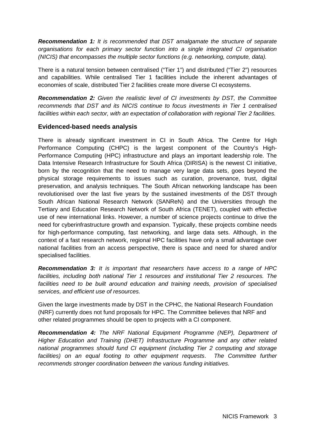*Recommendation 1: It is recommended that DST amalgamate the structure of separate organisations for each primary sector function into a single integrated CI organisation (NICIS) that encompasses the multiple sector functions (e.g. networking, compute, data).*

There is a natural tension between centralised ("Tier 1") and distributed ("Tier 2") resources and capabilities. While centralised Tier 1 facilities include the inherent advantages of economies of scale, distributed Tier 2 facilities create more diverse CI ecosystems.

*Recommendation 2: Given the realistic level of CI investments by DST, the Committee recommends that DST and its NICIS continue to focus investments in Tier 1 centralised facilities within each sector, with an expectation of collaboration with regional Tier 2 facilities.* 

### **Evidenced-based needs analysis**

There is already significant investment in CI in South Africa. The Centre for High Performance Computing (CHPC) is the largest component of the Country's High-Performance Computing (HPC) infrastructure and plays an important leadership role. The Data Intensive Research Infrastructure for South Africa (DIRISA) is the newest CI initiative, born by the recognition that the need to manage very large data sets, goes beyond the physical storage requirements to issues such as curation, provenance, trust, digital preservation, and analysis techniques. The South African networking landscape has been revolutionised over the last five years by the sustained investments of the DST through South African National Research Network (SANReN) and the Universities through the Tertiary and Education Research Network of South Africa (TENET), coupled with effective use of new international links. However, a number of science projects continue to drive the need for cyberinfrastructure growth and expansion. Typically, these projects combine needs for high-performance computing, fast networking, and large data sets. Although, in the context of a fast research network, regional HPC facilities have only a small advantage over national facilities from an access perspective, there is space and need for shared and/or specialised facilities.

*Recommendation 3: It is important that researchers have access to a range of HPC*  facilities, including both national Tier 1 resources and institutional Tier 2 resources. The *facilities need to be built around education and training needs, provision of specialised services, and efficient use of resources.*

Given the large investments made by DST in the CPHC, the National Research Foundation (NRF) currently does not fund proposals for HPC. The Committee believes that NRF and other related programmes should be open to projects with a CI component.

*Recommendation 4: The NRF National Equipment Programme (NEP), Department of Higher Education and Training (DHET) Infrastructure Programme and any other related national programmes should fund CI equipment (including Tier 2 computing and storage facilities) on an equal footing to other equipment requests*. *The Committee further recommends stronger coordination between the various funding initiatives.*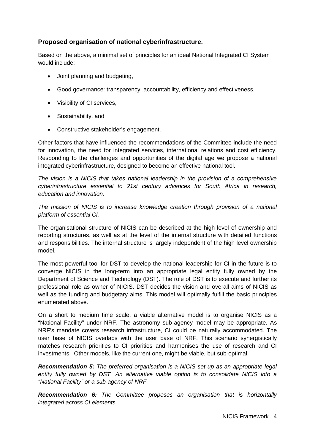### **Proposed organisation of national cyberinfrastructure.**

Based on the above, a minimal set of principles for an ideal National Integrated CI System would include:

- Joint planning and budgeting,
- Good governance: transparency, accountability, efficiency and effectiveness,
- Visibility of CI services,
- Sustainability, and
- Constructive stakeholder's engagement.

Other factors that have influenced the recommendations of the Committee include the need for innovation, the need for integrated services, international relations and cost efficiency. Responding to the challenges and opportunities of the digital age we propose a national integrated cyberinfrastructure, designed to become an effective national tool.

*The vision is a NICIS that takes national leadership in the provision of a comprehensive cyberinfrastructure essential to 21st century advances for South Africa in research, education and innovation.*

*The mission of NICIS is to increase knowledge creation through provision of a national platform of essential CI.*

The organisational structure of NICIS can be described at the high level of ownership and reporting structures, as well as at the level of the internal structure with detailed functions and responsibilities. The internal structure is largely independent of the high level ownership model.

The most powerful tool for DST to develop the national leadership for CI in the future is to converge NICIS in the long-term into an appropriate legal entity fully owned by the Department of Science and Technology (DST). The role of DST is to execute and further its professional role as owner of NICIS. DST decides the vision and overall aims of NICIS as well as the funding and budgetary aims. This model will optimally fulfill the basic principles enumerated above.

On a short to medium time scale, a viable alternative model is to organise NICIS as a "National Facility" under NRF. The astronomy sub-agency model may be appropriate. As NRF's mandate covers research infrastructure, CI could be naturally accommodated. The user base of NICIS overlaps with the user base of NRF. This scenario synergistically matches research priorities to CI priorities and harmonises the use of research and CI investments. Other models, like the current one, might be viable, but sub-optimal.

*Recommendation 5: The preferred organisation is a NICIS set up as an appropriate legal entity fully owned by DST. An alternative viable option is to consolidate NICIS into a "National Facility" or a sub-agency of NRF.*

*Recommendation 6: The Committee proposes an organisation that is horizontally integrated across CI elements.*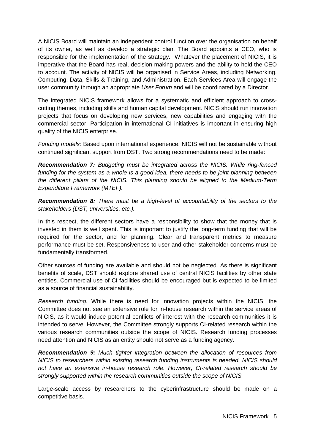A NICIS Board will maintain an independent control function over the organisation on behalf of its owner, as well as develop a strategic plan. The Board appoints a CEO, who is responsible for the implementation of the strategy. Whatever the placement of NICIS, it is imperative that the Board has real, decision-making powers and the ability to hold the CEO to account. The activity of NICIS will be organised in Service Areas, including Networking, Computing, Data, Skills & Training, and Administration. Each Services Area will engage the user community through an appropriate *User Forum* and will be coordinated by a Director.

The integrated NICIS framework allows for a systematic and efficient approach to crosscutting themes, including skills and human capital development. NICIS should run innovation projects that focus on developing new services, new capabilities and engaging with the commercial sector. Participation in international CI initiatives is important in ensuring high quality of the NICIS enterprise.

*Funding models:* Based upon international experience, NICIS will not be sustainable without continued significant support from DST. Two strong recommendations need to be made:

*Recommendation 7: Budgeting must be integrated across the NICIS. While ring-fenced funding for the system as a whole is a good idea, there needs to be joint planning between the different pillars of the NICIS. This planning should be aligned to the Medium-Term Expenditure Framework (MTEF).*

*Recommendation 8: There must be a high-level of accountability of the sectors to the stakeholders (DST, universities, etc.).* 

In this respect, the different sectors have a responsibility to show that the money that is invested in them is well spent. This is important to justify the long-term funding that will be required for the sector, and for planning. Clear and transparent metrics to measure performance must be set. Responsiveness to user and other stakeholder concerns must be fundamentally transformed.

Other sources of funding are available and should not be neglected. As there is significant benefits of scale, DST should explore shared use of central NICIS facilities by other state entities. Commercial use of CI facilities should be encouraged but is expected to be limited as a source of financial sustainability.

*Research funding*. While there is need for innovation projects within the NICIS, the Committee does not see an extensive role for in-house research within the service areas of NICIS, as it would induce potential conflicts of interest with the research communities it is intended to serve. However, the Committee strongly supports CI-related research within the various research communities outside the scope of NICIS. Research funding processes need attention and NICIS as an entity should not serve as a funding agency.

*Recommendation 9: Much tighter integration between the allocation of resources from NICIS to researchers within existing research funding instruments is needed. NICIS should not have an extensive in-house research role. However, CI-related research should be strongly supported within the research communities outside the scope of NICIS.*

Large-scale access by researchers to the cyberinfrastructure should be made on a competitive basis.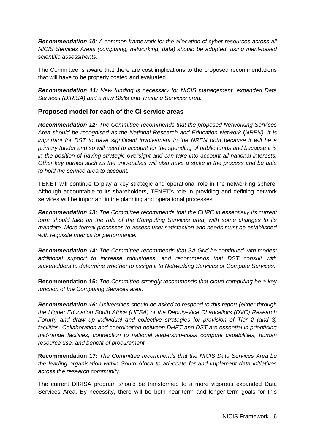*Recommendation 10: A common framework for the allocation of cyber-resources across all NICIS Services Areas (computing, networking, data) should be adopted, using merit-based scientific assessments.*

The Committee is aware that there are cost implications to the proposed recommendations that will have to be properly costed and evaluated.

*Recommendation 11: New funding is necessary for NICIS management, expanded Data Services (DIRISA) and a new Skills and Training Services area.*

### **Proposed model for each of the CI service areas**

*Recommendation 12: The Committee recommends that the proposed Networking Services Area should be recognised as the National Research and Education Network* **(***NREN). It is important for DST to have significant involvement in the NREN both because it will be a primary funder and so will need to account for the spending of public funds and because it is in the position of having strategic oversight and can take into account all national interests. Other key parties such as the universities will also have a stake in the process and be able to hold the service area to account.*

TENET will continue to play a key strategic and operational role in the networking sphere. Although accountable to its shareholders, TENET's role in providing and defining network services will be important in the planning and operational processes.

*Recommendation 13: The Committee recommends that the CHPC in essentially its current form should take on the role of the Computing Services area, with some changes to its mandate. More formal processes to assess user satisfaction and needs must be established with requisite metrics for performance.*

*Recommendation 14: The Committee recommends that SA Grid be continued with modest additional support to increase robustness, and recommends that DST consult with stakeholders to determine whether to assign it to Networking Services or Compute Services.* 

**Recommendation 15:** *The Committee strongly recommends that cloud computing be a key function of the Computing Services area.* 

*Recommendation 16: Universities should be asked to respond to this report (either through the Higher Education South Africa (HESA) or the Deputy-Vice Chancellors (DVC) Research Forum)* and draw up individual and collective strategies for provision of Tier 2 (and 3) *facilities. Collaboration and coordination between DHET and DST are essential in prioritising mid-range facilities, connection to national leadership-class compute capabilities, human resource use, and benefit of procurement.* 

**Recommendation 17:** *The Committee recommends that the NICIS Data Services Area be the leading organisation within South Africa to advocate for and implement data initiatives across the research community.*

The current DIRISA program should be transformed to a more vigorous expanded Data Services Area. By necessity, there will be both near-term and longer-term goals for this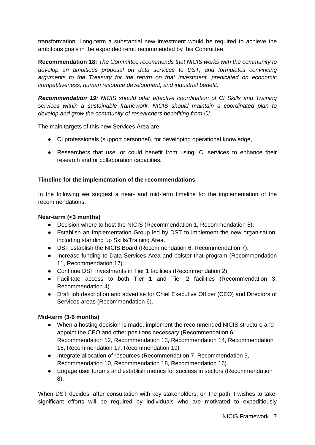transformation. Long-term a substantial new investment would be required to achieve the ambitious goals in the expanded remit recommended by this Committee.

**Recommendation 18:** *The Committee recommends that NICIS works with the community to develop an ambitious proposal on data services to DST, and formulates convincing arguments to the Treasury for the return on that investment, predicated on economic competitiveness, human resource development, and industrial benefit.* 

*Recommendation 19: NICIS should offer effective coordination of CI Skills and Training services within a sustainable framework. NICIS should maintain a coordinated plan to develop and grow the community of researchers benefiting from CI.* 

The main targets of this new Services Area are

- CI professionals (support personnel), for developing operational knowledge,
- Researchers that use, or could benefit from using, CI services to enhance their research and or collaboration capacities.

### **Timeline for the implementation of the recommendations**

In the following we suggest a near- and mid-term timeline for the implementation of the recommendations.

#### **Near-term (<3 months)**

- Decision where to host the NICIS (Recommendation 1, Recommendation 5).
- Establish an Implementation Group led by DST to implement the new organisation, including standing up Skills/Training Area.
- DST establish the NICIS Board (Recommendation 6, Recommendation 7).
- Increase funding to Data Services Area and bolster that program (Recommendation 11, Recommendation 17).
- Continue DST investments in Tier 1 facilities (Recommendation 2).
- Facilitate access to both Tier 1 and Tier 2 facilities (Recommendation 3, Recommendation 4).
- Draft job description and advertise for Chief Executive Officer (CEO) and Directors of Services areas (Recommendation 6).

### **Mid-term (3-6 months)**

- When a hosting decision is made, implement the recommended NICIS structure and appoint the CEO and other positions necessary (Recommendation 6, Recommendation 12, Recommendation 13, Recommendation 14, Recommendation 15, Recommendation 17, Recommendation 19)
- Integrate allocation of resources (Recommendation 7, Recommendation 9, Recommendation 10, Recommendation 18, Recommendation 16).
- Engage user forums and establish metrics for success in sectors (Recommendation 8).

When DST decides, after consultation with key stakeholders, on the path it wishes to take, significant efforts will be required by individuals who are motivated to expeditiously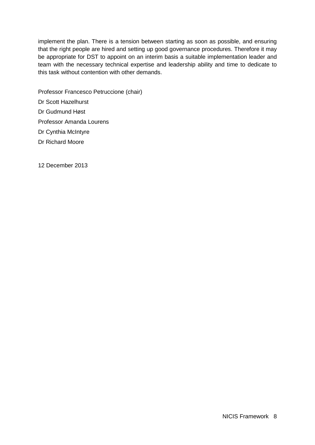implement the plan. There is a tension between starting as soon as possible, and ensuring that the right people are hired and setting up good governance procedures. Therefore it may be appropriate for DST to appoint on an interim basis a suitable implementation leader and team with the necessary technical expertise and leadership ability and time to dedicate to this task without contention with other demands.

- Professor Francesco Petruccione (chair) Dr Scott Hazelhurst Dr Gudmund Høst Professor Amanda Lourens
- Dr Cynthia McIntyre Dr Richard Moore
- 12 December 2013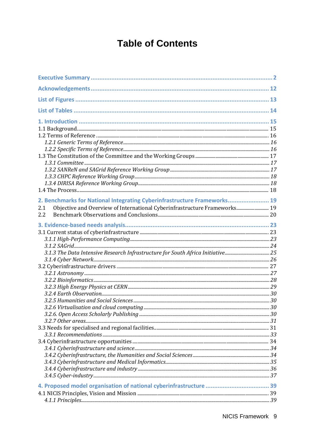# **Table of Contents**

| 2. Benchmarks for National Integrating Cyberinfrastructure Frameworks 19<br>Objective and Overview of International Cyberinfrastructure Frameworks 19<br>2.1<br>2.2 |  |
|---------------------------------------------------------------------------------------------------------------------------------------------------------------------|--|
|                                                                                                                                                                     |  |
|                                                                                                                                                                     |  |
|                                                                                                                                                                     |  |
|                                                                                                                                                                     |  |
| 3.1.3 The Data Intensive Research Infrastructure for South Africa Initiative 25                                                                                     |  |
|                                                                                                                                                                     |  |
|                                                                                                                                                                     |  |
|                                                                                                                                                                     |  |
|                                                                                                                                                                     |  |
|                                                                                                                                                                     |  |
|                                                                                                                                                                     |  |
|                                                                                                                                                                     |  |
|                                                                                                                                                                     |  |
|                                                                                                                                                                     |  |
|                                                                                                                                                                     |  |
|                                                                                                                                                                     |  |
|                                                                                                                                                                     |  |
|                                                                                                                                                                     |  |
|                                                                                                                                                                     |  |
|                                                                                                                                                                     |  |
|                                                                                                                                                                     |  |
|                                                                                                                                                                     |  |
|                                                                                                                                                                     |  |
|                                                                                                                                                                     |  |
|                                                                                                                                                                     |  |
|                                                                                                                                                                     |  |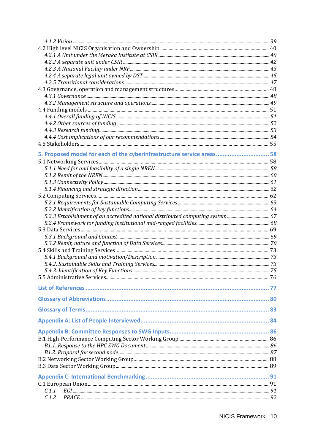| 5. Proposed model for each of the cyberinfrastructure service areas 58 |  |
|------------------------------------------------------------------------|--|
|                                                                        |  |
|                                                                        |  |
|                                                                        |  |
|                                                                        |  |
|                                                                        |  |
|                                                                        |  |
|                                                                        |  |
|                                                                        |  |
|                                                                        |  |
|                                                                        |  |
|                                                                        |  |
|                                                                        |  |
|                                                                        |  |
|                                                                        |  |
|                                                                        |  |
|                                                                        |  |
|                                                                        |  |
|                                                                        |  |
|                                                                        |  |
|                                                                        |  |
|                                                                        |  |
|                                                                        |  |
|                                                                        |  |
|                                                                        |  |
|                                                                        |  |
|                                                                        |  |
|                                                                        |  |
|                                                                        |  |
|                                                                        |  |
|                                                                        |  |
|                                                                        |  |
|                                                                        |  |
|                                                                        |  |
| C.1.1                                                                  |  |
| C.1.2                                                                  |  |
|                                                                        |  |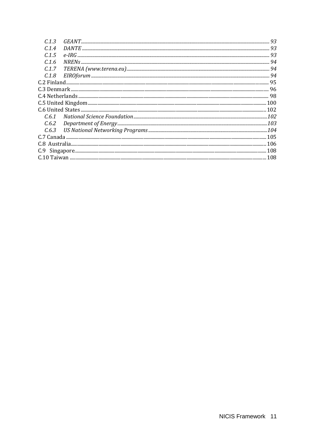| $Department of Energy 103\,$ |  |  |  |
|------------------------------|--|--|--|
|                              |  |  |  |
|                              |  |  |  |
|                              |  |  |  |
|                              |  |  |  |
|                              |  |  |  |
|                              |  |  |  |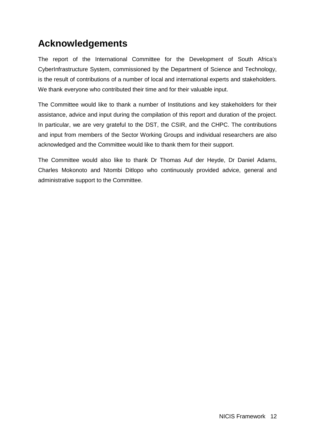# **Acknowledgements**

The report of the International Committee for the Development of South Africa's CyberInfrastructure System, commissioned by the Department of Science and Technology, is the result of contributions of a number of local and international experts and stakeholders. We thank everyone who contributed their time and for their valuable input.

The Committee would like to thank a number of Institutions and key stakeholders for their assistance, advice and input during the compilation of this report and duration of the project. In particular, we are very grateful to the DST, the CSIR, and the CHPC. The contributions and input from members of the Sector Working Groups and individual researchers are also acknowledged and the Committee would like to thank them for their support.

The Committee would also like to thank Dr Thomas Auf der Heyde, Dr Daniel Adams, Charles Mokonoto and Ntombi Ditlopo who continuously provided advice, general and administrative support to the Committee.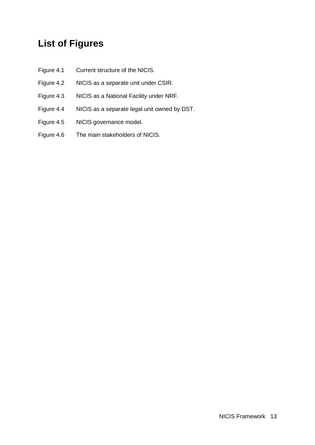# **List of Figures**

- Figure 4.1 Current structure of the NICIS.
- Figure 4.2 NICIS as a separate unit under CSIR.
- Figure 4.3 NICIS as a National Facility under NRF.
- Figure 4.4 NICIS as a separate legal unit owned by DST.
- Figure 4.5 NICIS governance model.
- Figure 4.6 The main stakeholders of NICIS.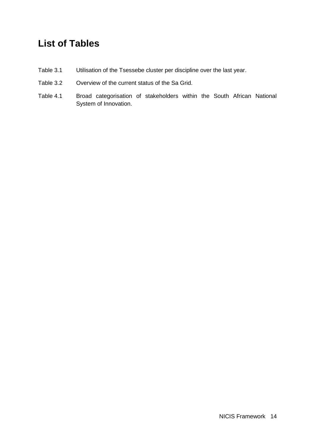# **List of Tables**

- Table 3.1 Utilisation of the Tsessebe cluster per discipline over the last year.
- Table 3.2 Overview of the current status of the Sa Grid.
- Table 4.1 Broad categorisation of stakeholders within the South African National System of Innovation.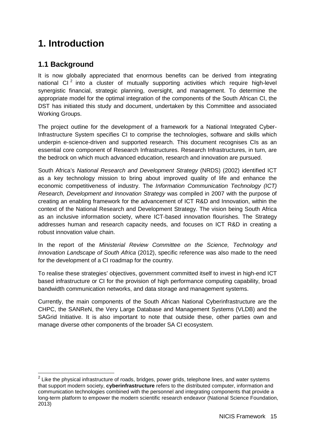# **1. Introduction**

### **1.1 Background**

It is now globally appreciated that enormous benefits can be derived from integrating national CI $<sup>2</sup>$  $<sup>2</sup>$  $<sup>2</sup>$  into a cluster of mutually supporting activities which require high-level</sup> synergistic financial, strategic planning, oversight, and management. To determine the appropriate model for the optimal integration of the components of the South African CI, the DST has initiated this study and document, undertaken by this Committee and associated Working Groups.

The project outline for the development of a framework for a National Integrated Cyber-Infrastructure System specifies CI to comprise the technologies, software and skills which underpin e-science-driven and supported research. This document recognises CIs as an essential core component of Research Infrastructures. Research Infrastructures, in turn, are the bedrock on which much advanced education, research and innovation are pursued.

South Africa's *National Research and Development Strategy* (NRDS) (2002) identified ICT as a key technology mission to bring about improved quality of life and enhance the economic competitiveness of industry. The *Information Communication Technology (ICT) Research, Development and Innovation Strategy* was compiled in 2007 with the purpose of creating an enabling framework for the advancement of ICT R&D and Innovation, within the context of the National Research and Development Strategy. The vision being South Africa as an inclusive information society, where ICT-based innovation flourishes. The Strategy addresses human and research capacity needs, and focuses on ICT R&D in creating a robust innovation value chain.

In the report of the *Ministerial Review Committee on the Science, Technology and Innovation Landscape of South Africa* (2012), specific reference was also made to the need for the development of a CI roadmap for the country.

To realise these strategies' objectives, government committed itself to invest in high-end ICT based infrastructure or CI for the provision of high performance computing capability, broad bandwidth communication networks, and data storage and management systems.

Currently, the main components of the South African National Cyberinfrastructure are the CHPC, the SANReN, the Very Large Database and Management Systems (VLDB) and the SAGrid Initiative. It is also important to note that outside these, other parties own and manage diverse other components of the broader SA CI ecosystem.

<span id="page-14-0"></span> $2$  Like the physical infrastructure of roads, bridges, power grids, telephone lines, and water systems that support modern society, **cyberinfrastructure** refers to the distributed computer, [information and](http://en.wikipedia.org/wiki/Information_technology)  [communication technologies](http://en.wikipedia.org/wiki/Information_technology) combined with the personnel and integrating components that provide a long-term platform to empower the modern scientific research endeavor (National Science Foundation, 2013)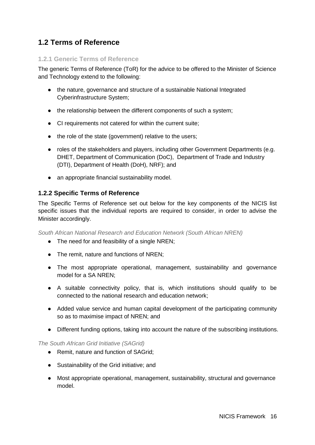## **1.2 Terms of Reference**

### **1.2.1 Generic Terms of Reference**

The generic Terms of Reference (ToR) for the advice to be offered to the Minister of Science and Technology extend to the following:

- the nature, governance and structure of a sustainable National Integrated Cyberinfrastructure System;
- the relationship between the different components of such a system;
- CI requirements not catered for within the current suite;
- the role of the state (government) relative to the users;
- roles of the stakeholders and players, including other Government Departments (e.g. DHET, Department of Communication (DoC), Department of Trade and Industry (DTI), Department of Health (DoH), NRF); and
- an appropriate financial sustainability model.

### **1.2.2 Specific Terms of Reference**

The Specific Terms of Reference set out below for the key components of the NICIS list specific issues that the individual reports are required to consider, in order to advise the Minister accordingly.

*South African National Research and Education Network (South African NREN)*

- The need for and feasibility of a single NREN:
- The remit, nature and functions of NREN;
- The most appropriate operational, management, sustainability and governance model for a SA NREN;
- A suitable connectivity policy, that is, which institutions should qualify to be connected to the national research and education network;
- Added value service and human capital development of the participating community so as to maximise impact of NREN; and
- Different funding options, taking into account the nature of the subscribing institutions.

#### *The South African Grid Initiative (SAGrid)*

- Remit, nature and function of SAGrid;
- Sustainability of the Grid initiative; and
- Most appropriate operational, management, sustainability, structural and governance model.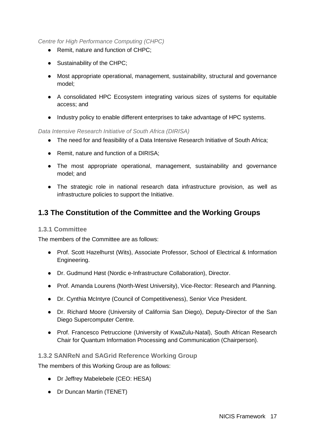### *Centre for High Performance Computing (CHPC)*

- Remit, nature and function of CHPC;
- Sustainability of the CHPC:
- Most appropriate operational, management, sustainability, structural and governance model;
- A consolidated HPC Ecosystem integrating various sizes of systems for equitable access; and
- Industry policy to enable different enterprises to take advantage of HPC systems.

### *Data Intensive Research Initiative of South Africa (DIRISA)*

- The need for and feasibility of a Data Intensive Research Initiative of South Africa;
- Remit, nature and function of a DIRISA;
- The most appropriate operational, management, sustainability and governance model; and
- The strategic role in national research data infrastructure provision, as well as infrastructure policies to support the Initiative.

### **1.3 The Constitution of the Committee and the Working Groups**

#### **1.3.1 Committee**

The members of the Committee are as follows:

- Prof. Scott Hazelhurst (Wits), Associate Professor, School of Electrical & Information Engineering.
- Dr. Gudmund Høst (Nordic e-Infrastructure Collaboration), Director.
- Prof. Amanda Lourens (North-West University), Vice-Rector: Research and Planning.
- Dr. Cynthia McIntyre (Council of Competitiveness), Senior Vice President.
- Dr. Richard Moore (University of California San Diego), Deputy-Director of the San Diego Supercomputer Centre.
- Prof. Francesco Petruccione (University of KwaZulu-Natal), South African Research Chair for Quantum Information Processing and Communication (Chairperson).

#### **1.3.2 SANReN and SAGrid Reference Working Group**

The members of this Working Group are as follows:

- Dr Jeffrey Mabelebele (CEO: HESA)
- Dr Duncan Martin (TENET)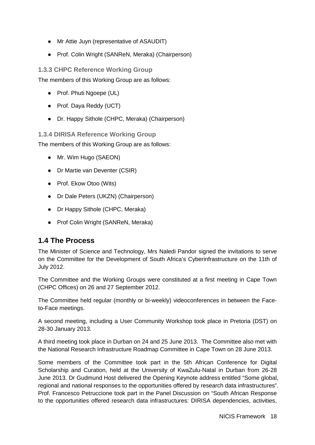- Mr Attie Juyn (representative of ASAUDIT)
- Prof. Colin Wright (SANReN, Meraka) (Chairperson)

### **1.3.3 CHPC Reference Working Group**

The members of this Working Group are as follows:

- Prof. Phuti Ngoepe (UL)
- Prof. Daya Reddy (UCT)
- Dr. Happy Sithole (CHPC, Meraka) (Chairperson)

**1.3.4 DIRISA Reference Working Group**

The members of this Working Group are as follows:

- Mr. Wim Hugo (SAEON)
- Dr Martie van Deventer (CSIR)
- Prof. Ekow Otoo (Wits)
- Dr Dale Peters (UKZN) (Chairperson)
- Dr Happy Sithole (CHPC, Meraka)
- Prof Colin Wright (SANReN, Meraka)

### **1.4 The Process**

The Minister of Science and Technology, Mrs Naledi Pandor signed the invitations to serve on the Committee for the Development of South Africa's Cyberinfrastructure on the 11th of July 2012.

The Committee and the Working Groups were constituted at a first meeting in Cape Town (CHPC Offices) on 26 and 27 September 2012.

The Committee held regular (monthly or bi-weekly) videoconferences in between the Faceto-Face meetings.

A second meeting, including a User Community Workshop took place in Pretoria (DST) on 28-30 January 2013.

A third meeting took place in Durban on 24 and 25 June 2013. The Committee also met with the National Research Infrastructure Roadmap Committee in Cape Town on 28 June 2013.

Some members of the Committee took part in the 5th African Conference for Digital Scholarship and Curation, held at the University of KwaZulu-Natal in Durban from 26-28 June 2013. Dr Gudmund Host delivered the Opening Keynote address entitled "Some global, regional and national responses to the opportunities offered by research data infrastructures". Prof. Francesco Petruccione took part in the Panel Discussion on "South African Response to the opportunities offered research data infrastructures: DIRISA dependencies, activities,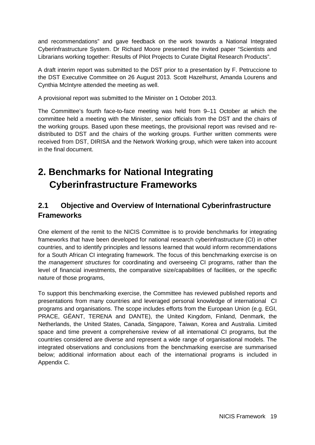and recommendations" and gave feedback on the work towards a National Integrated Cyberinfrastructure System. Dr Richard Moore presented the invited paper "Scientists and Librarians working together: Results of Pilot Projects to Curate Digital Research Products".

A draft interim report was submitted to the DST prior to a presentation by F. Petruccione to the DST Executive Committee on 26 August 2013. Scott Hazelhurst, Amanda Lourens and Cynthia McIntyre attended the meeting as well.

A provisional report was submitted to the Minister on 1 October 2013.

The Committee's fourth face-to-face meeting was held from 9–11 October at which the committee held a meeting with the Minister, senior officials from the DST and the chairs of the working groups. Based upon these meetings, the provisional report was revised and redistributed to DST and the chairs of the working groups. Further written comments were received from DST, DIRISA and the Network Working group, which were taken into account in the final document.

# **2. Benchmarks for National Integrating Cyberinfrastructure Frameworks**

# **2.1 Objective and Overview of International Cyberinfrastructure Frameworks**

One element of the remit to the NICIS Committee is to provide benchmarks for integrating frameworks that have been developed for national research cyberinfrastructure (CI) in other countries, and to identify principles and lessons learned that would inform recommendations for a South African CI integrating framework. The focus of this benchmarking exercise is on the *management structures* for coordinating and overseeing CI programs, rather than the level of financial investments, the comparative size/capabilities of facilities, or the specific nature of those programs,

To support this benchmarking exercise, the Committee has reviewed published reports and presentations from many countries and leveraged personal knowledge of international CI programs and organisations. The scope includes efforts from the European Union (e.g. EGI, PRACE, GÉANT, TERENA and DANTE), the United Kingdom, Finland, Denmark, the Netherlands, the United States, Canada, Singapore, Taiwan, Korea and Australia. Limited space and time prevent a comprehensive review of all international CI programs, but the countries considered are diverse and represent a wide range of organisational models. The integrated observations and conclusions from the benchmarking exercise are summarised below; additional information about each of the international programs is included in Appendix C.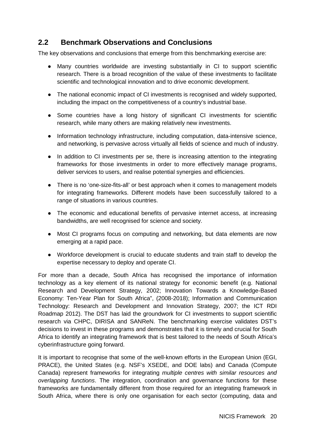### **2.2 Benchmark Observations and Conclusions**

The key observations and conclusions that emerge from this benchmarking exercise are:

- Many countries worldwide are investing substantially in CI to support scientific research. There is a broad recognition of the value of these investments to facilitate scientific and technological innovation and to drive economic development.
- The national economic impact of CI investments is recognised and widely supported, including the impact on the competitiveness of a country's industrial base.
- Some countries have a long history of significant CI investments for scientific research, while many others are making relatively new investments.
- Information technology infrastructure, including computation, data-intensive science, and networking, is pervasive across virtually all fields of science and much of industry.
- In addition to CI investments per se, there is increasing attention to the integrating frameworks for those investments in order to more effectively manage programs, deliver services to users, and realise potential synergies and efficiencies.
- There is no 'one-size-fits-all' or best approach when it comes to management models for integrating frameworks. Different models have been successfully tailored to a range of situations in various countries.
- The economic and educational benefits of pervasive internet access, at increasing bandwidths, are well recognised for science and society.
- Most CI programs focus on computing and networking, but data elements are now emerging at a rapid pace.
- Workforce development is crucial to educate students and train staff to develop the expertise necessary to deploy and operate CI.

For more than a decade, South Africa has recognised the importance of information technology as a key element of its national strategy for economic benefit (e.g. National Research and Development Strategy, 2002; Innovation Towards a Knowledge-Based Economy: Ten-Year Plan for South Africa", (2008-2018); Information and Communication Technology: Research and Development and Innovation Strategy, 2007; the ICT RDI Roadmap 2012). The DST has laid the groundwork for CI investments to support scientific research via CHPC, DIRISA and SANReN. The benchmarking exercise validates DST's decisions to invest in these programs and demonstrates that it is timely and crucial for South Africa to identify an integrating framework that is best tailored to the needs of South Africa's cyberinfrastructure going forward.

It is important to recognise that some of the well-known efforts in the European Union (EGI, PRACE), the United States (e.g. NSF's XSEDE, and DOE labs) and Canada (Compute Canada) represent frameworks for integrating *multiple centres with similar resources and overlapping functions*. The integration, coordination and governance functions for these frameworks are fundamentally different from those required for an integrating framework in South Africa, where there is only one organisation for each sector (computing, data and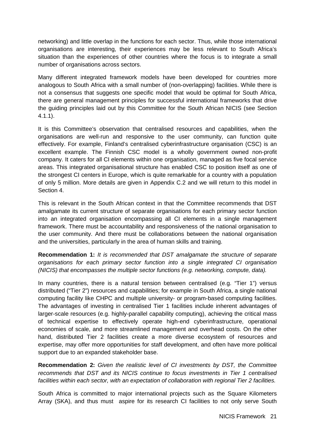networking) and little overlap in the functions for each sector. Thus, while those international organisations are interesting, their experiences may be less relevant to South Africa's situation than the experiences of other countries where the focus is to integrate a small number of organisations across sectors.

Many different integrated framework models have been developed for countries more analogous to South Africa with a small number of (non-overlapping) facilities. While there is not a consensus that suggests one specific model that would be optimal for South Africa, there are general management principles for successful international frameworks that drive the guiding principles laid out by this Committee for the South African NICIS (see Section 4.1.1).

It is this Committee's observation that centralised resources and capabilities, when the organisations are well-run and responsive to the user community, can function quite effectively. For example, Finland's centralised cyberinfrastructure organisation (CSC) is an excellent example. The Finnish CSC model is a wholly government owned non-profit company. It caters for all CI elements within one organisation, managed as five focal service areas. This integrated organisational structure has enabled CSC to position itself as one of the strongest CI centers in Europe, which is quite remarkable for a country with a population of only 5 million. More details are given in Appendix C.2 and we will return to this model in Section 4.

This is relevant in the South African context in that the Committee recommends that DST amalgamate its current structure of separate organisations for each primary sector function into an integrated organisation encompassing all CI elements in a single management framework. There must be accountability and responsiveness of the national organisation to the user community. And there must be collaborations between the national organisation and the universities, particularly in the area of human skills and training.

**Recommendation 1:** *It is recommended that DST amalgamate the structure of separate organisations for each primary sector function into a single integrated CI organisation (NICIS) that encompasses the multiple sector functions (e.g. networking, compute, data).*

In many countries, there is a natural tension between centralised (e.g. "Tier 1") versus distributed ("Tier 2") resources and capabilities; for example in South Africa, a single national computing facility like CHPC and multiple university- or program-based computing facilities. The advantages of investing in centralised Tier 1 facilities include inherent advantages of larger-scale resources (e.g. highly-parallel capability computing), achieving the critical mass of technical expertise to effectively operate high-end cyberinfrastructure, operational economies of scale, and more streamlined management and overhead costs. On the other hand, distributed Tier 2 facilities create a more diverse ecosystem of resources and expertise, may offer more opportunities for staff development, and often have more political support due to an expanded stakeholder base.

**Recommendation 2:** *Given the realistic level of CI investments by DST, the Committee recommends that DST and its NICIS continue to focus investments in Tier 1 centralised facilities within each sector, with an expectation of collaboration with regional Tier 2 facilities.* 

South Africa is committed to major international projects such as the Square Kilometers Array (SKA), and thus must aspire for its research CI facilities to not only serve South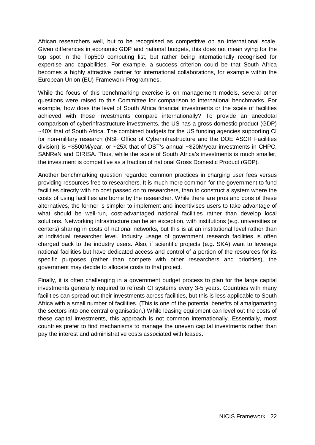African researchers well, but to be recognised as competitive on an international scale. Given differences in economic GDP and national budgets, this does not mean vying for the top spot in the Top500 computing list, but rather being internationally recognised for expertise and capabilities. For example, a success criterion could be that South Africa becomes a highly attractive partner for international collaborations, for example within the European Union (EU) Framework Programmes.

While the focus of this benchmarking exercise is on management models, several other questions were raised to this Committee for comparison to international benchmarks. For example, how does the level of South Africa financial investments or the scale of facilities achieved with those investments compare internationally? To provide an anecdotal comparison of cyberinfrastructure investments, the US has a gross domestic product (GDP) ~40X that of South Africa. The combined budgets for the US funding agencies supporting CI for non-military research (NSF Office of Cyberinfrastructure and the DOE ASCR Facilities division) is ~\$500M/year, or ~25X that of DST's annual ~\$20M/year investments in CHPC, SANReN and DIRISA. Thus, while the scale of South Africa's investments is much smaller, the investment is competitive as a fraction of national Gross Domestic Product (GDP).

Another benchmarking question regarded common practices in charging user fees versus providing resources free to researchers. It is much more common for the government to fund facilities directly with no cost passed on to researchers, than to construct a system where the costs of using facilities are borne by the researcher. While there are pros and cons of these alternatives, the former is simpler to implement and incentivises users to take advantage of what should be well-run, cost-advantaged national facilities rather than develop local solutions. Networking infrastructure can be an exception, with institutions (e.g. universities or centers) sharing in costs of national networks, but this is at an institutional level rather than at individual researcher level. Industry usage of government research facilities is often charged back to the industry users. Also, if scientific projects (e.g. SKA) want to leverage national facilities but have dedicated access and control of a portion of the resources for its specific purposes (rather than compete with other researchers and priorities), the government may decide to allocate costs to that project.

Finally, it is often challenging in a government budget process to plan for the large capital investments generally required to refresh CI systems every 3-5 years. Countries with many facilities can spread out their investments across facilities, but this is less applicable to South Africa with a small number of facilities. (This is one of the potential benefits of amalgamating the sectors into one central organisation.) While leasing equipment can level out the costs of these capital investments, this approach is not common internationally. Essentially, most countries prefer to find mechanisms to manage the uneven capital investments rather than pay the interest and administrative costs associated with leases.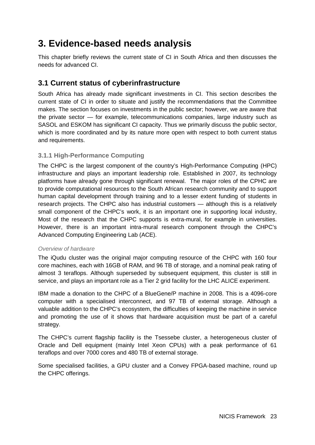# **3. Evidence-based needs analysis**

This chapter briefly reviews the current state of CI in South Africa and then discusses the needs for advanced CI.

### **3.1 Current status of cyberinfrastructure**

South Africa has already made significant investments in CI. This section describes the current state of CI in order to situate and justify the recommendations that the Committee makes. The section focuses on investments in the public sector; however, we are aware that the private sector — for example, telecommunications companies, large industry such as SASOL and ESKOM has significant CI capacity. Thus we primarily discuss the public sector, which is more coordinated and by its nature more open with respect to both current status and requirements.

### **3.1.1 High-Performance Computing**

The CHPC is the largest component of the country's High-Performance Computing (HPC) infrastructure and plays an important leadership role. Established in 2007, its technology platforms have already gone through significant renewal. The major roles of the CPHC are to provide computational resources to the South African research community and to support human capital development through training and to a lesser extent funding of students in research projects. The CHPC also has industrial customers — although this is a relatively small component of the CHPC's work, it is an important one in supporting local industry, Most of the research that the CHPC supports is extra-mural, for example in universities. However, there is an important intra-mural research component through the CHPC's Advanced Computing Engineering Lab (ACE).

### *Overview of hardware*

The iQudu cluster was the original major computing resource of the CHPC with 160 four core machines, each with 16GB of RAM, and 96 TB of storage, and a nominal peak rating of almost 3 teraflops. Although superseded by subsequent equipment, this cluster is still in service, and plays an important role as a Tier 2 grid facility for the LHC ALICE experiment.

IBM made a donation to the CHPC of a BlueGene/P machine in 2008. This is a 4096-core computer with a specialised interconnect, and 97 TB of external storage. Although a valuable addition to the CHPC's ecosystem, the difficulties of keeping the machine in service and promoting the use of it shows that hardware acquisition must be part of a careful strategy.

The CHPC's current flagship facility is the Tsessebe cluster, a heterogeneous cluster of Oracle and Dell equipment (mainly Intel Xeon CPUs) with a peak performance of 61 teraflops and over 7000 cores and 480 TB of external storage.

Some specialised facilities, a GPU cluster and a Convey FPGA-based machine, round up the CHPC offerings.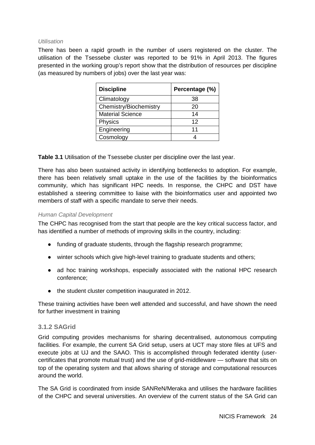#### *Utilisation*

There has been a rapid growth in the number of users registered on the cluster. The utilisation of the Tsessebe cluster was reported to be 91% in April 2013. The figures presented in the working group's report show that the distribution of resources per discipline (as measured by numbers of jobs) over the last year was:

| <b>Discipline</b>       | Percentage (%) |
|-------------------------|----------------|
| Climatology             | 38             |
| Chemistry/Biochemistry  | 20             |
| <b>Material Science</b> | 14             |
| <b>Physics</b>          | 12             |
| Engineering             | 11             |
| Cosmology               |                |

**Table 3.1** Utilisation of the Tsessebe cluster per discipline over the last year.

There has also been sustained activity in identifying bottlenecks to adoption. For example, there has been relatively small uptake in the use of the facilities by the bioinformatics community, which has significant HPC needs. In response, the CHPC and DST have established a steering committee to liaise with the bioinformatics user and appointed two members of staff with a specific mandate to serve their needs.

#### *Human Capital Development*

The CHPC has recognised from the start that people are the key critical success factor, and has identified a number of methods of improving skills in the country, including:

- funding of graduate students, through the flagship research programme;
- winter schools which give high-level training to graduate students and others;
- ad hoc training workshops, especially associated with the national HPC research conference;
- the student cluster competition inaugurated in 2012.

These training activities have been well attended and successful, and have shown the need for further investment in training

#### **3.1.2 SAGrid**

Grid computing provides mechanisms for sharing decentralised, autonomous computing facilities. For example, the current SA Grid setup, users at UCT may store files at UFS and execute jobs at UJ and the SAAO. This is accomplished through federated identity (usercertificates that promote mutual trust) and the use of grid-middleware — software that sits on top of the operating system and that allows sharing of storage and computational resources around the world.

The SA Grid is coordinated from inside SANReN/Meraka and utilises the hardware facilities of the CHPC and several universities. An overview of the current status of the SA Grid can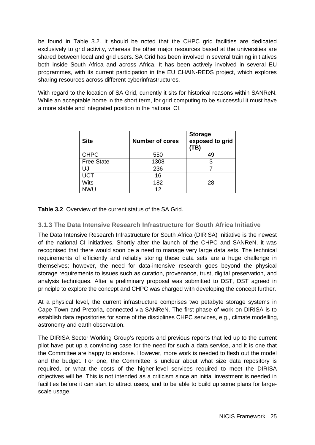be found in Table 3.2. It should be noted that the CHPC grid facilities are dedicated exclusively to grid activity, whereas the other major resources based at the universities are shared between local and grid users. SA Grid has been involved in several training initiatives both inside South Africa and across Africa. It has been actively involved in several EU programmes, with its current participation in the EU CHAIN-REDS project, which explores sharing resources across different cyberinfrastructures.

With regard to the location of SA Grid, currently it sits for historical reasons within SANReN. While an acceptable home in the short term, for grid computing to be successful it must have a more stable and integrated position in the national CI.

| <b>Site</b>       | <b>Number of cores</b> | <b>Storage</b><br>exposed to grid<br>TB) |
|-------------------|------------------------|------------------------------------------|
| <b>CHPC</b>       | 550                    | 49                                       |
| <b>Free State</b> | 1308                   | 3                                        |
| IJJ               | 236                    |                                          |
| <b>UCT</b>        | 16                     |                                          |
| <b>Wits</b>       | 182                    | 28                                       |
| NWU               | 12                     |                                          |

**Table 3.2** Overview of the current status of the SA Grid.

### **3.1.3 The Data Intensive Research Infrastructure for South Africa Initiative**

The Data Intensive Research Infrastructure for South Africa (DIRISA) Initiative is the newest of the national CI initiatives. Shortly after the launch of the CHPC and SANReN, it was recognised that there would soon be a need to manage very large data sets. The technical requirements of efficiently and reliably storing these data sets are a huge challenge in themselves; however, the need for data-intensive research goes beyond the physical storage requirements to issues such as curation, provenance, trust, digital preservation, and analysis techniques. After a preliminary proposal was submitted to DST, DST agreed in principle to explore the concept and CHPC was charged with developing the concept further.

At a physical level, the current infrastructure comprises two petabyte storage systems in Cape Town and Pretoria, connected via SANReN. The first phase of work on DIRISA is to establish data repositories for some of the disciplines CHPC services, e.g., climate modelling, astronomy and earth observation.

The DIRISA Sector Working Group's reports and previous reports that led up to the current pilot have put up a convincing case for the need for such a data service, and it is one that the Committee are happy to endorse. However, more work is needed to flesh out the model and the budget. For one, the Committee is unclear about what size data repository is required, or what the costs of the higher-level services required to meet the DIRISA objectives will be. This is not intended as a criticism since an initial investment is needed in facilities before it can start to attract users, and to be able to build up some plans for largescale usage.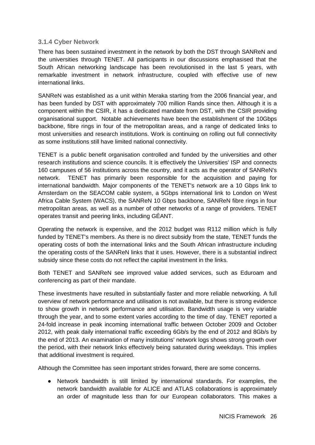### **3.1.4 Cyber Network**

There has been sustained investment in the network by both the DST through SANReN and the universities through TENET. All participants in our discussions emphasised that the South African networking landscape has been revolutionised in the last 5 years, with remarkable investment in network infrastructure, coupled with effective use of new international links.

SANReN was established as a unit within Meraka starting from the 2006 financial year, and has been funded by DST with approximately 700 million Rands since then. Although it is a component within the CSIR, it has a dedicated mandate from DST, with the CSIR providing organisational support. Notable achievements have been the establishment of the 10Gbps backbone, fibre rings in four of the metropolitan areas, and a range of dedicated links to most universities and research institutions. Work is continuing on rolling out full connectivity as some institutions still have limited national connectivity.

TENET is a public benefit organisation controlled and funded by the universities and other research institutions and science councils. It is effectively the Universities' ISP and connects 160 campuses of 56 institutions across the country, and it acts as the operator of SANReN's network. TENET has primarily been responsible for the acquisition and paying for international bandwidth. Major components of the TENET's network are a 10 Gbps link to Amsterdam on the SEACOM cable system, a 5Gbps international link to London on West Africa Cable System (WACS), the SANReN 10 Gbps backbone, SANReN fibre rings in four metropolitan areas, as well as a number of other networks of a range of providers. TENET operates transit and peering links, including GÉANT.

Operating the network is expensive, and the 2012 budget was R112 million which is fully funded by TENET's members. As there is no direct subsidy from the state, TENET funds the operating costs of both the international links and the South African infrastructure including the operating costs of the SANReN links that it uses. However, there is a substantial indirect subsidy since these costs do not reflect the capital investment in the links.

Both TENET and SANReN see improved value added services, such as Eduroam and conferencing as part of their mandate.

These investments have resulted in substantially faster and more reliable networking. A full overview of network performance and utilisation is not available, but there is strong evidence to show growth in network performance and utilisation. Bandwidth usage is very variable through the year, and to some extent varies according to the time of day. TENET reported a 24-fold increase in peak incoming international traffic between October 2009 and October 2012, with peak daily international traffic exceeding 6Gb/s by the end of 2012 and 8Gb/s by the end of 2013. An examination of many institutions' network logs shows strong growth over the period, with their network links effectively being saturated during weekdays. This implies that additional investment is required.

Although the Committee has seen important strides forward, there are some concerns.

● Network bandwidth is still limited by international standards. For examples, the network bandwidth available for ALICE and ATLAS collaborations is approximately an order of magnitude less than for our European collaborators. This makes a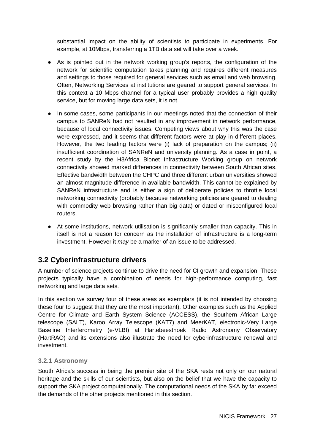substantial impact on the ability of scientists to participate in experiments. For example, at 10Mbps, transferring a 1TB data set will take over a week.

- As is pointed out in the network working group's reports, the configuration of the network for scientific computation takes planning and requires different measures and settings to those required for general services such as email and web browsing. Often, Networking Services at institutions are geared to support general services. In this context a 10 Mbps channel for a typical user probably provides a high quality service, but for moving large data sets, it is not.
- In some cases, some participants in our meetings noted that the connection of their campus to SANReN had not resulted in any improvement in network performance, because of local connectivity issues. Competing views about why this was the case were expressed, and it seems that different factors were at play in different places. However, the two leading factors were (i) lack of preparation on the campus; (ii) insufficient coordination of SANReN and university planning. As a case in point, a recent study by the H3Africa Bionet Infrastructure Working group on network connectivity showed marked differences in connectivity between South African sites. Effective bandwidth between the CHPC and three different urban universities showed an almost magnitude difference in available bandwidth. This cannot be explained by SANReN infrastructure and is either a sign of deliberate policies to throttle local networking connectivity (probably because networking policies are geared to dealing with commodity web browsing rather than big data) or dated or misconfigured local routers.
- At some institutions, network utilisation is significantly smaller than capacity. This in itself is not a reason for concern as the installation of infrastructure is a long-term investment. However it *may* be a marker of an issue to be addressed.

### **3.2 Cyberinfrastructure drivers**

A number of science projects continue to drive the need for CI growth and expansion. These projects typically have a combination of needs for high-performance computing, fast networking and large data sets.

In this section we survey four of these areas as exemplars (it is not intended by choosing these four to suggest that they are the most important). Other examples such as the Applied Centre for Climate and Earth System Science (ACCESS), the Southern African Large telescope (SALT), Karoo Array Telescope (KAT7) and MeerKAT, electronic-Very Large Baseline Interferometry (e-VLBI) at Hartebeesthoek Radio Astronomy Observatory (HartRAO) and its extensions also illustrate the need for cyberinfrastructure renewal and investment.

### **3.2.1 Astronomy**

South Africa's success in being the premier site of the SKA rests not only on our natural heritage and the skills of our scientists, but also on the belief that we have the capacity to support the SKA project computationally. The computational needs of the SKA by far exceed the demands of the other projects mentioned in this section.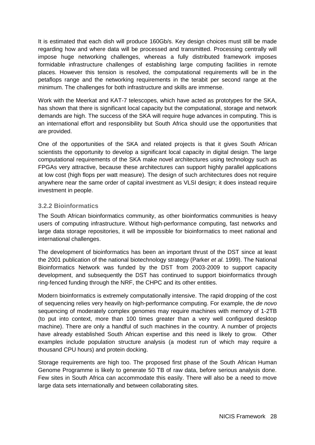It is estimated that each dish will produce 160Gb/s. Key design choices must still be made regarding how and where data will be processed and transmitted. Processing centrally will impose huge networking challenges, whereas a fully distributed framework imposes formidable infrastructure challenges of establishing large computing facilities in remote places. However this tension is resolved, the computational requirements will be in the petaflops range and the networking requirements in the terabit per second range at the minimum. The challenges for both infrastructure and skills are immense.

Work with the Meerkat and KAT-7 telescopes, which have acted as prototypes for the SKA, has shown that there is significant local capacity but the computational, storage and network demands are high. The success of the SKA will require huge advances in computing. This is an international effort and responsibility but South Africa should use the opportunities that are provided.

One of the opportunities of the SKA and related projects is that it gives South African scientists the opportunity to develop a significant local capacity in digital design. The large computational requirements of the SKA make novel architectures using technology such as FPGAs very attractive, because these architectures can support highly parallel applications at low cost (high flops per watt measure). The design of such architectures does not require anywhere near the same order of capital investment as VLSI design; it does instead require investment in people.

### **3.2.2 Bioinformatics**

The South African bioinformatics community, as other bioinformatics communities is heavy users of computing infrastructure. Without high-performance computing, fast networks and large data storage repositories, it will be impossible for bioinformatics to meet national and international challenges.

The development of bioinformatics has been an important thrust of the DST since at least the 2001 publication of the national biotechnology strategy (Parker *et al*. 1999). The National Bioinformatics Network was funded by the DST from 2003-2009 to support capacity development, and subsequently the DST has continued to support bioinformatics through ring-fenced funding through the NRF, the CHPC and its other entities.

Modern bioinformatics is extremely computationally intensive. The rapid dropping of the cost of sequencing relies very heavily on high-performance computing. For example, the *de novo* sequencing of moderately complex genomes may require machines with memory of 1-2TB (to put into context, more than 100 times greater than a very well configured desktop machine). There are only a handful of such machines in the country. A number of projects have already established South African expertise and this need is likely to grow. Other examples include population structure analysis (a modest run of which may require a thousand CPU hours) and protein docking.

Storage requirements are high too. The proposed first phase of the South African Human Genome Programme is likely to generate 50 TB of raw data, before serious analysis done. Few sites in South Africa can accommodate this easily. There will also be a need to move large data sets internationally and between collaborating sites.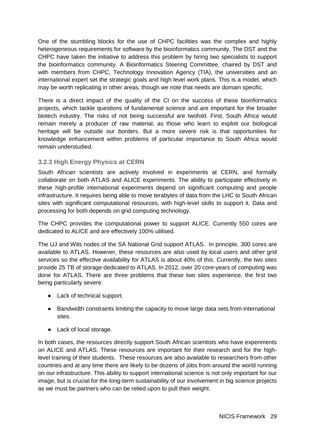One of the stumbling blocks for the use of CHPC facilities was the complex and highly heterogeneous requirements for software by the bioinformatics community. The DST and the CHPC have taken the initiative to address this problem by hiring two specialists to support the bioinformatics community. A Bioinformatics Steering Committee, chaired by DST and with members from CHPC, Technology Innovation Agency (TIA), the universities and an international expert set the strategic goals and high level work plans. This is a model, which may be worth replicating in other areas, though we note that needs are domain specific.

There is a direct impact of the quality of the CI on the success of these bioinformatics projects, which tackle questions of fundamental science and are important for the broader biotech industry. The risks of not being successful are twofold. First, South Africa would remain merely a producer of raw material, as those who learn to exploit our biological heritage will be outside our borders. But a more severe risk is that opportunities for knowledge enhancement within problems of particular importance to South Africa would remain understudied.

### **3.2.3 High Energy Physics at CERN**

South African scientists are actively involved in experiments at CERN, and formally collaborate on both ATLAS and ALICE experiments. The ability to participate effectively in these high-profile international experiments depend on significant computing and people infrastructure. It requires being able to move terabytes of data from the LHC to South African sites with significant computational resources, with high-level skills to support it. Data and processing for both depends on grid computing technology.

The CHPC provides the computational power to support ALICE. Currently 550 cores are dedicated to ALICE and are effectively 100% utilised.

The UJ and Wits nodes of the SA National Grid support ATLAS. In principle, 300 cores are available to ATLAS. However, these resources are also used by local users and other grid services so the effective availability for ATLAS is about 40% of this. Currently, the two sites provide 25 TB of storage dedicated to ATLAS. In 2012, over 20 core-years of computing was done for ATLAS. There are three problems that these two sites experience, the first two being particularly severe:

- Lack of technical support.
- Bandwidth constraints limiting the capacity to move large data sets from international sites.
- Lack of local storage.

In both cases, the resources directly support South African scientists who have experiments on ALICE and ATLAS. These resources are important for their research and for the highlevel training of their students. These resources are also available to researchers from other countries and at any time there are likely to be dozens of jobs from around the world running on our infrastructure. This ability to support international science is not only important for our image, but is crucial for the long-term sustainability of our involvement in big science projects as we must be partners who can be relied upon to pull their weight.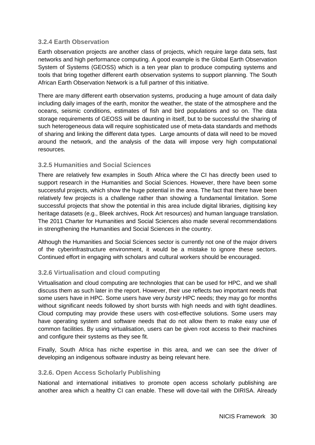### **3.2.4 Earth Observation**

Earth observation projects are another class of projects, which require large data sets, fast networks and high performance computing. A good example is the Global Earth Observation System of Systems (GEOSS) which is a ten year plan to produce computing systems and tools that bring together different earth observation systems to support planning. The South African Earth Observation Network is a full partner of this initiative.

There are many different earth observation systems, producing a huge amount of data daily including daily images of the earth, monitor the weather, the state of the atmosphere and the oceans, seismic conditions, estimates of fish and bird populations and so on. The data storage requirements of GEOSS will be daunting in itself, but to be successful the sharing of such heterogeneous data will require sophisticated use of meta-data standards and methods of sharing and linking the different data types. Large amounts of data will need to be moved around the network, and the analysis of the data will impose very high computational resources.

### **3.2.5 Humanities and Social Sciences**

There are relatively few examples in South Africa where the CI has directly been used to support research in the Humanities and Social Sciences. However, there have been some successful projects, which show the huge potential in the area. The fact that there have been relatively few projects is a challenge rather than showing a fundamental limitation. Some successful projects that show the potential in this area include digital libraries, digitising key heritage datasets (e.g., Bleek archives, Rock Art resources) and human language translation. The 2011 Charter for Humanities and Social Sciences also made several recommendations in strengthening the Humanities and Social Sciences in the country.

Although the Humanities and Social Sciences sector is currently not one of the major drivers of the cyberinfrastructure environment, it would be a mistake to ignore these sectors. Continued effort in engaging with scholars and cultural workers should be encouraged.

### **3.2.6 Virtualisation and cloud computing**

Virtualisation and cloud computing are technologies that can be used for HPC, and we shall discuss them as such later in the report. However, their use reflects two important needs that some users have in HPC. Some users have very *bursty* HPC needs; they may go for months without significant needs followed by short bursts with high needs and with tight deadlines. Cloud computing may provide these users with cost-effective solutions. Some users may have operating system and software needs that do not allow them to make easy use of common facilities. By using virtualisation, users can be given root access to their machines and configure their systems as they see fit.

Finally, South Africa has niche expertise in this area, and we can see the driver of developing an indigenous software industry as being relevant here.

### **3.2.6. Open Access Scholarly Publishing**

National and international initiatives to promote open access scholarly publishing are another area which a healthy CI can enable. These will dove-tail with the DIRISA. Already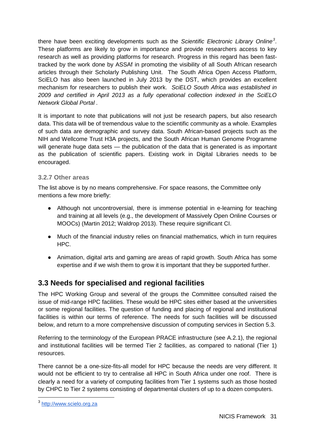there have been exciting developments such as the *Scientific Electronic Library Online[3](#page-14-0)* . These platforms are likely to grow in importance and provide researchers access to key research as well as providing platforms for research. Progress in this regard has been fasttracked by the work done by ASSAf in promoting the visibility of all South African research articles through their Scholarly Publishing Unit. The South Africa Open Access Platform, SciELO has also been launched in July 2013 by the DST, which provides an excellent mechanism for researchers to publish their work. *SciELO South Africa was established in 2009 and certified in April 2013 as a fully operational collection indexed in the SciELO Network Global Portal .*

It is important to note that publications will not just be research papers, but also research data. This data will be of tremendous value to the scientific community as a whole. Examples of such data are demographic and survey data. South African-based projects such as the NIH and Wellcome Trust H3A projects, and the South African Human Genome Programme will generate huge data sets — the publication of the data that is generated is as important as the publication of scientific papers. Existing work in Digital Libraries needs to be encouraged.

### **3.2.7 Other areas**

The list above is by no means comprehensive. For space reasons, the Committee only mentions a few more briefly:

- Although not uncontroversial, there is immense potential in e-learning for teaching and training at all levels (e.g., the development of Massively Open Online Courses or MOOCs) (Martin 2012; Waldrop 2013). These require significant CI.
- Much of the financial industry relies on financial mathematics, which in turn requires HPC.
- Animation, digital arts and gaming are areas of rapid growth. South Africa has some expertise and if we wish them to grow it is important that they be supported further.

### **3.3 Needs for specialised and regional facilities**

The HPC Working Group and several of the groups the Committee consulted raised the issue of mid-range HPC facilities. These would be HPC sites either based at the universities or some regional facilities. The question of funding and placing of regional and institutional facilities is within our terms of reference. The needs for such facilities will be discussed below, and return to a more comprehensive discussion of computing services in Section 5.3.

Referring to the terminology of the European PRACE infrastructure (see A.2.1), the regional and institutional facilities will be termed Tier 2 facilities, as compared to national (Tier 1) resources.

There cannot be a one-size-fits-all model for HPC because the needs are very different. It would not be efficient to try to centralise all HPC in South Africa under one roof. There is clearly a need for a variety of computing facilities from Tier 1 systems such as those hosted by CHPC to Tier 2 systems consisting of departmental clusters of up to a dozen computers.

<span id="page-30-0"></span><sup>3</sup> [http://www.scielo.org.za](http://www.scielo.org.za/)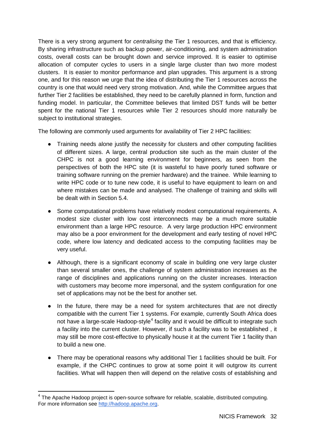There is a very strong argument for *centralising* the Tier 1 resources, and that is efficiency. By sharing infrastructure such as backup power, air-conditioning, and system administration costs, overall costs can be brought down and service improved. It is easier to optimise allocation of computer cycles to users in a single large cluster than two more modest clusters. It is easier to monitor performance and plan upgrades. This argument is a strong one, and for this reason we urge that the idea of distributing the Tier 1 resources across the country is one that would need very strong motivation. And, while the Committee argues that further Tier 2 facilities be established, they need to be carefully planned in form, function and funding model. In particular, the Committee believes that limited DST funds will be better spent for the national Tier 1 resources while Tier 2 resources should more naturally be subject to institutional strategies.

The following are commonly used arguments for availability of Tier 2 HPC facilities:

- Training needs alone justify the necessity for clusters and other computing facilities of different sizes. A large, central production site such as the main cluster of the CHPC is not a good learning environment for beginners, as seen from the perspectives of both the HPC site (it is wasteful to have poorly tuned software or training software running on the premier hardware) and the trainee. While learning to write HPC code or to tune new code, it is useful to have equipment to learn on and where mistakes can be made and analysed. The challenge of training and skills will be dealt with in Section 5.4.
- Some computational problems have relatively modest computational requirements. A modest size cluster with low cost interconnects may be a much more suitable environment than a large HPC resource. A very large production HPC environment may also be a poor environment for the development and early testing of novel HPC code, where low latency and dedicated access to the computing facilities may be very useful.
- Although, there is a significant economy of scale in building one very large cluster than several smaller ones, the challenge of system administration increases as the range of disciplines and applications running on the cluster increases. Interaction with customers may become more impersonal, and the system configuration for one set of applications may not be the best for another set.
- In the future, there may be a need for system architectures that are not directly compatible with the current Tier 1 systems. For example, currently South Africa does not have a large-scale Hadoop-style<sup>[4](#page-30-0)</sup> facility and it would be difficult to integrate such a facility into the current cluster. However, if such a facility was to be established , it may still be more cost-effective to physically house it at the current Tier 1 facility than to build a new one.
- There may be operational reasons why additional Tier 1 facilities should be built. For example, if the CHPC continues to grow at some point it will outgrow its current facilities. What will happen then will depend on the relative costs of establishing and

 $4$  The Apache Hadoop project is open-source software for reliable, scalable, distributed computing. For more information see [http://hadoop.apache.org.](http://hadoop.apache.org/)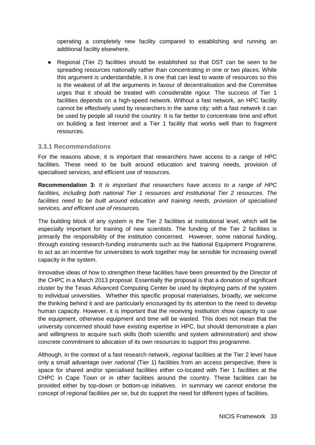operating a completely new facility compared to establishing and running an additional facility elsewhere.

● Regional (Tier 2) facilities should be established so that DST can be seen to be spreading resources nationally rather than concentrating in one or two places. While this argument is understandable, it is one that can lead to waste of resources so this is the weakest of all the arguments in favour of decentralisation and the Committee urges that it should be treated with considerable rigour. The success of Tier 1 facilities depends on a high-speed network. Without a fast network, an HPC facility cannot be effectively used by researchers in the same city; with a fast network it can be used by people all round the country. It is far better to concentrate time and effort on building a fast Internet and a Tier 1 facility that works well than to fragment resources.

#### **3.3.1 Recommendations**

For the reasons above, it is important that researchers have access to a range of HPC facilities. These need to be built around education and training needs, provision of specialised services, and efficient use of resources.

**Recommendation 3:** *It is important that researchers have access to a range of HPC facilities, including both national Tier 1 resources and institutional Tier 2 resources. The facilities need to be built around education and training needs, provision of specialised services, and efficient use of resources.*

The building block of any system is the Tier 2 facilities at institutional level, which will be especially important for training of new scientists. The funding of the Tier 2 facilities is primarily the responsibility of the institution concerned. However, some national funding, through existing research-funding instruments such as the National Equipment Programme, to act as an incentive for universities to work together may be sensible for increasing overall capacity in the system.

Innovative ideas of how to strengthen these facilities have been presented by the Director of the CHPC in a March 2013 proposal. Essentially the proposal is that a donation of significant cluster by the Texas Advanced Computing Center be used by deploying parts of the system to individual universities. Whether this specific proposal materialises, broadly, we welcome the thinking behind it and are particularly encouraged by its attention to the need to develop human capacity. However, it is important that the receiving institution show capacity to use the equipment, otherwise equipment and time will be wasted. This does not mean that the university concerned should have existing expertise in HPC, but should demonstrate a plan and willingness to acquire such skills (both scientific and system administration) and show concrete commitment to allocation of its own resources to support this programme.

Although, in the context of a fast research network, *regional* facilities at the Tier 2 level have only a small advantage over *national* (Tier 1) facilities from an access perspective, there is space for shared and/or specialised facilities either co-located with Tier 1 facilities at the CHPC in Cape Town or in other facilities around the country. These facilities can be provided either by top-down or bottom-up initiatives. In summary we cannot endorse the concept of *regional* facilities *per se*, but do support the need for different types of facilities.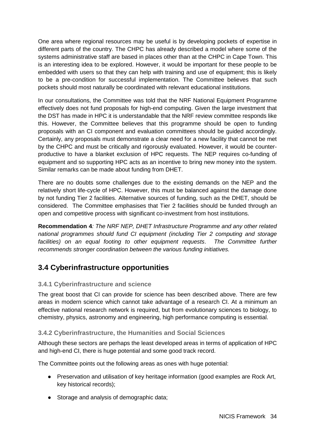One area where regional resources may be useful is by developing pockets of expertise in different parts of the country. The CHPC has already described a model where some of the systems administrative staff are based in places other than at the CHPC in Cape Town. This is an interesting idea to be explored. However, it would be important for these people to be embedded with users so that they can help with training and use of equipment; this is likely to be a pre-condition for successful implementation. The Committee believes that such pockets should most naturally be coordinated with relevant educational institutions.

In our consultations, the Committee was told that the NRF National Equipment Programme effectively does not fund proposals for high-end computing. Given the large investment that the DST has made in HPC it is understandable that the NRF review committee responds like this. However, the Committee believes that this programme should be open to funding proposals with an CI component and evaluation committees should be guided accordingly. Certainly, any proposals must demonstrate a clear need for a new facility that cannot be met by the CHPC and must be critically and rigorously evaluated. However, it would be counterproductive to have a blanket exclusion of HPC requests. The NEP requires co-funding of equipment and so supporting HPC acts as an incentive to bring new money into the system. Similar remarks can be made about funding from DHET.

There are no doubts some challenges due to the existing demands on the NEP and the relatively short life-cycle of HPC. However, this must be balanced against the damage done by not funding Tier 2 facilities. Alternative sources of funding, such as the DHET, should be considered. The Committee emphasises that Tier 2 facilities should be funded through an open and competitive process with significant co-investment from host institutions.

**Recommendation 4***: The NRF NEP, DHET Infrastructure Programme and any other related national programmes should fund CI equipment (including Tier 2 computing and storage facilities) on an equal footing to other equipment requests*. *The Committee further recommends stronger coordination between the various funding initiatives.*

### **3.4 Cyberinfrastructure opportunities**

### **3.4.1 Cyberinfrastructure and science**

The great boost that CI can provide for science has been described above. There are few areas in modern science which cannot take advantage of a research CI. At a minimum an effective national research network is required, but from evolutionary sciences to biology, to chemistry, physics, astronomy and engineering, high performance computing is essential.

### **3.4.2 Cyberinfrastructure, the Humanities and Social Sciences**

Although these sectors are perhaps the least developed areas in terms of application of HPC and high-end CI, there is huge potential and some good track record.

The Committee points out the following areas as ones with huge potential:

- Preservation and utilisation of key heritage information (good examples are Rock Art, key historical records);
- Storage and analysis of demographic data;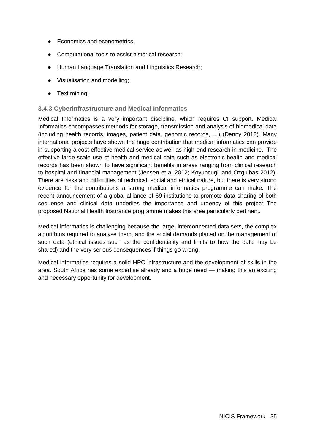- Economics and econometrics;
- Computational tools to assist historical research;
- Human Language Translation and Linguistics Research;
- Visualisation and modelling;
- Text mining.

### **3.4.3 Cyberinfrastructure and Medical Informatics**

Medical Informatics is a very important discipline, which requires CI support. Medical Informatics encompasses methods for storage, transmission and analysis of biomedical data (including health records, images, patient data, genomic records, …) (Denny 2012). Many international projects have shown the huge contribution that medical informatics can provide in supporting a cost-effective medical service as well as high-end research in medicine. The effective large-scale use of health and medical data such as electronic health and medical records has been shown to have significant benefits in areas ranging from clinical research to hospital and financial management (Jensen et al 2012; Koyuncugil and Ozgulbas 2012). There are risks and difficulties of technical, social and ethical nature, but there is very strong evidence for the contributions a strong medical informatics programme can make. The recent announcement of a global alliance of 69 institutions to promote data sharing of both sequence and clinical data underlies the importance and urgency of this project The proposed National Health Insurance programme makes this area particularly pertinent.

Medical informatics is challenging because the large, interconnected data sets, the complex algorithms required to analyse them, and the social demands placed on the management of such data (ethical issues such as the confidentiality and limits to how the data may be shared) and the very serious consequences if things go wrong.

Medical informatics requires a solid HPC infrastructure and the development of skills in the area. South Africa has some expertise already and a huge need — making this an exciting and necessary opportunity for development.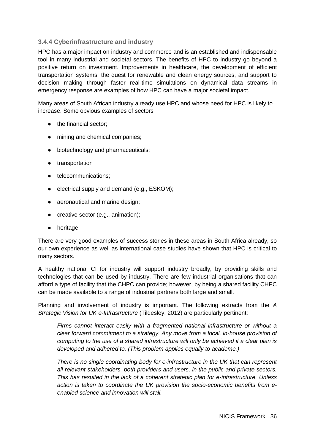### **3.4.4 Cyberinfrastructure and industry**

HPC has a major impact on industry and commerce and is an established and indispensable tool in many industrial and societal sectors. The benefits of HPC to industry go beyond a positive return on investment. Improvements in healthcare, the development of efficient transportation systems, the quest for renewable and clean energy sources, and support to decision making through faster real-time simulations on dynamical data streams in emergency response are examples of how HPC can have a major societal impact.

Many areas of South African industry already use HPC and whose need for HPC is likely to increase. Some obvious examples of sectors

- the financial sector;
- mining and chemical companies;
- biotechnology and pharmaceuticals:
- transportation
- telecommunications;
- electrical supply and demand (e.g., ESKOM);
- aeronautical and marine design:
- creative sector (e.g., animation);
- heritage.

There are very good examples of success stories in these areas in South Africa already, so our own experience as well as international case studies have shown that HPC is critical to many sectors.

A healthy national CI for industry will support industry broadly, by providing skills and technologies that can be used by industry. There are few industrial organisations that can afford a type of facility that the CHPC can provide; however, by being a shared facility CHPC can be made available to a range of industrial partners both large and small.

Planning and involvement of industry is important. The following extracts from the *A Strategic Vision for UK e-Infrastructure* (Tildesley, 2012) are particularly pertinent:

*Firms cannot interact easily with a fragmented national infrastructure or without a clear forward commitment to a strategy. Any move from a local, in-house provision of computing to the use of a shared infrastructure will only be achieved if a clear plan is developed and adhered to. (This problem applies equally to academe.)*

*There is no single coordinating body for e-infrastructure in the UK that can represent all relevant stakeholders, both providers and users, in the public and private sectors. This has resulted in the lack of a coherent strategic plan for e-infrastructure. Unless action is taken to coordinate the UK provision the socio-economic benefits from eenabled science and innovation will stall.*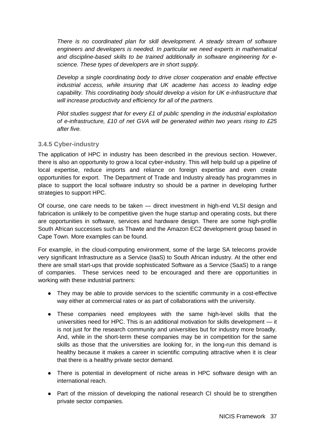*There is no coordinated plan for skill development. A steady stream of software engineers and developers is needed. In particular we need experts in mathematical and discipline-based skills to be trained additionally in software engineering for escience. These types of developers are in short supply.* 

*Develop a single coordinating body to drive closer cooperation and enable effective industrial access, while insuring that UK academe has access to leading edge capability. This coordinating body should develop a vision for UK e-infrastructure that will increase productivity and efficiency for all of the partners.* 

*Pilot studies suggest that for every £1 of public spending in the industrial exploitation of e-infrastructure, £10 of net GVA will be generated within two years rising to £25 after five.*

#### **3.4.5 Cyber-industry**

The application of HPC in industry has been described in the previous section. However, there is also an opportunity to grow a local cyber-industry. This will help build up a pipeline of local expertise, reduce imports and reliance on foreign expertise and even create opportunities for export. The Department of Trade and Industry already has programmes in place to support the local software industry so should be a partner in developing further strategies to support HPC.

Of course, one care needs to be taken — direct investment in high-end VLSI design and fabrication is unlikely to be competitive given the huge startup and operating costs, but there are opportunities in software, services and hardware design. There are some high-profile South African successes such as Thawte and the Amazon EC2 development group based in Cape Town. More examples can be found.

For example, in the cloud-computing environment, some of the large SA telecoms provide very significant Infrastructure as a Service (IaaS) to South African industry. At the other end there are small start-ups that provide sophisticated Software as a Service (SaaS) to a range of companies. These services need to be encouraged and there are opportunities in working with these industrial partners:

- They may be able to provide services to the scientific community in a cost-effective way either at commercial rates or as part of collaborations with the university.
- These companies need employees with the same high-level skills that the universities need for HPC. This is an additional motivation for skills development — it is not just for the research community and universities but for industry more broadly. And, while in the short-term these companies may be in competition for the same skills as those that the universities are looking for, in the long-run this demand is healthy because it makes a career in scientific computing attractive when it is clear that there is a healthy private sector demand.
- There is potential in development of niche areas in HPC software design with an international reach.
- Part of the mission of developing the national research CI should be to strengthen private sector companies.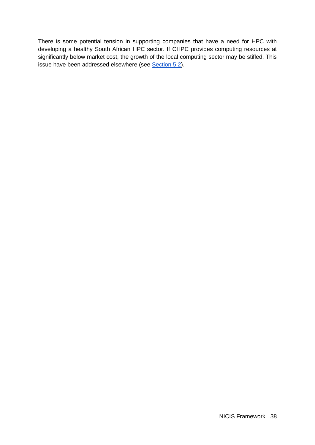There is some potential tension in supporting companies that have a need for HPC with developing a healthy South African HPC sector. If CHPC provides computing resources at significantly below market cost, the growth of the local computing sector may be stifled. This issue have been addressed elsewhere (see Section 5.2).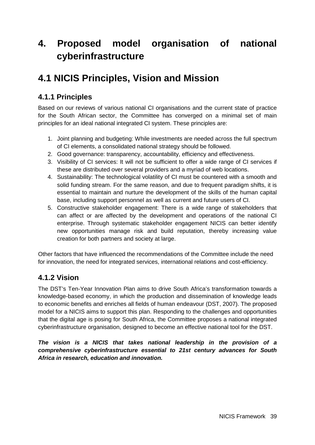# **4. Proposed model organisation of national cyberinfrastructure**

# **4.1 NICIS Principles, Vision and Mission**

## **4.1.1 Principles**

Based on our reviews of various national CI organisations and the current state of practice for the South African sector, the Committee has converged on a minimal set of main principles for an ideal national integrated CI system. These principles are:

- 1. Joint planning and budgeting: While investments are needed across the full spectrum of CI elements, a consolidated national strategy should be followed.
- 2. Good governance: transparency, accountability, efficiency and effectiveness.
- 3. Visibility of CI services: It will not be sufficient to offer a wide range of CI services if these are distributed over several providers and a myriad of web locations.
- 4. Sustainability: The technological volatility of CI must be countered with a smooth and solid funding stream. For the same reason, and due to frequent paradigm shifts, it is essential to maintain and nurture the development of the skills of the human capital base, including support personnel as well as current and future users of CI.
- 5. Constructive stakeholder engagement: There is a wide range of stakeholders that can affect or are affected by the development and operations of the national CI enterprise. Through systematic stakeholder engagement NICIS can better identify new opportunities manage risk and build reputation, thereby increasing value creation for both partners and society at large.

Other factors that have influenced the recommendations of the Committee include the need for innovation, the need for integrated services, international relations and cost-efficiency.

## **4.1.2 Vision**

The DST's Ten-Year Innovation Plan aims to drive South Africa's transformation towards a knowledge-based economy, in which the production and dissemination of knowledge leads to economic benefits and enriches all fields of human endeavour (DST, 2007). The proposed model for a NICIS aims to support this plan. Responding to the challenges and opportunities that the digital age is posing for South Africa, the Committee proposes a national integrated cyberinfrastructure organisation, designed to become an effective national tool for the DST.

*The vision is a NICIS that takes national leadership in the provision of a comprehensive cyberinfrastructure essential to 21st century advances for South Africa in research, education and innovation.*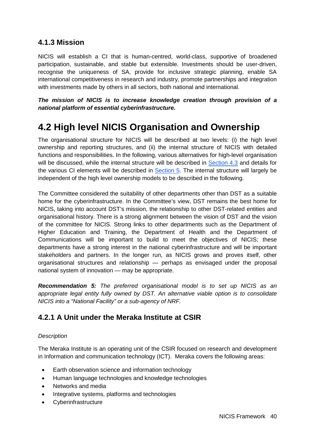### **4.1.3 Mission**

NICIS will establish a CI that is human-centred, world-class, supportive of broadened participation, sustainable, and stable but extensible. Investments should be user-driven, recognise the uniqueness of SA, provide for inclusive strategic planning, enable SA international competitiveness in research and industry, promote partnerships and integration with investments made by others in all sectors, both national and international.

*The mission of NICIS is to increase knowledge creation through provision of a national platform of essential cyberinfrastructure.*

# **4.2 High level NICIS Organisation and Ownership**

The organisational structure for NICIS will be described at two levels: (i) the high level ownership and reporting structures, and (ii) the internal structure of NICIS with detailed functions and responsibilities. In the following, various alternatives for high-level organisation will be discussed, while the internal structure will be described in [Section 4.3](#page-47-0) and details for the various CI elements will be described in [Section 5.](#page-56-0) The internal structure will largely be independent of the high level ownership models to be described in the following.

The Committee considered the suitability of other departments other than DST as a suitable home for the cyberinfrastructure. In the Committee's view, DST remains the best home for NICIS, taking into account DST's mission, the relationship to other DST-related entities and organisational history. There is a strong alignment between the vision of DST and the vision of the committee for NICIS. Strong links to other departments such as the Department of Higher Education and Training, the Department of Health and the Department of Communications will be important to build to meet the objectives of NICIS; these departments have a strong interest in the national cyberinfrastructure and will be important stakeholders and partners. In the longer run, as NICIS grows and proves itself, other organisational structures and relationship — perhaps as envisaged under the proposal national system of innovation — may be appropriate.

*Recommendation 5: The preferred organisational model is to set up NICIS as an appropriate legal entity fully owned by DST. An alternative viable option is to consolidate NICIS into a "National Facility" or a sub-agency of NRF.*

## **4.2.1 A Unit under the Meraka Institute at CSIR**

#### *Description*

The Meraka Institute is an operating unit of the CSIR focused on research and development in Information and communication technology (ICT). Meraka covers the following areas:

- Earth observation science and information technology
- Human language technologies and knowledge technologies
- Networks and media
- Integrative systems, platforms and technologies
- **Cyberinfrastructure**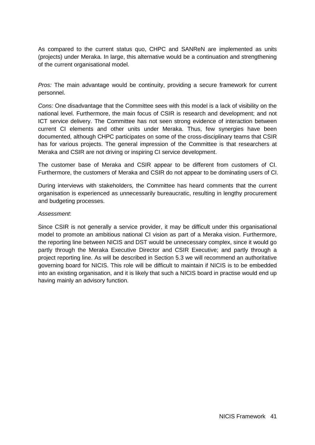As compared to the current status quo, CHPC and SANReN are implemented as units (projects) under Meraka. In large, this alternative would be a continuation and strengthening of the current organisational model.

*Pros:* The main advantage would be continuity, providing a secure framework for current personnel.

*Cons:* One disadvantage that the Committee sees with this model is a lack of visibility on the national level. Furthermore, the main focus of CSIR is research and development; and not ICT service delivery. The Committee has not seen strong evidence of interaction between current CI elements and other units under Meraka. Thus, few synergies have been documented, although CHPC participates on some of the cross-disciplinary teams that CSIR has for various projects. The general impression of the Committee is that researchers at Meraka and CSIR are not driving or inspiring CI service development.

The customer base of Meraka and CSIR appear to be different from customers of CI. Furthermore, the customers of Meraka and CSIR do not appear to be dominating users of CI.

During interviews with stakeholders, the Committee has heard comments that the current organisation is experienced as unnecessarily bureaucratic, resulting in lengthy procurement and budgeting processes.

#### *Assessment*:

Since CSIR is not generally a service provider, it may be difficult under this organisational model to promote an ambitious national CI vision as part of a Meraka vision. Furthermore, the reporting line between NICIS and DST would be unnecessary complex, since it would go partly through the Meraka Executive Director and CSIR Executive; and partly through a project reporting line. As will be described in Section 5.3 we will recommend an authoritative governing board for NICIS. This role will be difficult to maintain if NICIS is to be embedded into an existing organisation, and it is likely that such a NICIS board in practise would end up having mainly an advisory function.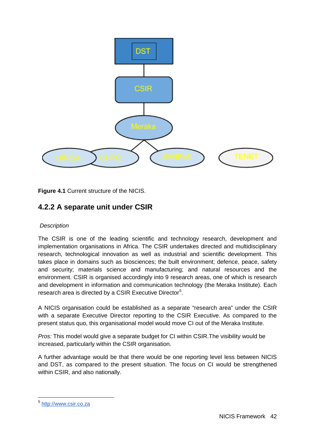

**Figure 4.1** Current structure of the NICIS.

### **4.2.2 A separate unit under CSIR**

#### *Description*

The CSIR is one of the leading scientific and technology research, development and implementation organisations in Africa. The CSIR undertakes directed and multidisciplinary research, technological innovation as well as industrial and scientific development. This takes place in domains such as biosciences; the built environment; defence, peace, safety and security; materials science and manufacturing; and natural resources and the environment. CSIR is organised accordingly into 9 research areas, one of which is research and development in information and communication technology (the Meraka Institute). Each research area is directed by a CSIR Executive Director<sup>[5](#page-31-0)</sup>.

A NICIS organisation could be established as a separate "research area" under the CSIR with a separate Executive Director reporting to the CSIR Executive. As compared to the present status quo, this organisational model would move CI out of the Meraka Institute.

*Pros:* This model would give a separate budget for CI within CSIR.The visibility would be increased, particularly within the CSIR organisation.

A further advantage would be that there would be one reporting level less between NICIS and DST, as compared to the present situation. The focus on CI would be strengthened within CSIR, and also nationally.

<span id="page-41-0"></span><sup>5</sup> [http://www.csir.co.za](http://www.csir.co.za/)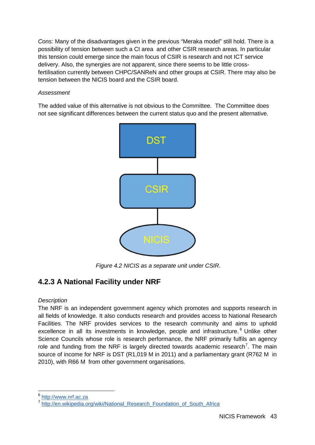*Cons:* Many of the disadvantages given in the previous "Meraka model" still hold. There is a possibility of tension between such a CI area and other CSIR research areas. In particular this tension could emerge since the main focus of CSIR is research and not ICT service delivery. Also, the synergies are not apparent, since there seems to be little crossfertilisation currently between CHPC/SANReN and other groups at CSIR. There may also be tension between the NICIS board and the CSIR board.

#### *Assessment*

The added value of this alternative is not obvious to the Committee. The Committee does not see significant differences between the current status quo and the present alternative.



*Figure 4.2 NICIS as a separate unit under CSIR.*

## **4.2.3 A National Facility under NRF**

#### <span id="page-42-1"></span>*Description*

The NRF is an independent government agency which promotes and supports research in all fields of knowledge. It also conducts research and provides access to National Research Facilities. The NRF provides services to the research community and aims to uphold excellence in all its investments in knowledge, people and infrastructure.<sup>[6](#page-41-0)</sup> Unlike other Science Councils whose role is research performance, the NRF primarily fulfils an agency role and funding from the NRF is largely directed towards academic research<sup>[7](#page-42-0)</sup>. The main source of income for NRF is DST (R1,019 M in 2011) and a parliamentary grant (R762 M in 2010), with R66 M from other government organisations.

<span id="page-42-0"></span><sup>6</sup> [http://www.nrf.ac.za](http://www.nrf.ac.za/)

<sup>7</sup> [http://en.wikipedia.org/wiki/National\\_Research\\_Foundation\\_of\\_South\\_Africa](http://en.wikipedia.org/wiki/National_Research_Foundation_of_South_Africa)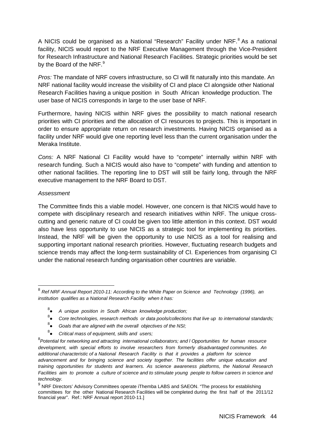A NICIS could be organised as a National "Research" Facility under NRF.<sup>[8](#page-42-1)</sup> As a national facility, NICIS would report to the NRF Executive Management through the Vice-President for Research Infrastructure and National Research Facilities. Strategic priorities would be set by the Board of the NRF.<sup>[9](#page-43-0)</sup>

*Pros:* The mandate of NRF covers infrastructure, so CI will fit naturally into this mandate. An NRF national facility would increase the visibility of CI and place CI alongside other National Research Facilities having a unique position in South African knowledge production. The user base of NICIS corresponds in large to the user base of NRF.

Furthermore, having NICIS within NRF gives the possibility to match national research priorities with CI priorities and the allocation of CI resources to projects. This is important in order to ensure appropriate return on research investments. Having NICIS organised as a facility under NRF would give one reporting level less than the current organisation under the Meraka Institute.

*Cons:* A NRF National CI Facility would have to "compete" internally within NRF with research funding. Such a NICIS would also have to "compete" with funding and attention to other national facilities. The reporting line to DST will still be fairly long, through the NRF executive management to the NRF Board to DST.

#### *Assessment*

The Committee finds this a viable model. However, one concern is that NICIS would have to compete with disciplinary research and research initiatives within NRF. The unique crosscutting and generic nature of CI could be given too little attention in this context. DST would also have less opportunity to use NICIS as a strategic tool for implementing its priorities. Instead, the NRF will be given the opportunity to use NICIS as a tool for realising and supporting important national research priorities. However, fluctuating research budgets and science trends may affect the long-term sustainability of CI. Experiences from organising CI under the national research funding organisation other countries are variable.

- 8 *A unique position in South African knowledge production;*
- 8 *Core technologies, research methods or data pools/collections that live up to international standards;*
- 8 *Goals that are aligned with the overall objectives of the NSI;*
- 8 ● *Critical mass of equipment, skills and users;*

<span id="page-43-0"></span><sup>8</sup> *Ref NRF Annual Report 2010-11: According to the White Paper on Science and Technology (1996), an institution qualifies as a National Research Facility when it has:* 

<sup>8</sup> *Potential for networking and attracting international collaborators; and l Opportunities for human resource development, with special efforts to involve researchers from formerly disadvantaged communities. An additional characteristic of a National Research Facility is that it provides a platform for science advancement and for bringing science and society together. The facilities offer unique education and training opportunities for students and learners. As science awareness platforms, the National Research Facilities aim to promote a culture of science and to stimulate young people to follow careers in science and technology.*

<span id="page-43-1"></span> $9$  NRF Directors' Advisory Committees operate iThemba LABS and SAEON. "The process for establishing committees for the other National Research Facilities will be completed during the first half of the 2011/12 financial year". Ref.: NRF Annual report 2010-11.]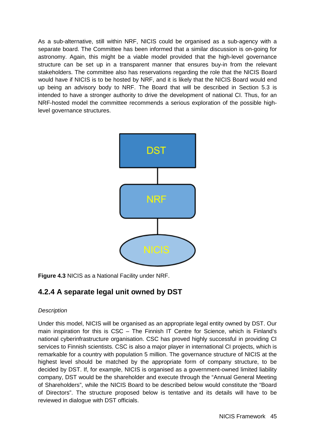As a sub-alternative, still within NRF, NICIS could be organised as a sub-agency with a separate board. The Committee has been informed that a similar discussion is on-going for astronomy. Again, this might be a viable model provided that the high-level governance structure can be set up in a transparent manner that ensures buy-in from the relevant stakeholders. The committee also has reservations regarding the role that the NICIS Board would have if NICIS is to be hosted by NRF, and it is likely that the NICIS Board would end up being an advisory body to NRF. The Board that will be described in Section 5.3 is intended to have a stronger authority to drive the development of national CI. Thus, for an NRF-hosted model the committee recommends a serious exploration of the possible highlevel governance structures.



**Figure 4.3** NICIS as a National Facility under NRF.

### **4.2.4 A separate legal unit owned by DST**

#### *Description*

Under this model, NICIS will be organised as an appropriate legal entity owned by DST. Our main inspiration for this is CSC – The Finnish IT Centre for Science, which is Finland's national cyberinfrastructure organisation. CSC has proved highly successful in providing CI services to Finnish scientists. CSC is also a major player in international CI projects, which is remarkable for a country with population 5 million. The governance structure of NICIS at the highest level should be matched by the appropriate form of company structure, to be decided by DST. If, for example, NICIS is organised as a government-owned limited liability company, DST would be the shareholder and execute through the "Annual General Meeting of Shareholders", while the NICIS Board to be described below would constitute the "Board of Directors". The structure proposed below is tentative and its details will have to be reviewed in dialogue with DST officials.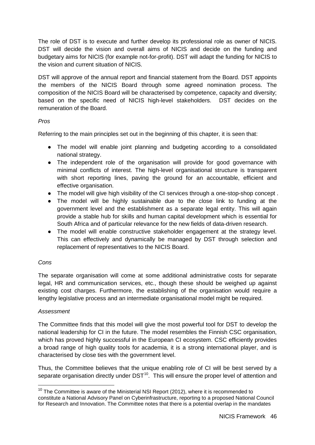The role of DST is to execute and further develop its professional role as owner of NICIS. DST will decide the vision and overall aims of NICIS and decide on the funding and budgetary aims for NICIS (for example not-for-profit). DST will adapt the funding for NICIS to the vision and current situation of NICIS.

DST will approve of the annual report and financial statement from the Board. DST appoints the members of the NICIS Board through some agreed nomination process. The composition of the NICIS Board will be characterised by competence, capacity and diversity; based on the specific need of NICIS high-level stakeholders. DST decides on the remuneration of the Board.

#### *Pros*

Referring to the main principles set out in the beginning of this chapter, it is seen that:

- The model will enable joint planning and budgeting according to a consolidated national strategy.
- The independent role of the organisation will provide for good governance with minimal conflicts of interest. The high-level organisational structure is transparent with short reporting lines, paving the ground for an accountable, efficient and effective organisation.
- The model will give high visibility of the CI services through a one-stop-shop concept .
- The model will be highly sustainable due to the close link to funding at the government level and the establishment as a separate legal entity. This will again provide a stable hub for skills and human capital development which is essential for South Africa and of particular relevance for the new fields of data-driven research.
- The model will enable constructive stakeholder engagement at the strategy level. This can effectively and dynamically be managed by DST through selection and replacement of representatives to the NICIS Board.

#### *Cons*

The separate organisation will come at some additional administrative costs for separate legal, HR and communication services, etc., though these should be weighed up against existing cost charges. Furthermore, the establishing of the organisation would require a lengthy legislative process and an intermediate organisational model might be required.

#### *Assessment*

The Committee finds that this model will give the most powerful tool for DST to develop the national leadership for CI in the future. The model resembles the Finnish CSC organisation, which has proved highly successful in the European CI ecosystem. CSC efficiently provides a broad range of high quality tools for academia, it is a strong international player, and is characterised by close ties with the government level.

Thus, the Committee believes that the unique enabling role of CI will be best served by a separate organisation directly under  $DST^{10}$  $DST^{10}$  $DST^{10}$ . This will ensure the proper level of attention and

<span id="page-45-0"></span> $10$  The Committee is aware of the Ministerial NSI Report (2012), where it is recommended to constitute a National Advisory Panel on Cyberinfrastructure, reporting to a proposed National Council for Research and Innovation. The Committee notes that there is a potential overlap in the mandates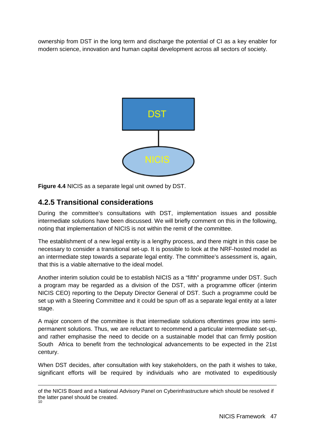ownership from DST in the long term and discharge the potential of CI as a key enabler for modern science, innovation and human capital development across all sectors of society.



**Figure 4.4** NICIS as a separate legal unit owned by DST.

### **4.2.5 Transitional considerations**

During the committee's consultations with DST, implementation issues and possible intermediate solutions have been discussed. We will briefly comment on this in the following, noting that implementation of NICIS is not within the remit of the committee.

The establishment of a new legal entity is a lengthy process, and there might in this case be necessary to consider a transitional set-up. It is possible to look at the NRF-hosted model as an intermediate step towards a separate legal entity. The committee's assessment is, again, that this is a viable alternative to the ideal model.

Another interim solution could be to establish NICIS as a "fifth" programme under DST. Such a program may be regarded as a division of the DST, with a programme officer (interim NICIS CEO) reporting to the Deputy Director General of DST. Such a programme could be set up with a Steering Committee and it could be spun off as a separate legal entity at a later stage.

A major concern of the committee is that intermediate solutions oftentimes grow into semipermanent solutions. Thus, we are reluctant to recommend a particular intermediate set-up, and rather emphasise the need to decide on a sustainable model that can firmly position South Africa to benefit from the technological advancements to be expected in the 21st century.

When DST decides, after consultation with key stakeholders, on the path it wishes to take, significant efforts will be required by individuals who are motivated to expeditiously

of the NICIS Board and a National Advisory Panel on Cyberinfrastructure which should be resolved if the latter panel should be created. 10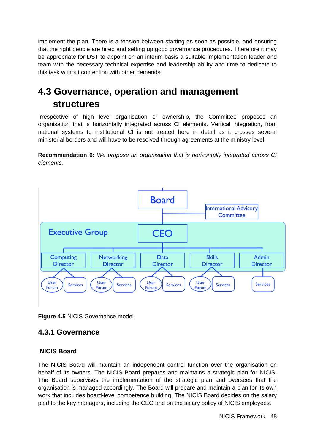implement the plan. There is a tension between starting as soon as possible, and ensuring that the right people are hired and setting up good governance procedures. Therefore it may be appropriate for DST to appoint on an interim basis a suitable implementation leader and team with the necessary technical expertise and leadership ability and time to dedicate to this task without contention with other demands.

# <span id="page-47-0"></span>**4.3 Governance, operation and management structures**

Irrespective of high level organisation or ownership, the Committee proposes an organisation that is horizontally integrated across CI elements. Vertical integration, from national systems to institutional CI is not treated here in detail as it crosses several ministerial borders and will have to be resolved through agreements at the ministry level.

**Recommendation 6:** *We propose an organisation that is horizontally integrated across CI elements.*



**Figure 4.5** NICIS Governance model.

### **4.3.1 Governance**

#### **NICIS Board**

The NICIS Board will maintain an independent control function over the organisation on behalf of its owners. The NICIS Board prepares and maintains a strategic plan for NICIS. The Board supervises the implementation of the strategic plan and oversees that the organisation is managed accordingly. The Board will prepare and maintain a plan for its own work that includes board-level competence building. The NICIS Board decides on the salary paid to the key managers, including the CEO and on the salary policy of NICIS employees.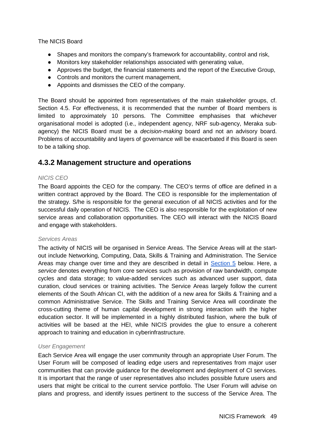The NICIS Board

- Shapes and monitors the company's framework for accountability, control and risk,
- Monitors key stakeholder relationships associated with generating value,
- Approves the budget, the financial statements and the report of the Executive Group,
- Controls and monitors the current management,
- Appoints and dismisses the CEO of the company.

The Board should be appointed from representatives of the main stakeholder groups, cf. Section 4.5. For effectiveness, it is recommended that the number of Board members is limited to approximately 10 persons. The Committee emphasises that whichever organisational model is adopted (i.e., independent agency, NRF sub-agency, Meraka subagency) the NICIS Board must be a *decision-making* board and not an advisory board. Problems of accountability and layers of governance will be exacerbated if this Board is seen to be a talking shop.

### **4.3.2 Management structure and operations**

#### *NICIS CEO*

The Board appoints the CEO for the company. The CEO's terms of office are defined in a written contract approved by the Board. The CEO is responsible for the implementation of the strategy. S/he is responsible for the general execution of all NICIS activities and for the successful daily operation of NICIS. The CEO is also responsible for the exploitation of new service areas and collaboration opportunities. The CEO will interact with the NICIS Board and engage with stakeholders.

#### *Services Areas*

The activity of NICIS will be organised in Service Areas. The Service Areas will at the startout include Networking, Computing, Data, Skills & Training and Administration. The Service Areas may change over time and they are described in detail in [Section 5](#page-56-0) below. Here, a *service* denotes everything from core services such as provision of raw bandwidth, compute cycles and data storage; to value-added services such as advanced user support, data curation, cloud services or training activities. The Service Areas largely follow the current elements of the South African CI, with the addition of a new area for Skills & Training and a common Administrative Service. The Skills and Training Service Area will coordinate the cross-cutting theme of human capital development in strong interaction with the higher education sector. It will be implemented in a highly distributed fashion, where the bulk of activities will be based at the HEI, while NICIS provides the glue to ensure a coherent approach to training and education in cyberinfrastructure.

#### *User Engagement*

Each Service Area will engage the user community through an appropriate User Forum. The User Forum will be composed of leading edge users and representatives from major user communities that can provide guidance for the development and deployment of CI services. It is important that the range of user representatives also includes possible future users and users that might be critical to the current service portfolio. The User Forum will advise on plans and progress, and identify issues pertinent to the success of the Service Area. The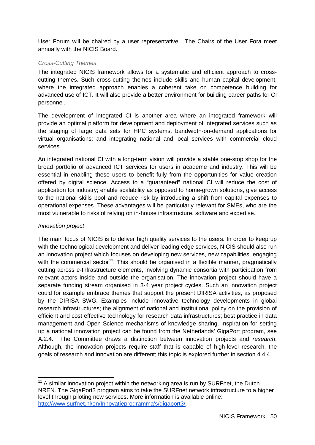User Forum will be chaired by a user representative. The Chairs of the User Fora meet annually with the NICIS Board.

#### *Cross-Cutting Themes*

The integrated NICIS framework allows for a systematic and efficient approach to crosscutting themes. Such cross-cutting themes include skills and human capital development, where the integrated approach enables a coherent take on competence building for advanced use of ICT. It will also provide a better environment for building career paths for CI personnel.

The development of integrated CI is another area where an integrated framework will provide an optimal platform for development and deployment of integrated services such as the staging of large data sets for HPC systems, bandwidth-on-demand applications for virtual organisations; and integrating national and local services with commercial cloud services.

An integrated national CI with a long-term vision will provide a stable one-stop shop for the broad portfolio of advanced ICT services for users in academe and industry. This will be essential in enabling these users to benefit fully from the opportunities for value creation offered by digital science. Access to a "guaranteed" national CI will reduce the cost of application for industry; enable scalability as opposed to home-grown solutions, give access to the national skills pool and reduce risk by introducing a shift from capital expenses to operational expenses. These advantages will be particularly relevant for SMEs, who are the most vulnerable to risks of relying on in-house infrastructure, software and expertise.

#### *Innovation project*

The main focus of NICIS is to deliver high quality services to the users. In order to keep up with the technological development and deliver leading edge services, NICIS should also run an innovation project which focuses on developing new services, new capabilities, engaging with the commercial sector<sup>11</sup>. This should be organised in a flexible manner, pragmatically cutting across e-Infrastructure elements, involving dynamic consortia with participation from relevant actors inside and outside the organisation. The innovation project should have a separate funding stream organised in 3-4 year project cycles. Such an innovation project could for example embrace themes that support the present DIRISA activities, as proposed by the DIRISA SWG. Examples include innovative technology developments in global research infrastructures; the alignment of national and institutional policy on the provision of efficient and cost effective technology for research data infrastructures; best practice in data management and Open Science mechanisms of knowledge sharing. Inspiration for setting up a national innovation project can be found from the Netherlands' GigaPort program, see A.2.4. The Committee draws a distinction between innovation projects and *research*. Although, the innovation projects require staff that is capable of high-level research, the goals of research and innovation are different; this topic is explored further in section 4.4.4.

<span id="page-49-0"></span> $11$  A similar innovation project within the networking area is run by SURFnet, the Dutch NREN. The GigaPort3 program aims to take the SURFnet network infrastructure to a higher level through piloting new services. More information is available online[:](http://www.surfnet.nl/en/Innovatieprogramma) http://www.surfnet.nl/en/Innovatieprogramma's/gigaport3/.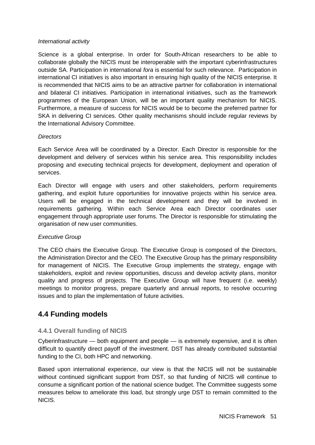#### *International activity*

Science is a global enterprise. In order for South-African researchers to be able to collaborate globally the NICIS must be interoperable with the important cyberinfrastructures outside SA. Participation in international *fora* is essential for such relevance. Participation in international CI initiatives is also important in ensuring high quality of the NICIS enterprise. It is recommended that NICIS aims to be an attractive partner for collaboration in international and bilateral CI initiatives. Participation in international initiatives, such as the framework programmes of the European Union, will be an important quality mechanism for NICIS. Furthermore, a measure of success for NICIS would be to become the preferred partner for SKA in delivering CI services. Other quality mechanisms should include regular reviews by the International Advisory Committee.

#### *Directors*

Each Service Area will be coordinated by a Director. Each Director is responsible for the development and delivery of services within his service area. This responsibility includes proposing and executing technical projects for development, deployment and operation of services.

Each Director will engage with users and other stakeholders, perform requirements gathering, and exploit future opportunities for innovative projects within his service area. Users will be engaged in the technical development and they will be involved in requirements gathering. Within each Service Area each Director coordinates user engagement through appropriate user forums. The Director is responsible for stimulating the organisation of new user communities.

#### *Executive Group*

The CEO chairs the Executive Group. The Executive Group is composed of the Directors, the Administration Director and the CEO. The Executive Group has the primary responsibility for management of NICIS. The Executive Group implements the strategy, engage with stakeholders, exploit and review opportunities, discuss and develop activity plans, monitor quality and progress of projects. The Executive Group will have frequent (i.e. weekly) meetings to monitor progress, prepare quarterly and annual reports, to resolve occurring issues and to plan the implementation of future activities.

### **4.4 Funding models**

#### **4.4.1 Overall funding of NICIS**

Cyberinfrastructure — both equipment and people — is extremely expensive, and it is often difficult to quantify direct payoff of the investment. DST has already contributed substantial funding to the CI, both HPC and networking.

Based upon international experience, our view is that the NICIS will not be sustainable without continued significant support from DST, so that funding of NICIS will continue to consume a significant portion of the national science budget. The Committee suggests some measures below to ameliorate this load, but strongly urge DST to remain committed to the NICIS.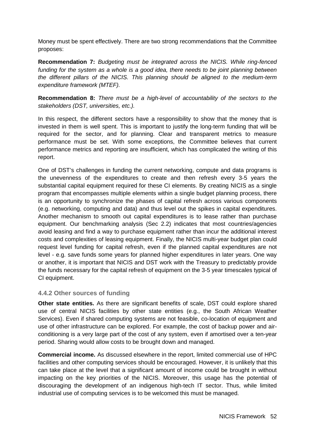Money must be spent effectively. There are two strong recommendations that the Committee proposes:

**Recommendation 7:** *Budgeting must be integrated across the NICIS. While ring-fenced funding for the system as a whole is a good idea, there needs to be joint planning between the different pillars of the NICIS. This planning should be aligned to the medium-term expenditure framework (MTEF).*

**Recommendation 8:** *There must be a high-level of accountability of the sectors to the stakeholders (DST, universities, etc.).* 

In this respect, the different sectors have a responsibility to show that the money that is invested in them is well spent. This is important to justify the long-term funding that will be required for the sector, and for planning. Clear and transparent metrics to measure performance must be set. With some exceptions, the Committee believes that current performance metrics and reporting are insufficient, which has complicated the writing of this report.

One of DST's challenges in funding the current networking, compute and data programs is the unevenness of the expenditures to create and then refresh every 3-5 years the substantial capital equipment required for these CI elements. By creating NICIS as a single program that encompasses multiple elements within a single budget planning process, there is an opportunity to synchronize the phases of capital refresh across various components (e.g. networking, computing and data) and thus level out the spikes in capital expenditures. Another mechanism to smooth out capital expenditures is to lease rather than purchase equipment. Our benchmarking analysis (Sec 2.2) indicates that most countries/agencies avoid leasing and find a way to purchase equipment rather than incur the additional interest costs and complexities of leasing equipment. Finally, the NICIS multi-year budget plan could request level funding for capital refresh, even if the planned capital expenditures are not level - e.g. save funds some years for planned higher expenditures in later years. One way or another, it is important that NICIS and DST work with the Treasury to predictably provide the funds necessary for the capital refresh of equipment on the 3-5 year timescales typical of CI equipment.

#### **4.4.2 Other sources of funding**

**Other state entities.** As there are significant benefits of scale, DST could explore shared use of central NICIS facilities by other state entities (e.g., the South African Weather Services). Even if shared computing systems are not feasible, co-location of equipment and use of other infrastructure can be explored. For example, the cost of backup power and airconditioning is a very large part of the cost of any system, even if amortised over a ten-year period. Sharing would allow costs to be brought down and managed.

**Commercial income.** As discussed elsewhere in the report, limited commercial use of HPC facilities and other computing services should be encouraged. However, it is unlikely that this can take place at the level that a significant amount of income could be brought in without impacting on the key priorities of the NICIS. Moreover, this usage has the potential of discouraging the development of an indigenous high-tech IT sector. Thus, while limited industrial use of computing services is to be welcomed this must be managed.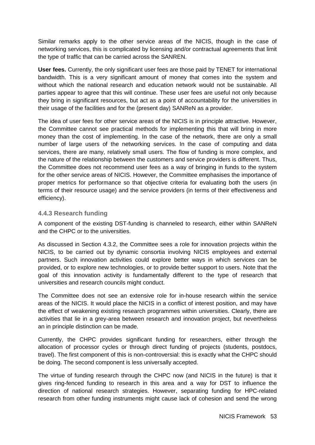Similar remarks apply to the other service areas of the NICIS, though in the case of networking services, this is complicated by licensing and/or contractual agreements that limit the type of traffic that can be carried across the SANREN.

**User fees.** Currently, the only significant user fees are those paid by TENET for international bandwidth. This is a very significant amount of money that comes into the system and without which the national research and education network would not be sustainable. All parties appear to agree that this will continue. These user fees are useful not only because they bring in significant resources, but act as a point of accountability for the universities in their usage of the facilities and for the (present day) SANReN as a provider.

The idea of user fees for other service areas of the NICIS is in principle attractive. However, the Committee cannot see practical methods for implementing this that will bring in more money than the cost of implementing. In the case of the network, there are only a small number of large users of the networking services. In the case of computing and data services, there are many, relatively small users. The flow of funding is more complex, and the nature of the relationship between the customers and service providers is different. Thus, the Committee does not recommend user fees as a way of bringing in funds to the system for the other service areas of NICIS. However, the Committee emphasises the importance of proper metrics for performance so that objective criteria for evaluating both the users (in terms of their resource usage) and the service providers (in terms of their effectiveness and efficiency).

#### **4.4.3 Research funding**

A component of the existing DST-funding is channeled to research, either within SANReN and the CHPC or to the universities.

As discussed in Section 4.3.2, the Committee sees a role for innovation projects within the NICIS, to be carried out by dynamic consortia involving NICIS employees and external partners. Such innovation activities could explore better ways in which services can be provided, or to explore new technologies, or to provide better support to users. Note that the goal of this innovation activity is fundamentally different to the type of research that universities and research councils might conduct.

The Committee does not see an extensive role for in-house research within the service areas of the NICIS. It would place the NICIS in a conflict of interest position, and may have the effect of weakening existing research programmes within universities. Clearly, there are activities that lie in a grey-area between research and innovation project, but nevertheless an in principle distinction can be made.

Currently, the CHPC provides significant funding for researchers, either through the allocation of processor cycles or through direct funding of projects (students, postdocs, travel). The first component of this is non-controversial: this is exactly what the CHPC should be doing. The second component is less universally accepted.

The virtue of funding research through the CHPC now (and NICIS in the future) is that it gives ring-fenced funding to research in this area and a way for DST to influence the direction of national research strategies. However, separating funding for HPC-related research from other funding instruments might cause lack of cohesion and send the wrong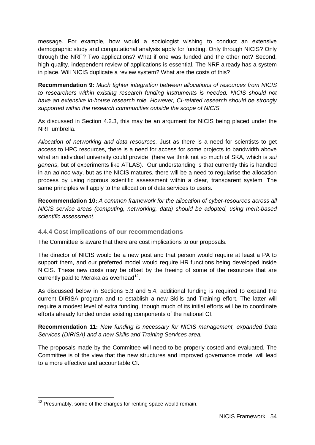message. For example, how would a sociologist wishing to conduct an extensive demographic study and computational analysis apply for funding. Only through NICIS? Only through the NRF? Two applications? What if one was funded and the other not? Second, high-quality, independent review of applications is essential. The NRF already has a system in place. Will NICIS duplicate a review system? What are the costs of this?

**Recommendation 9:** *Much tighter integration between allocations of resources from NICIS to researchers within existing research funding instruments is needed. NICIS should not have an extensive in-house research role. However, CI-related research should be strongly supported within the research communities outside the scope of NICIS.*

As discussed in Section 4.2.3, this may be an argument for NICIS being placed under the NRF umbrella.

*Allocation of networking and data resources.* Just as there is a need for scientists to get access to HPC resources, there is a need for access for some projects to bandwidth above what an individual university could provide (here we think not so much of SKA, which is *sui generis*, but of experiments like ATLAS). Our understanding is that currently this is handled in an *ad hoc* way, but as the NICIS matures, there will be a need to regularise the allocation process by using rigorous scientific assessment within a clear, transparent system. The same principles will apply to the allocation of data services to users.

**Recommendation 10:** *A common framework for the allocation of cyber-resources across all NICIS service areas (computing, networking, data) should be adopted, using merit-based scientific assessment.* 

#### **4.4.4 Cost implications of our recommendations**

The Committee is aware that there are cost implications to our proposals.

The director of NICIS would be a new post and that person would require at least a PA to support them, and our preferred model would require HR functions being developed inside NICIS. These new costs may be offset by the freeing of some of the resources that are currently paid to Meraka as overhead<sup>12</sup>.

As discussed below in Sections 5.3 and 5.4, additional funding is required to expand the current DIRISA program and to establish a new Skills and Training effort. The latter will require a modest level of extra funding, though much of its initial efforts will be to coordinate efforts already funded under existing components of the national CI.

**Recommendation 11:** *New funding is necessary for NICIS management, expanded Data Services (DIRISA) and a new Skills and Training Services area.*

The proposals made by the Committee will need to be properly costed and evaluated. The Committee is of the view that the new structures and improved governance model will lead to a more effective and accountable CI.

 $12$  Presumably, some of the charges for renting space would remain.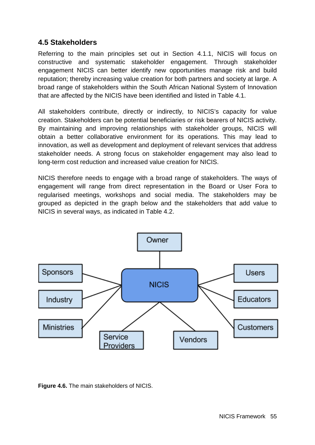### **4.5 Stakeholders**

Referring to the main principles set out in Section 4.1.1, NICIS will focus on constructive and systematic stakeholder engagement. Through stakeholder engagement NICIS can better identify new opportunities manage risk and build reputation; thereby increasing value creation for both partners and society at large. A broad range of stakeholders within the South African National System of Innovation that are affected by the NICIS have been identified and listed in Table 4.1.

All stakeholders contribute, directly or indirectly, to NICIS's capacity for value creation. Stakeholders can be potential beneficiaries or risk bearers of NICIS activity. By maintaining and improving relationships with stakeholder groups, NICIS will obtain a better collaborative environment for its operations. This may lead to innovation, as well as development and deployment of relevant services that address stakeholder needs. A strong focus on stakeholder engagement may also lead to long-term cost reduction and increased value creation for NICIS.

NICIS therefore needs to engage with a broad range of stakeholders. The ways of engagement will range from direct representation in the Board or User Fora to regularised meetings, workshops and social media. The stakeholders may be grouped as depicted in the graph below and the stakeholders that add value to NICIS in several ways, as indicated in Table 4.2.



**Figure 4.6.** The main stakeholders of NICIS.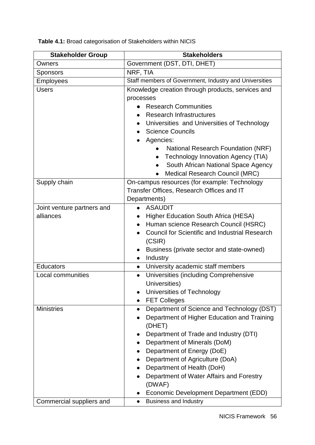**Stakeholder Group Stakeholders** Owners Government (DST, DTI, DHET) Sponsors NRF, TIA Employees Staff members of Government, Industry and Universities Users **Users** Knowledge creation through products, services and processes ● Research Communities ● Research Infrastructures ● Universities and Universities of Technology • Science Councils ● Agencies: ● National Research Foundation (NRF) • Technology Innovation Agency (TIA) • South African National Space Agency • Medical Research Council (MRC) Supply chain On-campus resources (for example: Technology Transfer Offices, Research Offices and IT Departments) Joint venture partners and alliances ● ASAUDIT ● Higher Education South Africa (HESA) ● Human science Research Council (HSRC) ● Council for Scientific and Industrial Research (CSIR) • Business (private sector and state-owned) ● Industry Educators **Educators Bullet 1 CO** University academic staff members Local communities **Exercise Constant Constant Constant Constant Constant Constant Constant Constant Constant Constant Constant Constant Constant Constant Constant Constant Constant Constant Constant Constant Constant Con** Universities) ● Universities of Technology ● FET Colleges Ministries ● Department of Science and Technology (DST) ● Department of Higher Education and Training (DHET) ● Department of Trade and Industry (DTI) • Department of Minerals (DoM) • Department of Energy (DoE) • Department of Agriculture (DoA) • Department of Health (DoH) ● Department of Water Affairs and Forestry (DWAF) ● Economic Development Department (EDD) Commercial suppliers and **Example 1** • Business and Industry

**Table 4.1:** Broad categorisation of Stakeholders within NICIS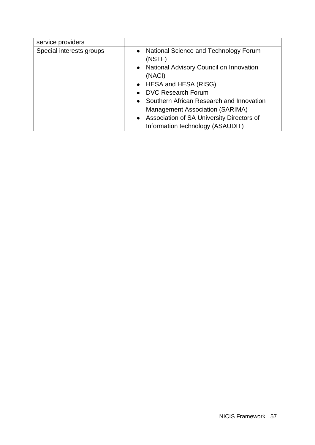<span id="page-56-0"></span>

| service providers        |                                                                                                                                                                                                                                                                                                                                                  |
|--------------------------|--------------------------------------------------------------------------------------------------------------------------------------------------------------------------------------------------------------------------------------------------------------------------------------------------------------------------------------------------|
| Special interests groups | • National Science and Technology Forum<br>(NSTF)<br>• National Advisory Council on Innovation<br>(NACI)<br>• HESA and HESA (RISG)<br><b>DVC Research Forum</b><br>$\bullet$<br>• Southern African Research and Innovation<br>Management Association (SARIMA)<br>• Association of SA University Directors of<br>Information technology (ASAUDIT) |
|                          |                                                                                                                                                                                                                                                                                                                                                  |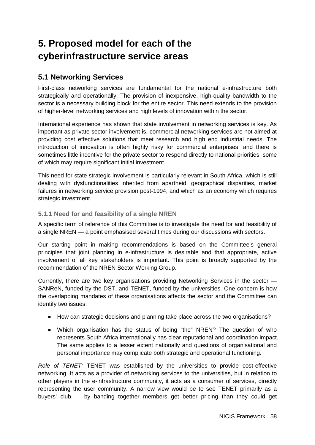# **5. Proposed model for each of the cyberinfrastructure service areas**

## **5.1 Networking Services**

First-class networking services are fundamental for the national e-infrastructure both strategically and operationally. The provision of inexpensive, high-quality bandwidth to the sector is a necessary building block for the entire sector. This need extends to the provision of higher-level networking services and high levels of innovation within the sector.

International experience has shown that state involvement in networking services is key. As important as private sector involvement is, commercial networking services are not aimed at providing cost effective solutions that meet research and high end industrial needs. The introduction of innovation is often highly risky for commercial enterprises, and there is sometimes little incentive for the private sector to respond directly to national priorities, some of which may require significant initial investment.

This need for state strategic involvement is particularly relevant in South Africa, which is still dealing with dysfunctionalities inherited from apartheid, geographical disparities, market failures in networking service provision post-1994, and which as an economy which requires strategic investment.

### **5.1.1 Need for and feasibility of a single NREN**

A specific term of reference of this Committee is to investigate the need for and feasibility of a single NREN — a point emphasised several times during our discussions with sectors.

Our starting point in making recommendations is based on the Committee's general principles that joint planning in e-infrastructure is desirable and that appropriate, active involvement of all key stakeholders is important. This point is broadly supported by the recommendation of the NREN Sector Working Group.

Currently, there are two key organisations providing Networking Services in the sector — SANReN, funded by the DST, and TENET, funded by the universities. One concern is how the overlapping mandates of these organisations affects the sector and the Committee can identify two issues:

- How can strategic decisions and planning take place across the two organisations?
- Which organisation has the status of being "the" NREN? The question of who represents South Africa internationally has clear reputational and coordination impact. The same applies to a lesser extent nationally and questions of organisational and personal importance may complicate both strategic and operational functioning.

*Role of TENET:* TENET was established by the universities to provide cost-effective networking. It acts as a provider of networking services to the universities, but in relation to other players in the e-infrastructure community, it acts as a consumer of services, directly representing the user community. A narrow view would be to see TENET primarily as a buyers' club — by banding together members get better pricing than they could get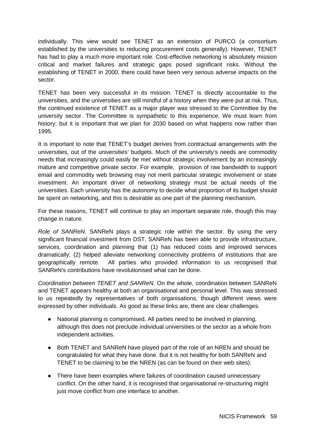individually. This view would see TENET as an extension of PURCO (a consortium established by the universities to reducing procurement costs generally). However, TENET has had to play a much more important role. Cost-effective networking is absolutely mission critical and market failures and strategic gaps posed significant risks. Without the establishing of TENET in 2000, there could have been very serious adverse impacts on the sector.

TENET has been very successful in its mission. TENET is directly accountable to the universities, and the universities are still mindful of a history when they were put at risk. Thus, the continued existence of TENET as a major player was stressed to the Committee by the university sector. The Committee is sympathetic to this experience. We must learn from history; but it is important that we plan for 2030 based on what happens now rather than 1995.

It is important to note that TENET's budget derives from contractual arrangements with the universities, out of the universities' budgets. Much of the university's needs are commodity needs that increasingly could easily be met without strategic involvement by an increasingly mature and competitive private sector. For example, provision of raw bandwidth to support email and commodity web browsing may not merit particular strategic involvement or state investment. An important driver of networking strategy must be actual needs of the universities. Each university has the autonomy to decide what proportion of its budget should be spent on networking, and this is desirable as one part of the planning mechanism.

For these reasons, TENET will continue to play an important separate role, though this may change in nature.

*Role of SANReN.* SANReN plays a strategic role within the sector. By using the very significant financial investment from DST, SANReN has been able to provide infrastructure, services, coordination and planning that (1) has reduced costs and improved services dramatically; (2) helped alleviate networking connectivity problems of institutions that are geographically remote. All parties who provided information to us recognised that SANReN's contributions have revolutionised what can be done.

*Coordination between TENET and SANReN.* On the whole, coordination between SANReN and TENET appears healthy at both an organisational and personal level. This was stressed to us repeatedly by representatives of both organisations, though different views were expressed by other individuals. As good as these links are, there are clear challenges.

- National planning is compromised. All parties need to be involved in planning, although this does not preclude individual universities or the sector as a whole from independent activities.
- Both TENET and SANReN have played part of the role of an NREN and should be congratulated for what they have done. But it is not healthy for both SANReN and TENET to be claiming to be the NREN (as can be found on their web sites).
- There have been examples where failures of coordination caused unnecessary conflict. On the other hand, it is recognised that organisational re-structuring might just move conflict from one interface to another.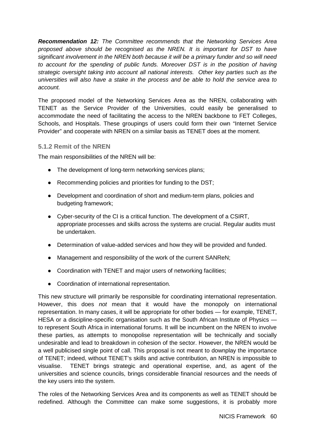*Recommendation 12: The Committee recommends that the Networking Services Area proposed above should be recognised as the NREN. It is important for DST to have significant involvement in the NREN both because it will be a primary funder and so will need to account for the spending of public funds. Moreover DST is in the position of having strategic oversight taking into account all national interests. Other key parties such as the universities will also have a stake in the process and be able to hold the service area to account.*

The proposed model of the Networking Services Area as the NREN, collaborating with TENET as the Service Provider of the Universities, could easily be generalised to accommodate the need of facilitating the access to the NREN backbone to FET Colleges, Schools, and Hospitals. These groupings of users could form their own "Internet Service Provider" and cooperate with NREN on a similar basis as TENET does at the moment.

#### **5.1.2 Remit of the NREN**

The main responsibilities of the NREN will be:

- The development of long-term networking services plans;
- Recommending policies and priorities for funding to the DST;
- Development and coordination of short and medium-term plans, policies and budgeting framework;
- Cyber-security of the CI is a critical function. The development of a CSIRT, appropriate processes and skills across the systems are crucial. Regular audits must be undertaken.
- Determination of value-added services and how they will be provided and funded.
- Management and responsibility of the work of the current SANReN;
- Coordination with TENET and major users of networking facilities;
- Coordination of international representation.

This new structure will primarily be responsible for coordinating international representation. However, this does *not* mean that it would have the monopoly on international representation. In many cases, it will be appropriate for other bodies — for example, TENET, HESA or a discipline-specific organisation such as the South African Institute of Physics to represent South Africa in international forums. It will be incumbent on the NREN to involve these parties, as attempts to monopolise representation will be technically and socially undesirable and lead to breakdown in cohesion of the sector. However, the NREN would be a well publicised single point of call. This proposal is not meant to downplay the importance of TENET; indeed, without TENET's skills and active contribution, an NREN is impossible to visualise. TENET brings strategic and operational expertise, and, as agent of the universities and science councils, brings considerable financial resources and the needs of the key users into the system.

The roles of the Networking Services Area and its components as well as TENET should be redefined. Although the Committee can make some suggestions, it is probably more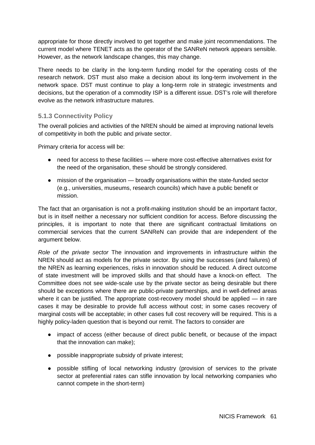appropriate for those directly involved to get together and make joint recommendations. The current model where TENET acts as the operator of the SANReN network appears sensible. However, as the network landscape changes, this may change.

There needs to be clarity in the long-term funding model for the operating costs of the research network. DST must also make a decision about its long-term involvement in the network space. DST must continue to play a long-term role in strategic investments and decisions, but the operation of a commodity ISP is a different issue. DST's role will therefore evolve as the network infrastructure matures.

#### **5.1.3 Connectivity Policy**

The overall policies and activities of the NREN should be aimed at improving national levels of competitivity in both the public and private sector.

Primary criteria for access will be:

- need for access to these facilities where more cost-effective alternatives exist for the need of the organisation, these should be strongly considered.
- mission of the organisation broadly organisations within the state-funded sector (e.g., universities, museums, research councils) which have a public benefit or mission.

The fact that an organisation is not a profit-making institution should be an important factor, but is in itself neither a necessary nor sufficient condition for access. Before discussing the principles, it is important to note that there are significant contractual limitations on commercial services that the current SANReN can provide that are independent of the argument below.

*Role of the private sector* The innovation and improvements in infrastructure within the NREN should act as models for the private sector. By using the successes (and failures) of the NREN as learning experiences, risks in innovation should be reduced. A direct outcome of state investment will be improved skills and that should have a knock-on effect. The Committee does not see wide-scale use by the private sector as being desirable but there should be exceptions where there are public-private partnerships, and in well-defined areas where it can be justified. The appropriate cost-recovery model should be applied — in rare cases it may be desirable to provide full access without cost; in some cases recovery of marginal costs will be acceptable; in other cases full cost recovery will be required. This is a highly policy-laden question that is beyond our remit. The factors to consider are

- impact of access (either because of direct public benefit, or because of the impact that the innovation can make);
- possible inappropriate subsidy of private interest;
- possible stifling of local networking industry (provision of services to the private sector at preferential rates can stifle innovation by local networking companies who cannot compete in the short-term)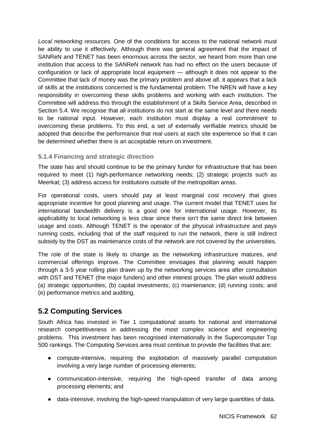*Local networking resources.* One of the conditions for access to the national network must be ability to use it effectively. Although there was general agreement that the impact of SANReN and TENET has been enormous across the sector, we heard from more than one institution that access to the SANReN network has had no effect on the users because of configuration or lack of appropriate local equipment — although it does not appear to the Committee that lack of money was the primary problem and above all, it appears that a lack of skills at the institutions concerned is the fundamental problem. The NREN will have a key responsibility in overcoming these skills problems and working with each institution. The Committee will address this through the establishment of a Skills Service Area, described in Section 5.4. We recognise that all institutions do not start at the same level and there needs to be national input. However, each institution must display a real commitment to overcoming these problems. To this end, a set of externally verifiable metrics should be adopted that describe the performance that real users at each site experience so that it can be determined whether there is an acceptable return on investment.

#### **5.1.4 Financing and strategic direction**

The state has and should continue to be the primary funder for infrastructure that has been required to meet (1) high-performance networking needs; (2) strategic projects such as Meerkat; (3) address access for institutions outside of the metropolitan areas.

For operational costs, users should pay at least marginal cost recovery that gives appropriate incentive for good planning and usage. The current model that TENET uses for international bandwidth delivery is a good one for international usage. However, its applicability to local networking is less clear since there isn't the same direct link between usage and costs. Although TENET is the operator of the physical infrastructure and pays running costs, including that of the staff required to run the network, there is still indirect subsidy by the DST as maintenance costs of the network are not covered by the universities.

The role of the state is likely to change as the networking infrastructure matures, and commercial offerings improve. The Committee envisages that planning would happen through a 3-5 year rolling plan drawn up by the networking services area after consultation with DST and TENET (the major funders) and other interest groups. The plan would address (a) strategic opportunities; (b) capital investments; (c) maintenance; (d) running costs; and (e) performance metrics and auditing.

### **5.2 Computing Services**

South Africa has invested in Tier 1 computational assets for national and international research competitiveness in addressing the most complex science and engineering problems. This investment has been recognised internationally in the Supercomputer Top 500 rankings. The Computing Services area must continue to provide the facilities that are:

- compute-intensive, requiring the exploitation of massively parallel computation involving a very large number of processing elements;
- communication-intensive, requiring the high-speed transfer of data among processing elements; and
- data-intensive, involving the high-speed manipulation of very large quantities of data.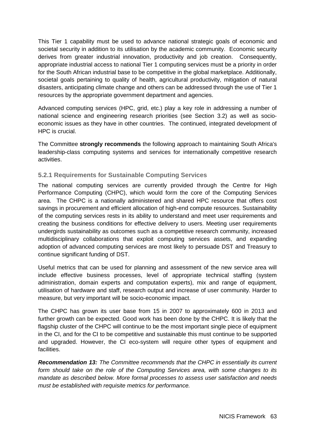This Tier 1 capability must be used to advance national strategic goals of economic and societal security in addition to its utilisation by the academic community. Economic security derives from greater industrial innovation, productivity and job creation. Consequently, appropriate industrial access to national Tier 1 computing services must be a priority in order for the South African industrial base to be competitive in the global marketplace. Additionally, societal goals pertaining to quality of health, agricultural productivity, mitigation of natural disasters, anticipating climate change and others can be addressed through the use of Tier 1 resources by the appropriate government department and agencies.

Advanced computing services (HPC, grid, etc.) play a key role in addressing a number of national science and engineering research priorities (see Section 3.2) as well as socioeconomic issues as they have in other countries. The continued, integrated development of HPC is crucial.

The Committee **strongly recommends** the following approach to maintaining South Africa's leadership-class computing systems and services for internationally competitive research activities.

#### **5.2.1 Requirements for Sustainable Computing Services**

The national computing services are currently provided through the Centre for High Performance Computing (CHPC), which would form the core of the Computing Services area. The CHPC is a nationally administered and shared HPC resource that offers cost savings in procurement and efficient allocation of high-end compute resources. Sustainability of the computing services rests in its ability to understand and meet user requirements and creating the business conditions for effective delivery to users. Meeting user requirements undergirds sustainability as outcomes such as a competitive research community, increased multidisciplinary collaborations that exploit computing services assets, and expanding adoption of advanced computing services are most likely to persuade DST and Treasury to continue significant funding of DST.

Useful metrics that can be used for planning and assessment of the new service area will include effective business processes, level of appropriate technical staffing (system administration, domain experts and computation experts), mix and range of equipment, utilisation of hardware and staff, research output and increase of user community. Harder to measure, but very important will be socio-economic impact.

The CHPC has grown its user base from 15 in 2007 to approximately 600 in 2013 and further growth can be expected. Good work has been done by the CHPC. It is likely that the flagship cluster of the CHPC will continue to be the most important single piece of equipment in the CI, and for the CI to be competitive and sustainable this must continue to be supported and upgraded. However, the CI eco-system will require other types of equipment and facilities.

*Recommendation 13: The Committee recommends that the CHPC in essentially its current form should take on the role of the Computing Services area, with some changes to its mandate as described below. More formal processes to assess user satisfaction and needs must be established with requisite metrics for performance.*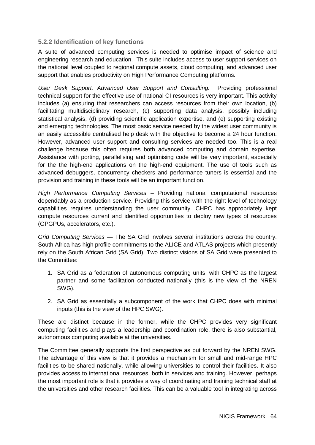#### **5.2.2 Identification of key functions**

A suite of advanced computing services is needed to optimise impact of science and engineering research and education. This suite includes access to user support services on the national level coupled to regional compute assets, cloud computing, and advanced user support that enables productivity on High Performance Computing platforms.

*User Desk Support, Advanced User Support and Consulting.* Providing professional technical support for the effective use of national CI resources is very important. This activity includes (a) ensuring that researchers can access resources from their own location, (b) facilitating multidisciplinary research, (c) supporting data analysis, possibly including statistical analysis, (d) providing scientific application expertise, and (e) supporting existing and emerging technologies. The most basic service needed by the widest user community is an easily accessible centralised help desk with the objective to become a 24 hour function. However, advanced user support and consulting services are needed too. This is a real challenge because this often requires both advanced computing and domain expertise. Assistance with porting, parallelising and optimising code will be very important, especially for the the high-end applications on the high-end equipment. The use of tools such as advanced debuggers, concurrency checkers and performance tuners is essential and the provision and training in these tools will be an important function.

*High Performance Computing Services* – Providing national computational resources dependably as a production service. Providing this service with the right level of technology capabilities requires understanding the user community. CHPC has appropriately kept compute resources current and identified opportunities to deploy new types of resources (GPGPUs, accelerators, etc.).

*Grid Computing Services* — The SA Grid involves several institutions across the country. South Africa has high profile commitments to the ALICE and ATLAS projects which presently rely on the South African Grid (SA Grid). Two distinct visions of SA Grid were presented to the Committee:

- 1. SA Grid as a federation of autonomous computing units, with CHPC as the largest partner and some facilitation conducted nationally (this is the view of the NREN SWG).
- 2. SA Grid as essentially a subcomponent of the work that CHPC does with minimal inputs (this is the view of the HPC SWG).

These are distinct because in the former, while the CHPC provides very significant computing facilities and plays a leadership and coordination role, there is also substantial, autonomous computing available at the universities.

The Committee generally supports the first perspective as put forward by the NREN SWG. The advantage of this view is that it provides a mechanism for small and mid-range HPC facilities to be shared nationally, while allowing universities to control their facilities. It also provides access to international resources, both in services and training. However, perhaps the most important role is that it provides a way of coordinating and training technical staff at the universities and other research facilities. This can be a valuable tool in integrating across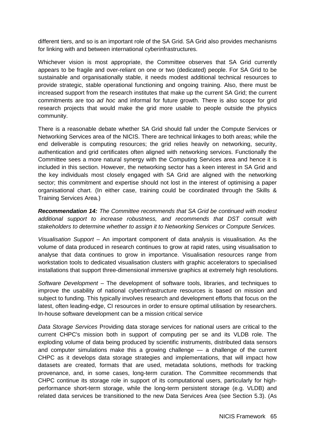different tiers, and so is an important role of the SA Grid. SA Grid also provides mechanisms for linking with and between international cyberinfrastructures.

Whichever vision is most appropriate, the Committee observes that SA Grid currently appears to be fragile and over-reliant on one or two (dedicated) people. For SA Grid to be sustainable and organisationally stable, it needs modest additional technical resources to provide strategic, stable operational functioning and ongoing training. Also, there must be increased support from the research institutes that make up the current SA Grid; the current commitments are too *ad hoc* and informal for future growth. There is also scope for grid research projects that would make the grid more usable to people outside the physics community.

There is a reasonable debate whether SA Grid should fall under the Compute Services or Networking Services area of the NICIS. There are technical linkages to both areas; while the end deliverable is computing resources; the grid relies heavily on networking, security, authentication and grid certificates often aligned with networking services. Functionally the Committee sees a more natural synergy with the Computing Services area and hence it is included in this section. However, the networking sector has a keen interest in SA Grid and the key individuals most closely engaged with SA Grid are aligned with the networking sector; this commitment and expertise should not lost in the interest of optimising a paper organisational chart. (In either case, training could be coordinated through the Skills & Training Services Area.)

*Recommendation 14: The Committee recommends that SA Grid be continued with modest additional support to increase robustness, and recommends that DST consult with stakeholders to determine whether to assign it to Networking Services or Compute Services.* 

*Visualisation Support* – An important component of data analysis is visualisation. As the volume of data produced in research continues to grow at rapid rates, using visualisation to analyse that data continues to grow in importance. Visualisation resources range from workstation tools to dedicated visualisation clusters with graphic accelerators to specialised installations that support three-dimensional immersive graphics at extremely high resolutions.

*Software Development* – The development of software tools, libraries, and techniques to improve the usability of national cyberinfrastructure resources is based on mission and subject to funding. This typically involves research and development efforts that focus on the latest, often leading-edge, CI resources in order to ensure optimal utilisation by researchers. In-house software development can be a mission critical service

*Data Storage Services* Providing data storage services for national users are critical to the current CHPC's mission both in support of computing per se and its VLDB role. The exploding volume of data being produced by scientific instruments, distributed data sensors and computer simulations make this a growing challenge — a challenge of the current CHPC as it develops data storage strategies and implementations, that will impact how datasets are created, formats that are used, metadata solutions, methods for tracking provenance, and, in some cases, long-term curation. The Committee recommends that CHPC continue its storage role in support of its computational users, particularly for highperformance short-term storage, while the long-term persistent storage (e.g. VLDB) and related data services be transitioned to the new Data Services Area (see Section 5.3). (As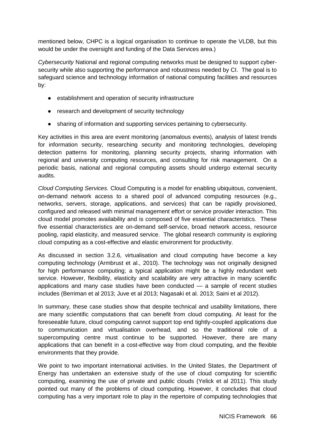mentioned below, CHPC is a logical organisation to continue to operate the VLDB, but this would be under the oversight and funding of the Data Services area.)

*Cybersecurity* National and regional computing networks must be designed to support cybersecurity while also supporting the performance and robustness needed by CI. The goal is to safeguard science and technology information of national computing facilities and resources by:

- establishment and operation of security infrastructure
- research and development of security technology
- sharing of information and supporting services pertaining to cybersecurity.

Key activities in this area are event monitoring (anomalous events), analysis of latest trends for information security, researching security and monitoring technologies, developing detection patterns for monitoring, planning security projects, sharing information with regional and university computing resources, and consulting for risk management. On a periodic basis, national and regional computing assets should undergo external security audits.

*Cloud Computing Services.* Cloud Computing is a model for enabling ubiquitous, convenient, on-demand network access to a shared pool of advanced computing resources (e.g., networks, servers, storage, applications, and services) that can be rapidly provisioned, configured and released with minimal management effort or service provider interaction. This cloud model promotes availability and is composed of five essential characteristics. These five essential characteristics are on-demand self-service, broad network access, resource pooling, rapid elasticity, and measured service. The global research community is exploring cloud computing as a cost-effective and elastic environment for productivity.

As discussed in section 3.2.6, virtualisation and cloud computing have become a key computing technology (Armbrust et al., 2010). The technology was not originally designed for high performance computing; a typical application might be a highly redundant web service. However, flexibility, elasticity and scalability are very attractive in many scientific applications and many case studies have been conducted — a sample of recent studies includes (Berriman et al 2013; Juve et al 2013; Nagasaki et al. 2013; Saini et al 2012).

In summary, these case studies show that despite technical and usability limitations, there are many scientific computations that can benefit from cloud computing. At least for the foreseeable future, cloud computing cannot support top end tightly-coupled applications due to communication and virtualisation overhead, and so the traditional role of a supercomputing centre must continue to be supported. However, there are many applications that can benefit in a cost-effective way from cloud computing, and the flexible environments that they provide.

We point to two important international activities. In the United States, the Department of Energy has undertaken an extensive study of the use of cloud computing for scientific computing, examining the use of private and public clouds (Yelick et al 2011). This study pointed out many of the problems of cloud computing. However, it concludes that cloud computing has a very important role to play in the repertoire of computing technologies that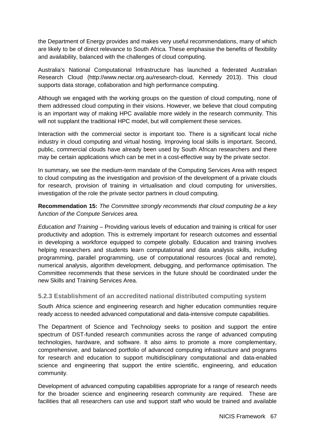the Department of Energy provides and makes very useful recommendations, many of which are likely to be of direct relevance to South Africa. These emphasise the benefits of flexibility and availability, balanced with the challenges of cloud computing.

Australia's National Computational Infrastructure has launched a federated Australian Research Cloud (http://www.nectar.org.au/research-cloud, Kennedy 2013). This cloud supports data storage, collaboration and high performance computing.

Although we engaged with the working groups on the question of cloud computing, none of them addressed cloud computing in their visions. However, we believe that cloud computing is an important way of making HPC available more widely in the research community. This will not supplant the traditional HPC model, but will complement these services.

Interaction with the commercial sector is important too. There is a significant local niche industry in cloud computing and virtual hosting. Improving local skills is important. Second, public, commercial clouds have already been used by South African researchers and there may be certain applications which can be met in a cost-effective way by the private sector.

In summary, we see the medium-term mandate of the Computing Services Area with respect to cloud computing as the investigation and provision of the development of a private clouds for research, provision of training in virtualisation and cloud computing for universities, investigation of the role the private sector partners in cloud computing.

**Recommendation 15:** *The Committee strongly recommends that cloud computing be a key function of the Compute Services area.* 

*Education and Training* – Providing various levels of education and training is critical for user productivity and adoption. This is extremely important for research outcomes and essential in developing a workforce equipped to compete globally. Education and training involves helping researchers and students learn computational and data analysis skills, including programming, parallel programming, use of computational resources (local and remote), numerical analysis, algorithm development, debugging, and performance optimisation. The Committee recommends that these services in the future should be coordinated under the new Skills and Training Services Area.

#### **5.2.3 Establishment of an accredited national distributed computing system**

South Africa science and engineering research and higher education communities require ready access to needed advanced computational and data-intensive compute capabilities.

The Department of Science and Technology seeks to position and support the entire spectrum of DST-funded research communities across the range of advanced computing technologies, hardware, and software. It also aims to promote a more complementary, comprehensive, and balanced portfolio of advanced computing infrastructure and programs for research and education to support multidisciplinary computational and data-enabled science and engineering that support the entire scientific, engineering, and education community.

Development of advanced computing capabilities appropriate for a range of research needs for the broader science and engineering research community are required. These are facilities that all researchers can use and support staff who would be trained and available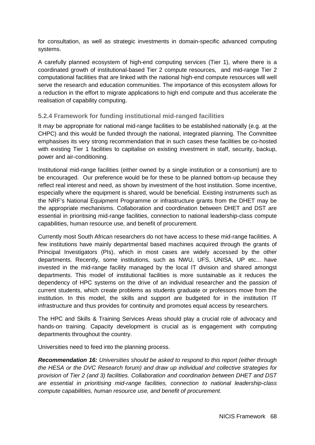for consultation, as well as strategic investments in domain-specific advanced computing systems.

A carefully planned ecosystem of high-end computing services (Tier 1), where there is a coordinated growth of institutional-based Tier 2 compute resources, and mid-range Tier 2 computational facilities that are linked with the national high-end compute resources will well serve the research and education communities. The importance of this ecosystem allows for a reduction in the effort to migrate applications to high end compute and thus accelerate the realisation of capability computing.

#### **5.2.4 Framework for funding institutional mid-ranged facilities**

It *may* be appropriate for national mid-range facilities to be established nationally (e.g. at the CHPC) and this would be funded through the national, integrated planning. The Committee emphasises its very strong recommendation that in such cases these facilities be co-hosted with existing Tier 1 facilities to capitalise on existing investment in staff, security, backup, power and air-conditioning.

Institutional mid-range facilities (either owned by a single institution or a consortium) are to be encouraged. Our preference would be for these to be planned bottom-up because they reflect real interest and need, as shown by investment of the host institution. Some incentive, especially where the equipment is shared, would be beneficial. Existing instruments such as the NRF's National Equipment Programme or infrastructure grants from the DHET may be the appropriate mechanisms. Collaboration and coordination between DHET and DST are essential in prioritising mid-range facilities, connection to national leadership-class compute capabilities, human resource use, and benefit of procurement.

Currently most South African researchers do not have access to these mid-range facilities. A few institutions have mainly departmental based machines acquired through the grants of Principal Investigators (PIs), which in most cases are widely accessed by the other departments. Recently, some institutions, such as NWU, UFS, UNISA, UP etc... have invested in the mid-range facility managed by the local IT division and shared amongst departments. This model of institutional facilities is more sustainable as it reduces the dependency of HPC systems on the drive of an individual researcher and the passion of current students, which create problems as students graduate or professors move from the institution. In this model, the skills and support are budgeted for in the institution IT infrastructure and thus provides for continuity and promotes equal access by researchers.

The HPC and Skills & Training Services Areas should play a crucial role of advocacy and hands-on training. Capacity development is crucial as is engagement with computing departments throughout the country.

Universities need to feed into the planning process.

*Recommendation 16: Universities should be asked to respond to this report (either through the HESA or the DVC Research forum) and draw up individual and collective strategies for provision of Tier 2 (and 3) facilities. Collaboration and coordination between DHET and DST are essential in prioritising mid-range facilities, connection to national leadership-class compute capabilities, human resource use, and benefit of procurement.*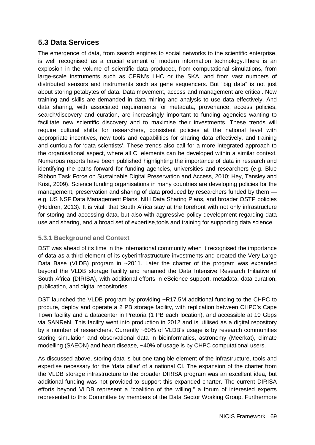### **5.3 Data Services**

The emergence of data, from search engines to social networks to the scientific enterprise, is well recognised as a crucial element of modern information technology.There is an explosion in the volume of scientific data produced, from computational simulations, from large-scale instruments such as CERN's LHC or the SKA, and from vast numbers of distributed sensors and instruments such as gene sequencers. But "big data" is not just about storing petabytes of data. Data movement, access and management are critical. New training and skills are demanded in data mining and analysis to use data effectively. And data sharing, with associated requirements for metadata, provenance, access policies, search/discovery and curation, are increasingly important to funding agencies wanting to facilitate new scientific discovery and to maximise their investments. These trends will require cultural shifts for researchers, consistent policies at the national level with appropriate incentives, new tools and capabilities for sharing data effectively, and training and curricula for 'data scientists'. These trends also call for a more integrated approach to the organisational aspect, where all CI elements can be developed within a similar context. Numerous reports have been published highlighting the importance of data in research and identifying the paths forward for funding agencies, universities and researchers (e.g. Blue Ribbon Task Force on Sustainable Digital Preservation and Access, 2010; Hey, Tansley and Krist, 2009). Science funding organisations in many countries are developing policies for the management, preservation and sharing of data produced by researchers funded by them e.g. US NSF Data Management Plans, NIH Data Sharing Plans, and broader OSTP policies (Holdren, 2013). It is vital that South Africa stay at the forefront with not only infrastructure for storing and accessing data, but also with aggressive policy development regarding data use and sharing, and a broad set of expertise,tools and training for supporting data science.

### **5.3.1 Background and Context**

DST was ahead of its time in the international community when it recognised the importance of data as a third element of its cyberinfrastructure investments and created the Very Large Data Base (VLDB) program in ~2011. Later the charter of the program was expanded beyond the VLDB storage facility and renamed the Data Intensive Research Initiative of South Africa **(**DIRISA), with additional efforts in eScience support, metadata, data curation, publication, and digital repositories.

DST launched the VLDB program by providing ~R17.5M additional funding to the CHPC to procure, deploy and operate a 2 PB storage facility, with replication between CHPC's Cape Town facility and a datacenter in Pretoria (1 PB each location), and accessible at 10 Gbps via SANReN. This facility went into production in 2012 and is utilised as a digital repository by a number of researchers. Currently ~60% of VLDB's usage is by research communities storing simulation and observational data in bioinformatics, astronomy (Meerkat), climate modelling (SAEON) and heart disease, ~40% of usage is by CHPC computational users.

As discussed above, storing data is but one tangible element of the infrastructure, tools and expertise necessary for the 'data pillar' of a national CI. The expansion of the charter from the VLDB storage infrastructure to the broader DIRISA program was an excellent idea, but additional funding was not provided to support this expanded charter. The current DIRISA efforts beyond VLDB represent a "coalition of the willing," a forum of interested experts represented to this Committee by members of the Data Sector Working Group. Furthermore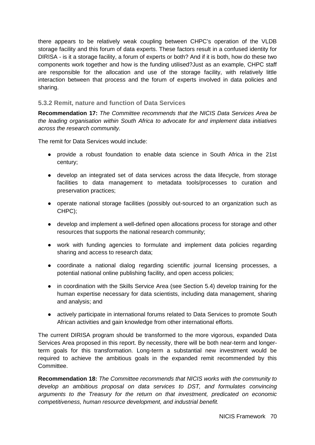there appears to be relatively weak coupling between CHPC's operation of the VLDB storage facility and this forum of data experts. These factors result in a confused identity for DIRISA - is it a storage facility, a forum of experts or both? And if it is both, how do these two components work together and how is the funding utilised?Just as an example, CHPC staff are responsible for the allocation and use of the storage facility, with relatively little interaction between that process and the forum of experts involved in data policies and sharing.

#### **5.3.2 Remit, nature and function of Data Services**

**Recommendation 17:** *The Committee recommends that the NICIS Data Services Area be the leading organisation within South Africa to advocate for and implement data initiatives across the research community.*

The remit for Data Services would include:

- provide a robust foundation to enable data science in South Africa in the 21st century;
- develop an integrated set of data services across the data lifecycle, from storage facilities to data management to metadata tools/processes to curation and preservation practices;
- operate national storage facilities (possibly out-sourced to an organization such as CHPC);
- develop and implement a well-defined open allocations process for storage and other resources that supports the national research community;
- work with funding agencies to formulate and implement data policies regarding sharing and access to research data;
- coordinate a national dialog regarding scientific journal licensing processes, a potential national online publishing facility, and open access policies;
- in coordination with the Skills Service Area (see Section 5.4) develop training for the human expertise necessary for data scientists, including data management, sharing and analysis; and
- actively participate in international forums related to Data Services to promote South African activities and gain knowledge from other international efforts.

The current DIRISA program should be transformed to the more vigorous, expanded Data Services Area proposed in this report. By necessity, there will be both near-term and longerterm goals for this transformation. Long-term a substantial new investment would be required to achieve the ambitious goals in the expanded remit recommended by this Committee.

**Recommendation 18:** *The Committee recommends that NICIS works with the community to develop an ambitious proposal on data services to DST, and formulates convincing arguments to the Treasury for the return on that investment, predicated on economic competitiveness, human resource development, and industrial benefit.*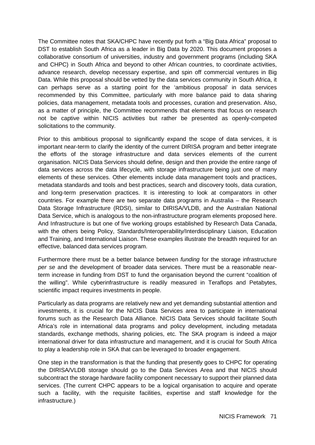The Committee notes that SKA/CHPC have recently put forth a "Big Data Africa" proposal to DST to establish South Africa as a leader in Big Data by 2020. This document proposes a collaborative consortium of universities, industry and government programs (including SKA and CHPC) in South Africa and beyond to other African countries, to coordinate activities, advance research, develop necessary expertise, and spin off commercial ventures in Big Data. While this proposal should be vetted by the data services community in South Africa, it can perhaps serve as a starting point for the 'ambitious proposal' in data services recommended by this Committee, particularly with more balance paid to data sharing policies, data management, metadata tools and processes, curation and preservation. Also, as a matter of principle, the Committee recommends that elements that focus on research not be captive within NICIS activities but rather be presented as openly-competed solicitations to the community.

Prior to this ambitious proposal to significantly expand the scope of data services, it is important near-term to clarify the identity of the current DIRISA program and better integrate the efforts of the storage infrastructure and data services elements of the current organisation. NICIS Data Services should define, design and then provide the entire range of data services across the data lifecycle, with storage infrastructure being just one of many elements of these services. Other elements include data management tools and practices, metadata standards and tools and best practices, search and discovery tools, data curation, and long-term preservation practices. It is interesting to look at comparators in other countries. For example there are two separate data programs in Australia – the Research Data Storage Infrastructure (RDSI), similar to DIRISA/VLDB, and the Australian National Data Service, which is analogous to the non-infrastructure program elements proposed here. And Infrastructure is but one of five working groups established by Research Data Canada, with the others being Policy, Standards/Interoperability/Interdisciplinary Liaison, Education and Training, and International Liaison. These examples illustrate the breadth required for an effective, balanced data services program.

Furthermore there must be a better balance between *funding* for the storage infrastructure *per se* and the development of broader data services. There must be a reasonable nearterm increase in funding from DST to fund the organisation beyond the current "coalition of the willing". While cyberinfrastructure is readily measured in Teraflops and Petabytes, scientific impact requires investments in people.

Particularly as data programs are relatively new and yet demanding substantial attention and investments, it is crucial for the NICIS Data Services area to participate in international forums such as the Research Data Alliance. NICIS Data Services should facilitate South Africa's role in international data programs and policy development, including metadata standards, exchange methods, sharing policies, etc. The SKA program is indeed a major international driver for data infrastructure and management, and it is crucial for South Africa to play a leadership role in SKA that can be leveraged to broader engagement.

One step in the transformation is that the funding that presently goes to CHPC for operating the DIRISA/VLDB storage should go to the Data Services Area and that NICIS should subcontract the storage hardware facility component necessary to support their planned data services. (The current CHPC appears to be a logical organisation to acquire and operate such a facility, with the requisite facilities, expertise and staff knowledge for the infrastructure.)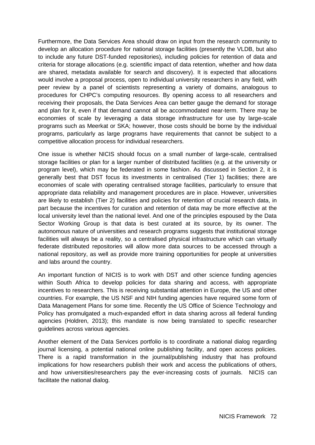Furthermore, the Data Services Area should draw on input from the research community to develop an allocation procedure for national storage facilities (presently the VLDB, but also to include any future DST-funded repositories), including policies for retention of data and criteria for storage allocations (e.g. scientific impact of data retention, whether and how data are shared, metadata available for search and discovery). It is expected that allocations would involve a proposal process, open to individual university researchers in any field, with peer review by a panel of scientists representing a variety of domains, analogous to procedures for CHPC's computing resources. By opening access to all researchers and receiving their proposals, the Data Services Area can better gauge the demand for storage and plan for it, even if that demand cannot all be accommodated near-term. There may be economies of scale by leveraging a data storage infrastructure for use by large-scale programs such as Meerkat or SKA; however, those costs should be borne by the individual programs, particularly as large programs have requirements that cannot be subject to a competitive allocation process for individual researchers.

One issue is whether NICIS should focus on a small number of large-scale, centralised storage facilities or plan for a larger number of distributed facilities (e.g. at the university or program level), which may be federated in some fashion. As discussed in Section 2, it is generally best that DST focus its investments in centralised (Tier 1) facilities; there are economies of scale with operating centralised storage facilities, particularly to ensure that appropriate data reliability and management procedures are in place. However, universities are likely to establish (Tier 2) facilities and policies for retention of crucial research data, in part because the incentives for curation and retention of data may be more effective at the local university level than the national level. And one of the principles espoused by the Data Sector Working Group is that data is best curated at its source, by its owner. The autonomous nature of universities and research programs suggests that institutional storage facilities will always be a reality, so a centralised physical infrastructure which can virtually federate distributed repositories will allow more data sources to be accessed through a national repository, as well as provide more training opportunities for people at universities and labs around the country.

An important function of NICIS is to work with DST and other science funding agencies within South Africa to develop policies for data sharing and access, with appropriate incentives to researchers. This is receiving substantial attention in Europe, the US and other countries. For example, the US NSF and NIH funding agencies have required some form of Data Management Plans for some time. Recently the US Office of Science Technology and Policy has promulgated a much-expanded effort in data sharing across all federal funding agencies (Holdren, 2013); this mandate is now being translated to specific researcher guidelines across various agencies.

Another element of the Data Services portfolio is to coordinate a national dialog regarding journal licensing, a potential national online publishing facility, and open access policies. There is a rapid transformation in the journal/publishing industry that has profound implications for how researchers publish their work and access the publications of others, and how universities/researchers pay the ever-increasing costs of journals. NICIS can facilitate the national dialog.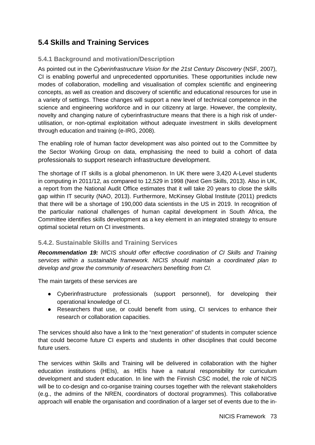## **5.4 Skills and Training Services**

### **5.4.1 Background and motivation/Description**

As pointed out in the *Cyberinfrastructure Vision for the 21st Century Discovery* (NSF, 2007), CI is enabling powerful and unprecedented opportunities. These opportunities include new modes of collaboration, modelling and visualisation of complex scientific and engineering concepts, as well as creation and discovery of scientific and educational resources for use in a variety of settings. These changes will support a new level of technical competence in the science and engineering workforce and in our citizenry at large. However, the complexity, novelty and changing nature of cyberinfrastructure means that there is a high risk of underutilisation, or non-optimal exploitation without adequate investment in skills development through education and training (e-IRG, 2008).

The enabling role of human factor development was also pointed out to the Committee by the Sector Working Group on data, emphasising the need to build a cohort of data professionals to support research infrastructure development.

The shortage of IT skills is a global phenomenon. In UK there were 3,420 A-Level students in computing in 2011/12, as compared to 12,529 in 1998 (Next Gen Skills, 2013). Also in UK, a report from the National Audit Office estimates that it will take 20 years to close the skills gap within IT security (NAO, 2013). Furthermore, McKinsey Global Institute (2011) predicts that there will be a shortage of 190,000 data scientists in the US in 2019. In recognition of the particular national challenges of human capital development in South Africa, the Committee identifies skills development as a key element in an integrated strategy to ensure optimal societal return on CI investments.

### **5.4.2. Sustainable Skills and Training Services**

*Recommendation 19: NICIS should offer effective coordination of CI Skills and Training services within a sustainable framework. NICIS should maintain a coordinated plan to develop and grow the community of researchers benefiting from CI.* 

The main targets of these services are

- Cyberinfrastructure professionals (support personnel), for developing their operational knowledge of CI.
- Researchers that use, or could benefit from using, CI services to enhance their research or collaboration capacities.

The services should also have a link to the "next generation" of students in computer science that could become future CI experts and students in other disciplines that could become future users.

The services within Skills and Training will be delivered in collaboration with the higher education institutions (HEIs), as HEIs have a natural responsibility for curriculum development and student education. In line with the Finnish CSC model, the role of NICIS will be to co-design and co-organise training courses together with the relevant stakeholders (e.g., the admins of the NREN, coordinators of doctoral programmes). This collaborative approach will enable the organisation and coordination of a larger set of events due to the in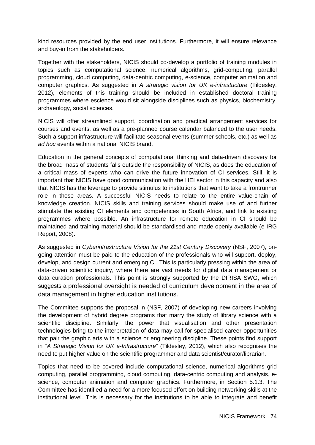kind resources provided by the end user institutions. Furthermore, it will ensure relevance and buy-in from the stakeholders.

Together with the stakeholders, NICIS should co-develop a portfolio of training modules in topics such as computational science, numerical algorithms, grid-computing, parallel programming, cloud computing, data-centric computing, e-science, computer animation and computer graphics. As suggested in *A strategic vision for UK e-infrastucture* (Tildesley, 2012), elements of this training should be included in established doctoral training programmes where escience would sit alongside disciplines such as physics, biochemistry, archaeology, social sciences.

NICIS will offer streamlined support, coordination and practical arrangement services for courses and events, as well as a pre-planned course calendar balanced to the user needs. Such a support infrastructure will facilitate seasonal events (summer schools, etc.) as well as *ad hoc* events within a national NICIS brand.

Education in the general concepts of computational thinking and data-driven discovery for the broad mass of students falls outside the responsibility of NICIS, as does the education of a critical mass of experts who can drive the future innovation of CI services. Still, it is important that NICIS have good communication with the HEI sector in this capacity and also that NICIS has the leverage to provide stimulus to institutions that want to take a frontrunner role in these areas. A successful NICIS needs to relate to the entire value-chain of knowledge creation. NICIS skills and training services should make use of and further stimulate the existing CI elements and competences in South Africa, and link to existing programmes where possible. An infrastructure for remote education in CI should be maintained and training material should be standardised and made openly available (e-IRG Report, 2008).

As suggested in *Cyberinfrastructure Vision for the 21st Century Discovery* (NSF, 2007), ongoing attention must be paid to the education of the professionals who will support, deploy, develop, and design current and emerging CI. This is particularly pressing within the area of data-driven scientific inquiry, where there are vast needs for digital data management or data curation professionals. This point is strongly supported by the DIRISA SWG, which suggests a professional oversight is needed of curriculum development in the area of data management in higher education institutions.

The Committee supports the proposal in (NSF, 2007) of developing new careers involving the development of hybrid degree programs that marry the study of library science with a scientific discipline. Similarly, the power that visualisation and other presentation technologies bring to the interpretation of data may call for specialised career opportunities that pair the graphic arts with a science or engineering discipline. These points find support in "*A Strategic Vision for UK e-Infrastructure*" (Tildesley, 2012), which also recognises the need to put higher value on the scientific programmer and data scientist/curator/librarian.

Topics that need to be covered include computational science, numerical algorithms grid computing, parallel programming, cloud computing, data-centric computing and analysis, escience, computer animation and computer graphics. Furthermore, in Section 5.1.3. The Committee has identified a need for a more focused effort on building networking skills at the institutional level. This is necessary for the institutions to be able to integrate and benefit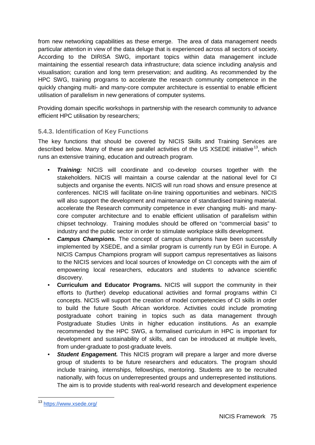from new networking capabilities as these emerge. The area of data management needs particular attention in view of the data deluge that is experienced across all sectors of society. According to the DIRISA SWG, important topics within data management include maintaining the essential research data infrastructure; data science including analysis and visualisation; curation and long term preservation; and auditing. As recommended by the HPC SWG, training programs to accelerate the research community competence in the quickly changing multi- and many-core computer architecture is essential to enable efficient utilisation of parallelism in new generations of computer systems.

Providing domain specific workshops in partnership with the research community to advance efficient HPC utilisation by researchers;

### **5.4.3. Identification of Key Functions**

The key functions that should be covered by NICIS Skills and Training Services are described below. Many of these are parallel activities of the US  $XSEDE$  initiative<sup>[13](#page-53-0)</sup>, which runs an extensive training, education and outreach program.

- *Training:* NICIS will coordinate and co-develop courses together with the stakeholders. NICIS will maintain a course calendar at the national level for CI subjects and organise the events. NICIS will run road shows and ensure presence at conferences. NICIS will facilitate on-line training opportunities and webinars. NICIS will also support the development and maintenance of standardised training material. accelerate the Research community competence in ever changing multi- and manycore computer architecture and to enable efficient utilisation of parallelism within chipset technology. Training modules should be offered on "commercial basis" to industry and the public sector in order to stimulate workplace skills development.
- *Campus Champions.* The concept of campus champions have been successfully implemented by XSEDE, and a similar program is currently run by EGI in Europe. A NICIS Campus Champions program will support campus representatives as liaisons to the NICIS services and local sources of knowledge on CI concepts with the aim of empowering local researchers, educators and students to advance scientific discovery.
- **Curriculum and Educator Programs.** NICIS will support the community in their efforts to (further) develop educational activities and formal programs within CI concepts. NICIS will support the creation of model competencies of CI skills in order to build the future South African workforce. Activities could include promoting postgraduate cohort training in topics such as data management through Postgraduate Studies Units in higher education institutions. As an example recommended by the HPC SWG, a formalised curriculum in HPC is important for development and sustainability of skills, and can be introduced at multiple levels, from under-graduate to post-graduate levels.
- *Student Engagement.* This NICIS program will prepare a larger and more diverse group of students to be future researchers and educators. The program should include training, internships, fellowships, mentoring. Students are to be recruited nationally, with focus on underrepresented groups and underrepresented institutions. The aim is to provide students with real-world research and development experience

<sup>13</sup> <https://www.xsede.org/>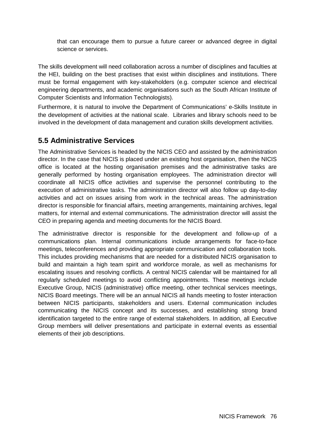that can encourage them to pursue a future career or advanced degree in digital science or services.

The skills development will need collaboration across a number of disciplines and faculties at the HEI, building on the best practises that exist within disciplines and institutions. There must be formal engagement with key-stakeholders (e.g. computer science and electrical engineering departments, and academic organisations such as the South African Institute of Computer Scientists and Information Technologists).

Furthermore, it is natural to involve the Department of Communications' e-Skills Institute in the development of activities at the national scale. Libraries and library schools need to be involved in the development of data management and curation skills development activities.

## **5.5 Administrative Services**

The Administrative Services is headed by the NICIS CEO and assisted by the administration director. In the case that NICIS is placed under an existing host organisation, then the NICIS office is located at the hosting organisation premises and the administrative tasks are generally performed by hosting organisation employees. The administration director will coordinate all NICIS office activities and supervise the personnel contributing to the execution of administrative tasks. The administration director will also follow up day-to-day activities and act on issues arising from work in the technical areas. The administration director is responsible for financial affairs, meeting arrangements, maintaining archives, legal matters, for internal and external communications. The administration director will assist the CEO in preparing agenda and meeting documents for the NICIS Board.

The administrative director is responsible for the development and follow-up of a communications plan. Internal communications include arrangements for face-to-face meetings, teleconferences and providing appropriate communication and collaboration tools. This includes providing mechanisms that are needed for a distributed NICIS organisation to build and maintain a high team spirit and workforce morale, as well as mechanisms for escalating issues and resolving conflicts. A central NICIS calendar will be maintained for all regularly scheduled meetings to avoid conflicting appointments. These meetings include Executive Group, NICIS (administrative) office meeting, other technical services meetings, NICIS Board meetings. There will be an annual NICIS all hands meeting to foster interaction between NICIS participants, stakeholders and users. External communication includes communicating the NICIS concept and its successes, and establishing strong brand identification targeted to the entire range of external stakeholders. In addition, all Executive Group members will deliver presentations and participate in external events as essential elements of their job descriptions.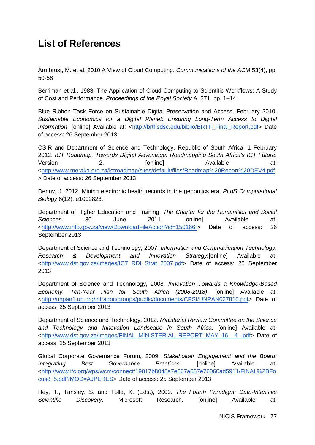## **List of References**

Armbrust, M. et al. 2010 A View of Cloud Computing. *Communications of the ACM* 53(4), pp. 50-58

Berriman et al., 1983. The Application of Cloud Computing to Scientific Workflows: A Study of Cost and Performance. *Proceedings of the Royal Society* A, 371, pp. 1–14.

Blue Ribbon Task Force on Sustainable Digital Preservation and Access, February 2010. *Sustainable Economics for a Digital Planet: Ensuring Long-Term Access to Digital Information*. [online] Available at: [<http://brtf.sdsc.edu/biblio/BRTF\\_Final\\_Report.pdf>](http://brtf.sdsc.edu/biblio/BRTF_Final_Report.pdf) Date of access: 26 September 2013

CSIR and Department of Science and Technology, Republic of South Africa, 1 February 2012. *ICT Roadmap. Towards Digital Advantage: Roadmapping South Africa's ICT Future.* Version 2. [online] Available at: [<http://www.meraka.org.za/ictroadmap/sites/default/files/Roadmap%20Report%20DEV4.pdf](http://www.meraka.org.za/ictroadmap/sites/default/files/Roadmap%20Report%20DEV4.pdf) > Date of access: 26 September 2013

Denny, J. 2012. Mining electronic health records in the genomics era. *PLoS Computational Biology* 8(12), e1002823.

Department of Higher Education and Training. *The Charter for the Humanities and Social Sciences.* 30 June 2011. [online] Available at: [<http://www.info.gov.za/view/DownloadFileAction?id=150166f>](http://www.info.gov.za/view/DownloadFileAction?id=150166) Date of access: 26 September 2013

Department of Science and Technology, 2007. *Information and Communication Technology. Research & Development and Innovation Strategy.*[online] Available at: [<http://www.dst.gov.za/images/ICT\\_RDI\\_Strat\\_2007.pdf>](http://www.dst.gov.za/images/ICT_RDI_Strat_2007.pdf) Date of access: 25 September 2013

Department of Science and Technology, 2008. *Innovation Towards a Knowledge-Based Economy. Ten-Year Plan for South Africa (2008-2018)*. [online] Available at: [<http://unpan1.un.org/intradoc/groups/public/documents/CPSI/UNPAN027810.pdf>](http://unpan1.un.org/intradoc/groups/public/documents/CPSI/UNPAN027810.pdf) Date of access: 25 September 2013

Department of Science and Technology, 2012. *Ministerial Review Committee on the Science and Technology and Innovation Landscape in South Africa*. [online] Available at: [<http://www.dst.gov.za/images/FINAL\\_MINISTERIAL\\_REPORT\\_MAY\\_16\\_\\_4\\_.pdf>](http://www.dst.gov.za/images/FINAL_MINISTERIAL_REPORT_MAY_16__4_.pdf) Date of access: 25 September 2013

Global Corporate Governance Forum, 2009. *Stakeholder Engagement and the Board: Integrating Best Governance Practices*. [online] Available at: [<http://www.ifc.org/wps/wcm/connect/19017b8048a7e667a667e76060ad5911/FINAL%2BFo](http://www.ifc.org/wps/wcm/connect/19017b8048a7e667a667e76060ad5911/FINAL%2BFocus8_5.pdf?MOD=AJPERES) [cus8\\_5.pdf?MOD=AJPERES>](http://www.ifc.org/wps/wcm/connect/19017b8048a7e667a667e76060ad5911/FINAL%2BFocus8_5.pdf?MOD=AJPERES) Date of access: 25 September 2013

Hey, T., Tansley, S. and Tolle, K. (Eds.), 2009. *The Fourth Paradigm: Data-Intensive Scientific Discovery*. Microsoft Research. [online] Available at: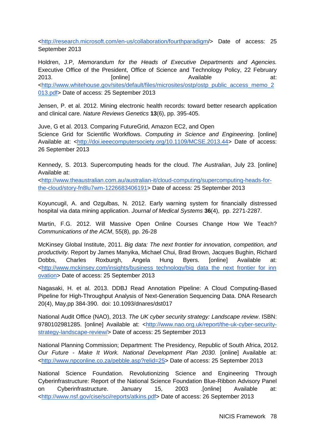[<http://research.microsoft.com/en-us/collaboration/fourthparadigm/](http://research.microsoft.com/en-us/collaboration/fourthparadigm/)> Date of access: 25 September 2013

Holdren, J.P, *Memorandum for the Heads of Executive Departments and Agencies.* Executive Office of the President, Office of Science and Technology Policy, 22 February 2013. [online] Available at: [<http://www.whitehouse.gov/sites/default/files/microsites/ostp/ostp\\_public\\_access\\_memo\\_2](http://www.whitehouse.gov/sites/default/files/microsites/ostp/ostp_public_access_memo_2013.pdf) [013.pdf>](http://www.whitehouse.gov/sites/default/files/microsites/ostp/ostp_public_access_memo_2013.pdf) Date of access: 25 September 2013

Jensen, P. et al. 2012. Mining electronic health records: toward better research application and clinical care. *Nature Reviews Genetics* **13**(6), pp. 395-405.

Juve, G et al. 2013. Comparing FutureGrid, Amazon EC2, and Open Science Grid for Scientific Workflows. *Computing in Science and Engineering*. [online] Available at: [<http://doi.ieeecomputersociety.org/10.1109/MCSE.2013.44>](http://doi.ieeecomputersociety.org/10.1109/MCSE.2013.44) Date of access: 26 September 2013

Kennedy, S. 2013. Supercomputing heads for the cloud. *The Australian*, July 23. [online] Available at:

[<http://www.theaustralian.com.au/australian-it/cloud-computing/supercomputing-heads-for](http://www.theaustralian.com.au/australian-it/cloud-computing/supercomputing-heads-for-the-cloud/story-fn8lu7wm-1226683406191)[the-cloud/story-fn8lu7wm-1226683406191>](http://www.theaustralian.com.au/australian-it/cloud-computing/supercomputing-heads-for-the-cloud/story-fn8lu7wm-1226683406191) Date of access: 25 September 2013

Koyuncugil, A. and Ozgulbas, N. 2012. Early warning system for financially distressed hospital via data mining application. *Journal of Medical Systems* **36**(4), pp. 2271-2287.

Martin, F.G. 2012. Will Massive Open Online Courses Change How We Teach? *Communications of the ACM*, 55(8), pp. 26-28

McKinsey Global Institute, 2011. *Big data: The next frontier for innovation, competition, and productivity*. Report by James Manyika, Michael Chui, Brad Brown, Jacques Bughin, Richard Dobbs, Charles Roxburgh, Angela Hung Byers. [online] Available at: [<http://www.mckinsey.com/insights/business\\_technology/big\\_data\\_the\\_next\\_frontier\\_for\\_inn](http://www.mckinsey.com/insights/business_technology/big_data_the_next_frontier_for_innovation) [ovation>](http://www.mckinsey.com/insights/business_technology/big_data_the_next_frontier_for_innovation) Date of access: 25 September 2013

Nagasaki, H. et al. 2013. DDBJ Read Annotation Pipeline: A Cloud Computing-Based Pipeline for High-Throughput Analysis of Next-Generation Sequencing Data. DNA Research 20(4), May,pp 384-390. doi: 10.1093/dnares/dst017

National Audit Office (NAO), 2013. *The UK cyber security strategy: Landscape review*. ISBN: 9780102981285. [online] Available at: [<http://www.nao.org.uk/report/the-uk-cyber-security](http://www.nao.org.uk/report/the-uk-cyber-security-strategy-landscape-review/)[strategy-landscape-review/>](http://www.nao.org.uk/report/the-uk-cyber-security-strategy-landscape-review/) Date of access: 25 September 2013

National Planning Commission; Department: The Presidency, Republic of South Africa, 2012. *Our Future - Make It Work. National Development Plan 2030.* [online] Available at: [<http://www.npconline.co.za/pebble.asp?relid=25>](http://www.npconline.co.za/pebble.asp?relid=25) Date of access: 25 September 2013

National Science Foundation. Revolutionizing Science and Engineering Through Cyberinfrastructure: Report of the National Science Foundation Blue-Ribbon Advisory Panel on Cyberinfrastructure. January 15, 2003 .[online] Available at: [<http://www.nsf.gov/cise/sci/reports/atkins.pdf>](http://www.nsf.gov/cise/sci/reports/atkins.pdf) Date of access: 26 September 2013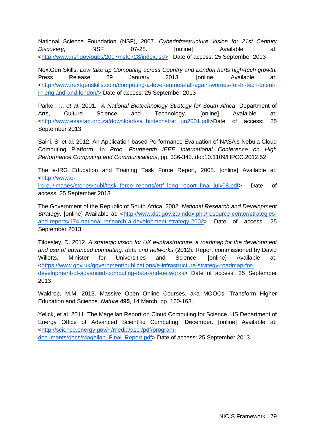National Science Foundation (NSF), 2007. *Cyberinfrastructure Vision for 21st Century*  Discovery, NSF 07-28. [online] Available at: [<http://www.nsf.gov/pubs/2007/nsf0728/index.jsp>](http://www.nsf.gov/pubs/2007/nsf0728/index.jsp) Date of access: 25 September 2013

NextGen Skills. *Low take up Computing across Country and London hurts high-tech growth.* Press Release 29 January 2013. [online] Available at: [<http://www.nextgenskills.com/computing-a-level-entries-fall-again-worries-for-hi-tech-talent](http://www.nextgenskills.com/computing-a-level-entries-fall-again-worries-for-hi-tech-talent-in-england-and-london/)[in-england-and-london/>](http://www.nextgenskills.com/computing-a-level-entries-fall-again-worries-for-hi-tech-talent-in-england-and-london/) Date of access: 25 September 2013

Parker, I., *et al*. 2001. *A National Biotechnology Strategy for South Africa*. Department of Arts. Culture Science and Technology. [online] Avaialble at: [<http://www.esastap.org.za/download/sa\\_biotechstrat\\_jun2001.pdf>](http://www.esastap.org.za/download/sa_biotechstrat_jun2001.pdf)Date of access: 25 September 2013

Saini, S. et al. 2012. An Application-based Performance Evaluation of NASA's Nebula Cloud Computing Platform. In *Proc. Fourteenth IEEE International Conference on High Performance Computing and Communications*, pp. 336-343. doi:10.1109/HPCC.2012.52

The e-IRG Education and Training Task Force Report, 2008. [\[online\] Available at:](http://www.e-irg.eu/images/stories/publ/task_force_reports/ettf_long_report_final_july08.pdf)  [<http://www.e-](http://www.e-irg.eu/images/stories/publ/task_force_reports/ettf_long_report_final_july08.pdf)

irg.eu/images/stories/publ/task\_force\_reports/ettf\_long\_report\_final\_july08.pd[f>](http://www.e-irg.eu/images/stories/publ/task_force_reports/ettf_long_report_final_july08.pdf) Date of access: 25 September 2013

The Government of the Republic of South Africa, 2002. *National Research and Development Strategy*. [online] Available at: [<http://www.dst.gov.za/index.php/resource-center/strategies](http://www.dst.gov.za/index.php/resource-center/strategies-and-reports/174-national-research-a-development-strategy-2002)[and-reports/174-national-research-a-development-strategy-2002>](http://www.dst.gov.za/index.php/resource-center/strategies-and-reports/174-national-research-a-development-strategy-2002) Date of access: 25 September 2013

Tildesley, D. 2012. *A strategic vision for UK e-infrastructure: a roadmap for the development and use of advanced computing, data and networks* (2012). Report commissioned by David Willetts, Minister for Universities and Science. [online] Available at: [<https://www.gov.uk/government/publications/e-infrastructure-strategy-roadmap-for](https://www.gov.uk/government/publications/e-infrastructure-strategy-roadmap-for-development-of-advanced-computing-data-and-networks)[development-of-advanced-computing-data-and-networks>](https://www.gov.uk/government/publications/e-infrastructure-strategy-roadmap-for-development-of-advanced-computing-data-and-networks) Date of access: 25 September 2013

Waldrop, M.M. 2013. Massive Open Online Courses, aka MOOCs, Transform Higher Education and Science. *Nature* **495**, 14 March, pp. 160-163.

Yelick, et al. 2011. The Magellan Report on Cloud Computing for Science. US Department of Energy Office of Advanced Scientific Computing, December. [online] Available at: [<http://science.energy.gov/~/media/ascr/pdf/program-](http://science.energy.gov/~/media/ascr/pdf/program-documents/docs/Magellan_Final_Report.pdf)

[documents/docs/Magellan\\_Final\\_Report.pdf>](http://science.energy.gov/~/media/ascr/pdf/program-documents/docs/Magellan_Final_Report.pdf) Date of access: 25 September 2013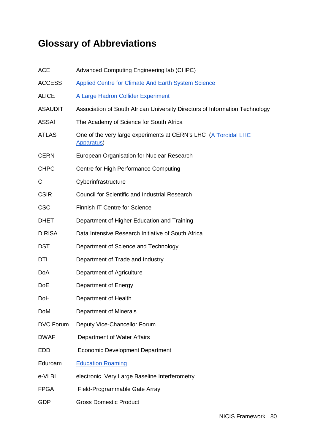# **Glossary of Abbreviations**

| <b>ACE</b>       | Advanced Computing Engineering lab (CHPC)                                           |
|------------------|-------------------------------------------------------------------------------------|
| <b>ACCESS</b>    | <b>Applied Centre for Climate And Earth System Science</b>                          |
| <b>ALICE</b>     | A Large Hadron Collider Experiment                                                  |
| <b>ASAUDIT</b>   | Association of South African University Directors of Information Technology         |
| <b>ASSAf</b>     | The Academy of Science for South Africa                                             |
| <b>ATLAS</b>     | One of the very large experiments at CERN's LHC (A Toroidal LHC<br><b>Apparatus</b> |
| <b>CERN</b>      | European Organisation for Nuclear Research                                          |
| <b>CHPC</b>      | Centre for High Performance Computing                                               |
| <b>CI</b>        | Cyberinfrastructure                                                                 |
| <b>CSIR</b>      | <b>Council for Scientific and Industrial Research</b>                               |
| <b>CSC</b>       | <b>Finnish IT Centre for Science</b>                                                |
| <b>DHET</b>      | Department of Higher Education and Training                                         |
| <b>DIRISA</b>    | Data Intensive Research Initiative of South Africa                                  |
| <b>DST</b>       | Department of Science and Technology                                                |
| DTI              | Department of Trade and Industry                                                    |
| DoA              | Department of Agriculture                                                           |
| <b>DoE</b>       | Department of Energy                                                                |
| DoH              | Department of Health                                                                |
| <b>DoM</b>       | Department of Minerals                                                              |
| <b>DVC Forum</b> | Deputy Vice-Chancellor Forum                                                        |
| <b>DWAF</b>      | Department of Water Affairs                                                         |
| EDD              | <b>Economic Development Department</b>                                              |
| Eduroam          | <b>Education Roaming</b>                                                            |
| e-VLBI           | electronic Very Large Baseline Interferometry                                       |
| <b>FPGA</b>      | Field-Programmable Gate Array                                                       |
| <b>GDP</b>       | <b>Gross Domestic Product</b>                                                       |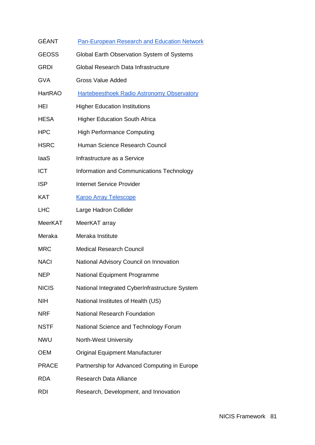| GÉANT        | <b>Pan-European Research and Education Network</b> |
|--------------|----------------------------------------------------|
| <b>GEOSS</b> | Global Earth Observation System of Systems         |
| GRDI         | Global Research Data Infrastructure                |
| GVA          | <b>Gross Value Added</b>                           |
| HartRAO      | <b>Hartebeesthoek Radio Astronomy Observatory</b>  |
| HEI          | <b>Higher Education Institutions</b>               |
| HESA         | <b>Higher Education South Africa</b>               |
| HPC          | <b>High Performance Computing</b>                  |
| HSRC         | Human Science Research Council                     |
| laaS         | Infrastructure as a Service                        |
| <b>ICT</b>   | Information and Communications Technology          |
| ISP          | <b>Internet Service Provider</b>                   |
| KAT          | <b>Karoo Array Telescope</b>                       |
| LHC          | Large Hadron Collider                              |
| MeerKAT      | MeerKAT array                                      |
| Meraka       | Meraka Institute                                   |
| <b>MRC</b>   | <b>Medical Research Council</b>                    |
| <b>NACI</b>  | National Advisory Council on Innovation            |
| NEP          | National Equipment Programme                       |
| <b>NICIS</b> | National Integrated CyberInfrastructure System     |
| NIH          | National Institutes of Health (US)                 |
| <b>NRF</b>   | National Research Foundation                       |
| NSTF         | National Science and Technology Forum              |
| NWU          | North-West University                              |
| ОЕМ          | <b>Original Equipment Manufacturer</b>             |
| <b>PRACE</b> | Partnership for Advanced Computing in Europe       |
| <b>RDA</b>   | <b>Research Data Alliance</b>                      |
| RDI          | Research, Development, and Innovation              |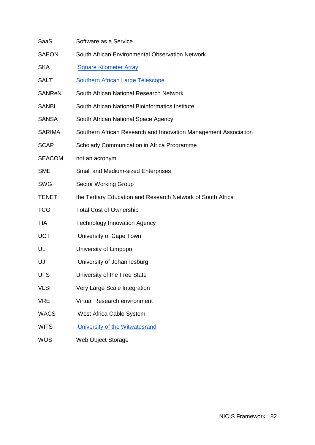| SaaS          | Software as a Service                                           |
|---------------|-----------------------------------------------------------------|
| <b>SAEON</b>  | South African Environmental Observation Network                 |
| <b>SKA</b>    | <b>Square Kilometer Array</b>                                   |
| <b>SALT</b>   | <b>Southern African Large Telescope</b>                         |
| <b>SANReN</b> | South African National Research Network                         |
| <b>SANBI</b>  | South African National Bioinformatics Institute                 |
| <b>SANSA</b>  | South African National Space Agency                             |
| <b>SARIMA</b> | Southern African Research and Innovation Management Association |
| <b>SCAP</b>   | Scholarly Communication in Africa Programme                     |
| <b>SEACOM</b> | not an acronym                                                  |
| <b>SME</b>    | Small and Medium-sized Enterprises                              |
| <b>SWG</b>    | <b>Sector Working Group</b>                                     |
| <b>TENET</b>  | the Tertiary Education and Research Network of South Africa     |
| <b>TCO</b>    | <b>Total Cost of Ownership</b>                                  |
| <b>TIA</b>    | <b>Technology Innovation Agency</b>                             |
| <b>UCT</b>    | University of Cape Town                                         |
| UL            | University of Limpopo                                           |
| UJ            | University of Johannesburg                                      |
| <b>UFS</b>    | University of the Free State                                    |
| <b>VLSI</b>   | Very Large Scale Integration                                    |
| <b>VRE</b>    | Virtual Research environment                                    |
| <b>WACS</b>   | West Africa Cable System                                        |
| <b>WITS</b>   | University of the Witwatesrand                                  |
| <b>WOS</b>    | Web Object Storage                                              |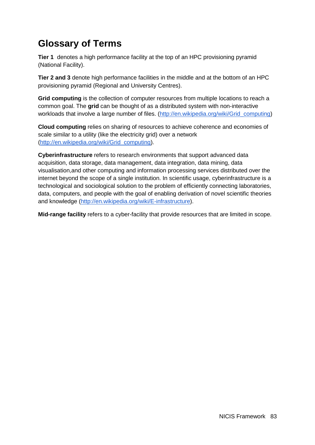# **Glossary of Terms**

**Tier 1** denotes a high performance facility at the top of an HPC provisioning pyramid (National Facility).

**Tier 2 and 3** denote high performance facilities in the middle and at the bottom of an HPC provisioning pyramid (Regional and University Centres).

**Grid computing** is the collection of computer resources from multiple locations to reach a common goal. The **grid** can be thought of as a distributed system with non-interactive workloads that involve a large number of files. [\(http://en.wikipedia.org/wiki/Grid\\_computing\)](http://en.wikipedia.org/wiki/Grid_computing)

**Cloud computing** relies on sharing of resources to achieve coherence and economies of scale similar to [a](http://www.google.com/url?q=http%3A%2F%2Fen.wikipedia.org%2Fwiki%2FUtility_computing&sa=D&sntz=1&usg=AFQjCNG5F-gEJR4X_ldM8_GgC5ZzivhX6g) utility (like the electricity grid) over a network [\(http://en.wikipedia.org/wiki/Grid\\_computing\)](http://en.wikipedia.org/wiki/Grid_computing).

**Cyberinfrastructure** refers to research environments that support advanced data [acquisition,](http://www.google.com/url?q=http%3A%2F%2Fen.wikipedia.org%2Fwiki%2FData_acquisition&sa=D&sntz=1&usg=AFQjCNE5lf-qFZOhFnVTslpHZ8Gvaw73yg) data storage, data management, data integration, data mining, data visualisation,and other computing and information processing services distributed over the internet beyond the scope of a single institution. In scientific usage, cyberinfrastructure is a technological and sociological solution to the problem of efficiently connecting laboratories, data, computers, and people with the goal of enabling derivation of novel scientific theories and knowledge [\(http://en.wikipedia.org/wiki/E-infrastructure\)](http://en.wikipedia.org/wiki/E-infrastructure).

**Mid-range facility** refers to a cyber-facility that provide resources that are limited in scope.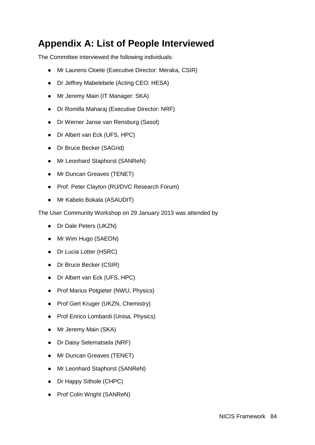# **Appendix A: List of People Interviewed**

The Committee interviewed the following individuals:

- Mr Laurens Cloete (Executive Director: Meraka, CSIR)
- Dr Jeffrey Mabelebele (Acting CEO: HESA)
- Mr Jeremy Main (IT Manager: SKA)
- Dr Romilla Maharaj (Executive Director: NRF)
- Dr Werner Janse van Rensburg (Sasol)
- Dr Albert van Eck (UFS, HPC)
- Dr Bruce Becker (SAGrid)
- Mr Leonhard Staphorst (SANReN)
- Mr Duncan Greaves (TENET)
- Prof. Peter Clayton (RU/DVC Research Forum)
- Mr Kabelo Bokala (ASAUDIT)

The User Community Workshop on 29 January 2013 was attended by

- Dr Dale Peters (UKZN)
- Mr Wim Hugo (SAEON)
- Dr Lucia Lotter (HSRC)
- Dr Bruce Becker (CSIR)
- Dr Albert van Eck (UFS, HPC)
- Prof Marius Potgieter (NWU, Physics)
- Prof Gert Kruger (UKZN, Chemistry)
- Prof Enrico Lombardi (Unisa, Physics)
- Mr Jeremy Main (SKA)
- Dr Daisy Selematsela (NRF)
- Mr Duncan Greaves (TENET)
- Mr Leonhard Staphorst (SANReN)
- Dr Happy Sithole (CHPC)
- Prof Colin Wright (SANReN)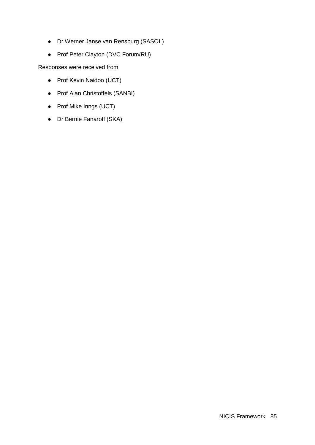- Dr Werner Janse van Rensburg (SASOL)
- Prof Peter Clayton (DVC Forum/RU)

Responses were received from

- Prof Kevin Naidoo (UCT)
- Prof Alan Christoffels (SANBI)
- Prof Mike Inngs (UCT)
- Dr Bernie Fanaroff (SKA)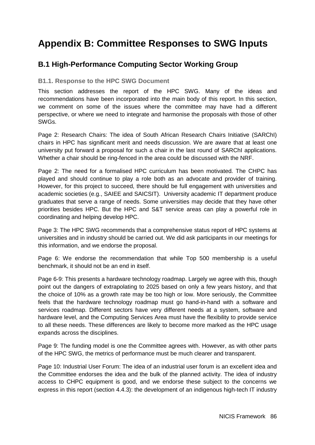# **Appendix B: Committee Responses to SWG Inputs**

## **B.1 High-Performance Computing Sector Working Group**

#### **B1.1. Response to the HPC SWG Document**

This section addresses the report of the HPC SWG. Many of the ideas and recommendations have been incorporated into the main body of this report. In this section, we comment on some of the issues where the committee may have had a different perspective, or where we need to integrate and harmonise the proposals with those of other SWGs.

Page 2: Research Chairs: The idea of South African Research Chairs Initiative (SARChI) chairs in HPC has significant merit and needs discussion. We are aware that at least one university put forward a proposal for such a chair in the last round of SARChI applications. Whether a chair should be ring-fenced in the area could be discussed with the NRF.

Page 2: The need for a formalised HPC curriculum has been motivated. The CHPC has played and should continue to play a role both as an advocate and provider of training. However, for this project to succeed, there should be full engagement with universities and academic societies (e.g., SAIEE and SAICSIT). University academic IT department produce graduates that serve a range of needs. Some universities may decide that they have other priorities besides HPC. But the HPC and S&T service areas can play a powerful role in coordinating and helping develop HPC.

Page 3: The HPC SWG recommends that a comprehensive status report of HPC systems at universities and in industry should be carried out. We did ask participants in our meetings for this information, and we endorse the proposal.

Page 6: We endorse the recommendation that while Top 500 membership is a useful benchmark, it should not be an end in itself.

Page 6-9: This presents a hardware technology roadmap. Largely we agree with this, though point out the dangers of extrapolating to 2025 based on only a few years history, and that the choice of 10% as a growth rate may be too high or low. More seriously, the Committee feels that the hardware technology roadmap must go hand-in-hand with a software and services roadmap. Different sectors have very different needs at a system, software and hardware level, and the Computing Services Area must have the flexibility to provide service to all these needs. These differences are likely to become more marked as the HPC usage expands across the disciplines.

Page 9: The funding model is one the Committee agrees with. However, as with other parts of the HPC SWG, the metrics of performance must be much clearer and transparent.

Page 10: Industrial User Forum: The idea of an industrial user forum is an excellent idea and the Committee endorses the idea and the bulk of the planned activity. The idea of industry access to CHPC equipment is good, and we endorse these subject to the concerns we express in this report (section 4.4.3): the development of an indigenous high-tech IT industry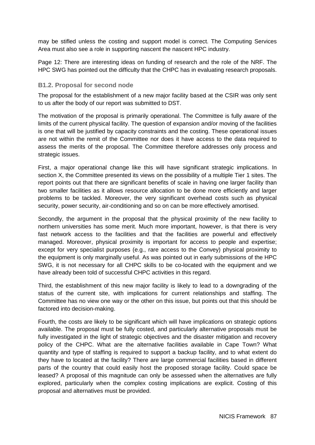may be stifled unless the costing and support model is correct. The Computing Services Area must also see a role in supporting nascent the nascent HPC industry.

Page 12: There are interesting ideas on funding of research and the role of the NRF. The HPC SWG has pointed out the difficulty that the CHPC has in evaluating research proposals.

#### **B1.2. Proposal for second node**

The proposal for the establishment of a new major facility based at the CSIR was only sent to us after the body of our report was submitted to DST.

The motivation of the proposal is primarily operational. The Committee is fully aware of the limits of the current physical facility. The question of expansion and/or moving of the facilities is one that will be justified by capacity constraints and the costing. These operational issues are not within the remit of the Committee nor does it have access to the data required to assess the merits of the proposal. The Committee therefore addresses only process and strategic issues.

First, a major operational change like this will have significant strategic implications. In section X, the Committee presented its views on the possibility of a multiple Tier 1 sites. The report points out that there are significant benefits of scale in having one larger facility than two smaller facilities as it allows resource allocation to be done more efficiently and larger problems to be tackled. Moreover, the very significant overhead costs such as physical security, power security, air-conditioning and so on can be more effectively amortised.

Secondly, the argument in the proposal that the physical proximity of the new facility to northern universities has some merit. Much more important, however, is that there is very fast network access to the facilities and that the facilities are powerful and effectively managed. Moreover, physical proximity is important for access to people and expertise; except for very specialist purposes (e.g., rare access to the Convey) physical proximity to the equipment is only marginally useful. As was pointed out in early submissions of the HPC SWG, it is not necessary for all CHPC skills to be co-located with the equipment and we have already been told of successful CHPC activities in this regard.

Third, the establishment of this new major facility is likely to lead to a downgrading of the status of the current site, with implications for current relationships and staffing. The Committee has no view one way or the other on this issue, but points out that this should be factored into decision-making.

Fourth, the costs are likely to be significant which will have implications on strategic options available. The proposal must be fully costed, and particularly alternative proposals must be fully investigated in the light of strategic objectives and the disaster mitigation and recovery policy of the CHPC. What are the alternative facilities available in Cape Town? What quantity and type of staffing is required to support a backup facility, and to what extent do they have to located at the facility? There are large commercial facilities based in different parts of the country that could easily host the proposed storage facility. Could space be leased? A proposal of this magnitude can only be assessed when the alternatives are fully explored, particularly when the complex costing implications are explicit. Costing of this proposal and alternatives must be provided.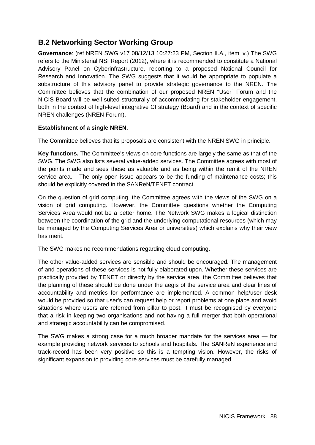## **B.2 Networking Sector Working Group**

**Governance**: (ref NREN SWG v17 08/12/13 10:27:23 PM, Section II.A., item iv.) The SWG refers to the Ministerial NSI Report (2012), where it is recommended to constitute a National Advisory Panel on Cyberinfrastructure, reporting to a proposed National Council for Research and Innovation. The SWG suggests that it would be appropriate to populate a substructure of this advisory panel to provide strategic governance to the NREN. The Committee believes that the combination of our proposed NREN "User" Forum and the NICIS Board will be well-suited structurally of accommodating for stakeholder engagement, both in the context of high-level integrative CI strategy (Board) and in the context of specific NREN challenges (NREN Forum).

#### **Establishment of a single NREN.**

The Committee believes that its proposals are consistent with the NREN SWG in principle.

**Key functions.** The Committee's views on core functions are largely the same as that of the SWG. The SWG also lists several value-added services. The Committee agrees with most of the points made and sees these as valuable and as being within the remit of the NREN service area. The only open issue appears to be the funding of maintenance costs; this should be explicitly covered in the SANReN/TENET contract.

On the question of grid computing, the Committee agrees with the views of the SWG on a vision of grid computing. However, the Committee questions whether the Computing Services Area would not be a better home. The Network SWG makes a logical distinction between the coordination of the grid and the underlying computational resources (which may be managed by the Computing Services Area or universities) which explains why their view has merit.

The SWG makes no recommendations regarding cloud computing.

The other value-added services are sensible and should be encouraged. The management of and operations of these services is not fully elaborated upon. Whether these services are practically provided by TENET or directly by the service area, the Committee believes that the planning of these should be done under the aegis of the service area and clear lines of accountability and metrics for performance are implemented. A common help/user desk would be provided so that user's can request help or report problems at one place and avoid situations where users are referred from pillar to post. It must be recognised by everyone that a risk in keeping two organisations and not having a full merger that both operational and strategic accountability can be compromised.

The SWG makes a strong case for a much broader mandate for the services area — for example providing network services to schools and hospitals. The SANReN experience and track-record has been very positive so this is a tempting vision. However, the risks of significant expansion to providing core services must be carefully managed.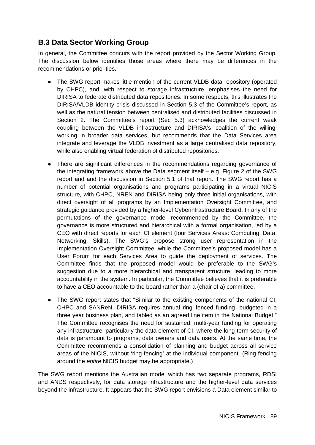## **B.3 Data Sector Working Group**

In general, the Committee concurs with the report provided by the Sector Working Group. The discussion below identifies those areas where there may be differences in the recommendations or priorities.

- The SWG report makes little mention of the current VLDB data repository (operated by CHPC), and, with respect to storage infrastructure, emphasises the need for DIRISA to federate distributed data repositories. In some respects, this illustrates the DIRISA/VLDB identity crisis discussed in Section 5.3 of the Committee's report, as well as the natural tension between centralised and distributed facilities discussed in Section 2. The Committee's report (Sec 5.3) acknowledges the current weak coupling between the VLDB infrastructure and DIRISA's 'coalition of the willing' working in broader data services, but recommends that the Data Services area integrate and leverage the VLDB investment as a large centralised data repository, while also enabling virtual federation of distributed repositories.
- There are significant differences in the recommendations regarding governance of the integrating framework above the Data segment itself – e.g. Figure 2 of the SWG report and and the discussion in Section 5.1 of that report. The SWG report has a number of potential organisations and programs participating in a virtual NICIS structure, with CHPC, NREN and DIRISA being only three initial organisations, with direct oversight of all programs by an Implementation Oversight Committee, and strategic guidance provided by a higher-level Cyberinfrastructure Board. In any of the permutations of the governance model recommended by the Committee, the governance is more structured and hierarchical with a formal organisation, led by a CEO with direct reports for each CI element (four Services Areas: Computing, Data, Networking, Skills). The SWG's propose strong user representation in the Implementation Oversight Committee, while the Committee's proposed model has a User Forum for each Services Area to guide the deployment of services. The Committee finds that the proposed model would be preferable to the SWG's suggestion due to a more hierarchical and transparent structure, leading to more accountability in the system. In particular, the Committee believes that it is preferable to have a CEO accountable to the board rather than a (chair of a) committee.
- The SWG report states that "Similar to the existing components of the national CI, CHPC and SANReN, DIRISA requires annual ring–fenced funding, budgeted in a three year business plan, and tabled as an agreed line item in the National Budget." The Committee recognises the need for sustained, multi-year funding for operating any infrastructure, particularly the data element of CI, where the long-term security of data is paramount to programs, data owners and data users. At the same time, the Committee recommends a consolidation of planning and budget across all service areas of the NICIS, without 'ring-fencing' at the individual component. (Ring-fencing around the *entire* NICIS budget may be appropriate.)

The SWG report mentions the Australian model which has two separate programs, RDSI and ANDS respectively, for data storage infrastructure and the higher-level data services beyond the infrastructure. It appears that the SWG report envisions a Data element similar to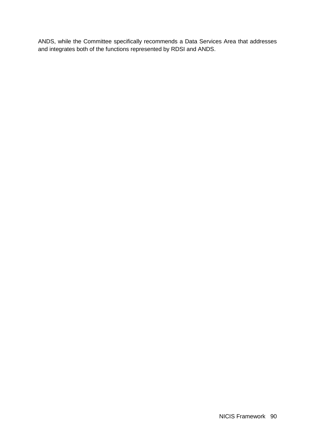ANDS, while the Committee specifically recommends a Data Services Area that addresses and integrates both of the functions represented by RDSI and ANDS.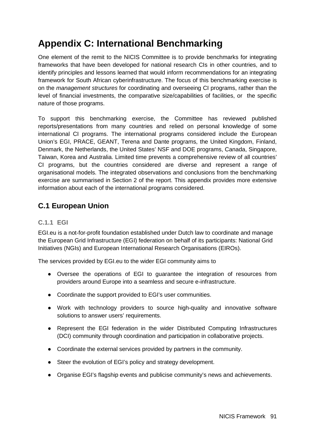# **Appendix C: International Benchmarking**

One element of the remit to the NICIS Committee is to provide benchmarks for integrating frameworks that have been developed for national research CIs in other countries, and to identify principles and lessons learned that would inform recommendations for an integrating framework for South African cyberinfrastructure. The focus of this benchmarking exercise is on the *management structures* for coordinating and overseeing CI programs, rather than the level of financial investments, the comparative size/capabilities of facilities, or the specific nature of those programs.

To support this benchmarking exercise, the Committee has reviewed published reports/presentations from many countries and relied on personal knowledge of some international CI programs. The international programs considered include the European Union's EGI, PRACE, GEANT, Terena and Dante programs, the United Kingdom, Finland, Denmark, the Netherlands, the United States' NSF and DOE programs, Canada, Singapore, Taiwan, Korea and Australia. Limited time prevents a comprehensive review of all countries' CI programs, but the countries considered are diverse and represent a range of organisational models. The integrated observations and conclusions from the benchmarking exercise are summarised in Section 2 of the report. This appendix provides more extensive information about each of the international programs considered.

## **C.1 European Union**

### **C.1.1 EGI**

EGI.eu is a not-for-profit foundation established under Dutch law to coordinate and manage the European Grid Infrastructure (EGI) federation on behalf of its participants: National Grid Initiatives (NGIs) and European International Research Organisations (EIROs).

The services provided by EGI.eu to the wider EGI community aims to

- Oversee the operations of EGI to guarantee the integration of resources from providers around Europe into a seamless and secure e-infrastructure.
- Coordinate the support provided to EGI's user communities.
- Work with technology providers to source high-quality and innovative software solutions to answer users' requirements.
- Represent the EGI federation in the wider Distributed Computing Infrastructures (DCI) community through coordination and participation in collaborative projects.
- Coordinate the external services provided by partners in the community.
- Steer the evolution of EGI's policy and strategy development.
- Organise EGI's flagship events and publicise community's news and achievements.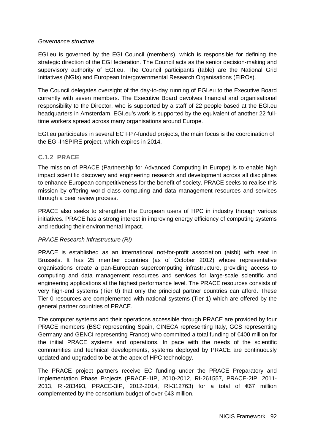#### *Governance structure*

EGI.eu is governed by the EGI Council (members), which is responsible for defining the strategic direction of the EGI federation. The Council acts as the senior decision-making and supervisory authority of EGI.eu. The Council participants (table) are the National Grid Initiatives (NGIs) and European Intergovernmental Research Organisations (EIROs).

The Council delegates oversight of the day-to-day running of EGI.eu to the Executive Board currently with seven members. The Executive Board devolves financial and organisational responsibility to the Director, who is supported by a staff of 22 people based at the EGI.eu headquarters in Amsterdam. EGI.eu's work is supported by the equivalent of another 22 fulltime workers spread across many organisations around Europe.

EGI.eu participates in several EC FP7-funded projects, the main focus is the coordination of the EGI-InSPIRE project, which expires in 2014.

#### **C.1.2 PRACE**

The mission of PRACE (Partnership for Advanced Computing in Europe) is to enable high impact scientific discovery and engineering research and development across all disciplines to enhance European competitiveness for the benefit of society. PRACE seeks to realise this mission by offering world class computing and data management resources and services through a peer review process.

PRACE also seeks to strengthen the European users of HPC in industry through various initiatives. PRACE has a strong interest in improving energy efficiency of computing systems and reducing their environmental impact.

#### *PRACE Research Infrastructure (RI)*

PRACE is established as an international not-for-profit association (aisbl) with seat in Brussels. It has 25 member countries (as of October 2012) whose representative organisations create a pan-European supercomputing infrastructure, providing access to computing and data management resources and services for large-scale scientific and engineering applications at the highest performance level. The PRACE resources consists of very high-end systems (Tier 0) that only the principal partner countries can afford. These Tier 0 resources are complemented with national systems (Tier 1) which are offered by the general partner countries of PRACE.

The computer systems and their operations accessible through PRACE are provided by four PRACE members (BSC representing Spain, CINECA representing Italy, GCS representing Germany and GENCI representing France) who committed a total funding of €400 million for the initial PRACE systems and operations. In pace with the needs of the scientific communities and technical developments, systems deployed by PRACE are continuously updated and upgraded to be at the apex of HPC technology.

The PRACE project partners receive EC funding under the PRACE Preparatory and Implementation Phase Projects (PRACE-1IP, 2010-2012, RI-261557, PRACE-2IP, 2011- 2013, RI-283493, PRACE-3IP, 2012-2014, RI-312763) for a total of €67 million complemented by the consortium budget of over €43 million.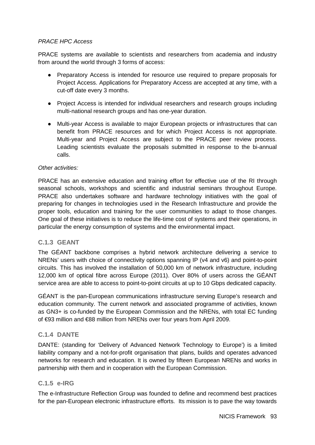#### *PRACE HPC Access*

PRACE systems are available to scientists and researchers from academia and industry from around the world through 3 forms of access:

- Preparatory Access is intended for resource use required to prepare proposals for Project Access. Applications for Preparatory Access are accepted at any time, with a cut-off date every 3 months.
- Project Access is intended for individual researchers and research groups including multi-national research groups and has one-year duration.
- Multi-year Access is available to major European projects or infrastructures that can benefit from PRACE resources and for which Project Access is not appropriate. Multi-year and Project Access are subject to the PRACE peer review process. Leading scientists evaluate the proposals submitted in response to the bi-annual calls.

#### *Other activities:*

PRACE has an extensive education and training effort for effective use of the RI through seasonal schools, workshops and scientific and industrial seminars throughout Europe. PRACE also undertakes software and hardware technology initiatives with the goal of preparing for changes in technologies used in the Research Infrastructure and provide the proper tools, education and training for the user communities to adapt to those changes. One goal of these initiatives is to reduce the life-time cost of systems and their operations, in particular the energy consumption of systems and the environmental impact.

#### **C.1.3 GEANT**

The GÉANT backbone comprises a hybrid network architecture delivering a service to NRENs' users with choice of connectivity options spanning IP (v4 and v6) and point-to-point circuits. This has involved the installation of 50,000 km of network infrastructure, including 12,000 km of optical fibre across Europe (2011). Over 80% of users across the GÉANT service area are able to access to point-to-point circuits at up to 10 Gbps dedicated capacity.

GÉANT is the pan-European communications infrastructure serving Europe's research and education community. The current network and associated programme of activities, known as GN3+ is co-funded by the European Commission and the NRENs, with total EC funding of €93 million and €88 million from NRENs over four years from April 2009.

#### **C.1.4 DANTE**

DANTE: (standing for 'Delivery of Advanced Network Technology to Europe') is a limited liability company and a not-for-profit organisation that plans, builds and operates advanced networks for research and education. It is owned by fifteen European NRENs and works in partnership with them and in cooperation with the European Commission.

#### **C.1.5 e-IRG**

The e-Infrastructure Reflection Group was founded to define and recommend best practices for the pan-European electronic infrastructure efforts. Its mission is to pave the way towards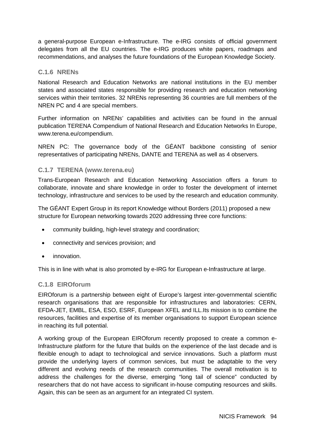a general-purpose European e-Infrastructure. The e-IRG consists of official government delegates from all the EU countries. The e-IRG produces white papers, roadmaps and recommendations, and analyses the future foundations of the European Knowledge Society.

#### **C.1.6 NRENs**

National Research and Education Networks are national institutions in the EU member states and associated states responsible for providing research and education networking services within their territories. 32 NRENs representing 36 countries are full members of the NREN PC and 4 are special members.

Further information on NRENs' capabilities and activities can be found in the annual publication TERENA Compendium of National Research and Education Networks In Europe, www.terena.eu/compendium.

NREN PC: The governance body of the GÉANT backbone consisting of senior representatives of participating NRENs, DANTE and TERENA as well as 4 observers.

#### **C.1.7 TERENA (www.terena.eu)**

Trans-European Research and Education Networking Association offers a forum to collaborate, innovate and share knowledge in order to foster the development of internet technology, infrastructure and services to be used by the research and education community.

The GÉANT Expert Group in its report Knowledge without Borders (2011) proposed a new structure for European networking towards 2020 addressing three core functions:

- community building, high-level strategy and coordination;
- connectivity and services provision; and
- innovation.

This is in line with what is also promoted by e-IRG for European e-Infrastructure at large.

#### **C.1.8 EIROforum**

EIROforum is a partnership between eight of Europe's largest inter-governmental scientific research organisations that are responsible for infrastructures and laboratories: CERN, EFDA-JET, EMBL, ESA, ESO, ESRF, European XFEL and ILL.Its mission is to combine the resources, facilities and expertise of its member organisations to support European science in reaching its full potential.

A working group of the European EIROforum recently proposed to create a common e-Infrastructure platform for the future that builds on the experience of the last decade and is flexible enough to adapt to technological and service innovations. Such a platform must provide the underlying layers of common services, but must be adaptable to the very different and evolving needs of the research communities. The overall motivation is to address the challenges for the diverse, emerging "long tail of science" conducted by researchers that do not have access to significant in-house computing resources and skills. Again, this can be seen as an argument for an integrated CI system.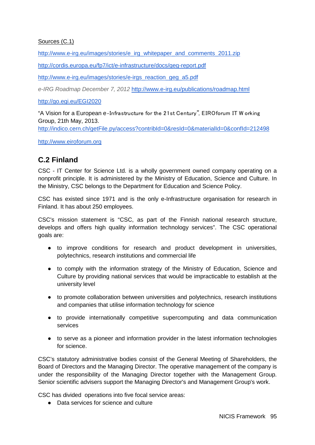#### Sources (C.1)

[http://www.e-irg.eu/images/stories/e\\_irg\\_whitepaper\\_and\\_comments\\_2011.zip](http://www.e-irg.eu/images/stories/e_irg_whitepaper_and_comments_2011.zip)

<http://cordis.europa.eu/fp7/ict/e-infrastructure/docs/geg-report.pdf>

[http://www.e-irg.eu/images/stories/e-irgs\\_reaction\\_geg\\_a5.pdf](http://www.e-irg.eu/images/stories/e-irgs_reaction_geg_a5.pdf)

*e-IRG Roadmap December 7, 2012* <http://www.e-irg.eu/publications/roadmap.html>

<http://go.egi.eu/EGI2020>

"A Vision for a European e‐Infrastructure for the 21st Century", EIROforum IT W orking Group, 21th May, 2013.

<http://indico.cern.ch/getFile.py/access?contribId=0&resId=0&materialId=0&confId=212498>

[http://www.eiroforum.org](http://www.eiroforum.org/)

## **C.2 Finland**

CSC - IT Center for Science Ltd. is a wholly government owned company operating on a nonprofit principle. It is administered by the Ministry of Education, Science and Culture. In the Ministry, CSC belongs to the Department for Education and Science Policy.

CSC has existed since 1971 and is the only e-Infrastructure organisation for research in Finland. It has about 250 employees.

CSC's mission statement is "CSC, as part of the Finnish national research structure, develops and offers high quality information technology services". The CSC operational goals are:

- to improve conditions for research and product development in universities, polytechnics, research institutions and commercial life
- to comply with the information strategy of the Ministry of Education, Science and Culture by providing national services that would be impracticable to establish at the university level
- to promote collaboration between universities and polytechnics, research institutions and companies that utilise information technology for science
- to provide internationally competitive supercomputing and data communication services
- to serve as a pioneer and information provider in the latest information technologies for science.

CSC's statutory administrative bodies consist of the General Meeting of Shareholders, the Board of Directors and the Managing Director. The operative management of the company is under the responsibility of the Managing Director together with the Management Group. Senior scientific advisers support the Managing Director's and Management Group's work.

CSC has divided operations into five focal service areas:

● Data services for science and culture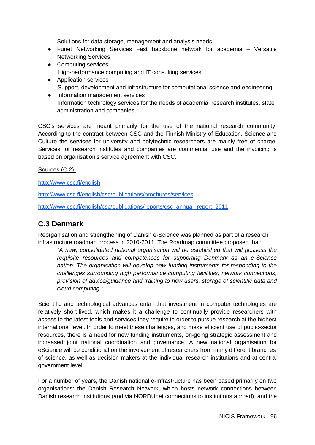Solutions for data storage, management and analysis needs

- Funet Networking Services Fast backbone network for academia Versatile Networking Services
- Computing services High-performance computing and IT consulting services
- Application services Support, development and infrastructure for computational science and engineering.
- Information management services Information technology services for the needs of academia, research institutes, state administration and companies.

CSC's services are meant primarily for the use of the national research community. According to the contract between CSC and the Finnish Ministry of Education, Science and Culture the services for university and polytechnic researchers are mainly free of charge. Services for research institutes and companies are commercial use and the invoicing is based on organisation's service agreement with CSC.

#### Sources (C.2):

<http://www.csc.fi/english>

<http://www.csc.fi/english/csc/publications/brochures/services>

[http://www.csc.fi/english/csc/publications/reports/csc\\_annual\\_report\\_2011](http://www.csc.fi/english/csc/publications/reports/csc_annual_report_2011)

### **C.3 Denmark**

Reorganisation and strengthening of Danish e-Science was planned as part of a research infrastructure roadmap process in 2010-2011. The Roadmap committee proposed that:

*"A new, consolidated national organisation will be established that will possess the requisite resources and competences for supporting Denmark as an e-Science nation. The organisation will develop new funding instruments for responding to the challenges surrounding high performance computing facilities, network connections, provision of advice/guidance and training to new users, storage of scientific data and cloud computing."*

Scientific and technological advances entail that investment in computer technologies are relatively short-lived, which makes it a challenge to continually provide researchers with access to the latest tools and services they require in order to pursue research at the highest international level. In order to meet these challenges, and make efficient use of public-sector resources, there is a need for new funding instruments, on-going strategic assessment and increased joint national coordination and governance. A new national organisation for eScience will be conditional on the involvement of researchers from many different branches of science, as well as decision-makers at the individual research institutions and at central government level.

For a number of years, the Danish national e-Infrastructure has been based primarily on two organisations: the Danish Research Network, which hosts network connections between Danish research institutions (and via NORDUnet connections to institutions abroad), and the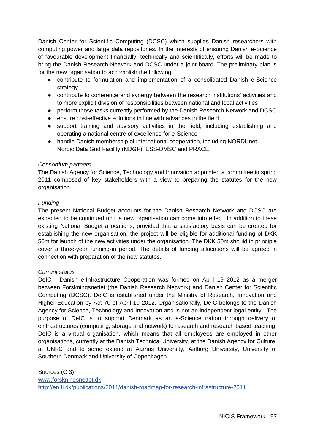Danish Center for Scientific Computing (DCSC) which supplies Danish researchers with computing power and large data repositories. In the interests of ensuring Danish e-Science of favourable development financially, technically and scientifically, efforts will be made to bring the Danish Research Network and DCSC under a joint board. The preliminary plan is for the new organisation to accomplish the following:

- contribute to formulation and implementation of a consolidated Danish e-Science strategy
- contribute to coherence and synergy between the research institutions' activities and to more explicit division of responsibilities between national and local activities
- perform those tasks currently performed by the Danish Research Network and DCSC
- ensure cost-effective solutions in line with advances in the field
- support training and advisory activities in the field, including establishing and operating a national centre of excellence for e-Science
- handle Danish membership of international cooperation, including NORDUnet, Nordic Data Grid Facility (NDGF), ESS-DMSC and PRACE.

#### *Consortium partners*

The Danish Agency for Science, Technology and Innovation appointed a committee in spring 2011 composed of key stakeholders with a view to preparing the statutes for the new organisation.

#### *Funding*

The present National Budget accounts for the Danish Research Network and DCSC are expected to be continued until a new organisation can come into effect. In addition to these existing National Budget allocations, provided that a satisfactory basis can be created for establishing the new organisation, the project will be eligible for additional funding of DKK 50m for launch of the new activities under the organisation. The DKK 50m should in principle cover a three-year running-in period. The details of funding allocations will be agreed in connection with preparation of the new statutes.

#### *Current status*

DeIC - Danish e-Infrastructure Cooperation was formed on April 19 2012 as a merger between Forskningsnettet (the Danish Research Network) and Danish Center for Scientific Computing (DCSC). DeIC is established under the Ministry of Research, Innovation and Higher Education by Act 70 of April 19 2012. Organisationally, DeIC belongs to the Danish Agency for Science, Technology and Innovation and is not an independent legal entity. The purpose of DeIC is to support Denmark as an e-Science nation through delivery of einfrastructures (computing, storage and network) to research and research based teaching. DeIC is a virtual organisation, which means that all employees are employed in other organisations, currently at the Danish Technical University, at the Danish Agency for Culture, at UNI-C and to some extend at Aarhus University, Aalborg University, University of Southern Denmark and University of Copenhagen.

Sources (C.3): [www.forskningsnettet.dk](http://www.forskningsnettet.dk/) <http://en.fi.dk/publications/2011/danish-roadmap-for-research-infrastructure-2011>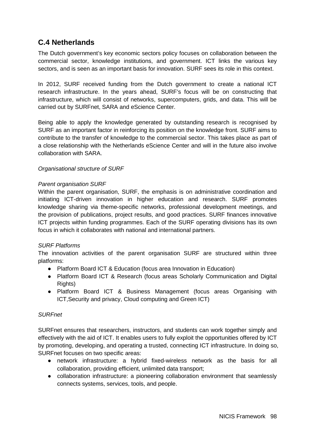## **C.4 Netherlands**

The Dutch government's key economic sectors policy focuses on collaboration between the commercial sector, knowledge institutions, and government. ICT links the various key sectors, and is seen as an important basis for innovation. SURF sees its role in this context.

In 2012, SURF received funding from the Dutch government to create a national ICT research infrastructure. In the years ahead, SURF's focus will be on constructing that infrastructure, which will consist of networks, supercomputers, grids, and data. This will be carried out by SURFnet, SARA and eScience Center.

Being able to apply the knowledge generated by outstanding research is recognised by SURF as an important factor in reinforcing its position on the knowledge front. SURF aims to contribute to the transfer of knowledge to the commercial sector. This takes place as part of a close relationship with the Netherlands eScience Center and will in the future also involve collaboration with SARA.

#### *Organisational structure of SURF*

#### *Parent organisation SURF*

Within the parent organisation, SURF, the emphasis is on administrative coordination and initiating ICT-driven innovation in higher education and research. SURF promotes knowledge sharing via theme-specific networks, professional development meetings, and the provision of publications, project results, and good practices. SURF finances innovative ICT projects within funding programmes. Each of the SURF operating divisions has its own focus in which it collaborates with national and international partners.

#### *SURF Platforms*

The innovation activities of the parent organisation SURF are structured within three platforms:

- Platform Board ICT & Education (focus area Innovation in Education)
- Platform Board ICT & Research (focus areas Scholarly Communication and Digital Rights)
- Platform Board ICT & Business Management (focus areas Organising with ICT,Security and privacy, Cloud computing and Green ICT)

#### *SURFnet*

SURFnet ensures that researchers, instructors, and students can work together simply and effectively with the aid of ICT. It enables users to fully exploit the opportunities offered by ICT by promoting, developing, and operating a trusted, connecting ICT infrastructure. In doing so, SURFnet focuses on two specific areas:

- network infrastructure: a hybrid fixed-wireless network as the basis for all collaboration, providing efficient, unlimited data transport;
- collaboration infrastructure: a pioneering collaboration environment that seamlessly connects systems, services, tools, and people.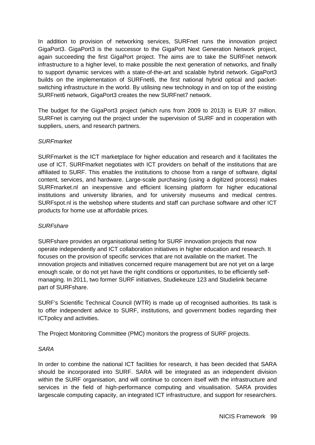In addition to provision of networking services, SURFnet runs the innovation project GigaPort3. GigaPort3 is the successor to the GigaPort Next Generation Network project, again succeeding the first GigaPort project. The aims are to take the SURFnet network infrastructure to a higher level, to make possible the next generation of networks, and finally to support dynamic services with a state-of-the-art and scalable hybrid network. GigaPort3 builds on the implementation of SURFnet6, the first national hybrid optical and packetswitching infrastructure in the world. By utilising new technology in and on top of the existing SURFnet6 network, GigaPort3 creates the new SURFnet7 network.

The budget for the GigaPort3 project (which runs from 2009 to 2013) is EUR 37 million. SURFnet is carrying out the project under the supervision of SURF and in cooperation with suppliers, users, and research partners.

#### *SURFmarket*

SURFmarket is the ICT marketplace for higher education and research and it facilitates the use of ICT. SURFmarket negotiates with ICT providers on behalf of the institutions that are affiliated to SURF. This enables the institutions to choose from a range of software, digital content, services, and hardware. Large-scale purchasing (using a digitized process) makes SURFmarket.nl an inexpensive and efficient licensing platform for higher educational institutions and university libraries, and for university museums and medical centres. SURFspot.nl is the webshop where students and staff can purchase software and other ICT products for home use at affordable prices.

#### *SURFshare*

SURFshare provides an organisational setting for SURF innovation projects that now operate independently and ICT collaboration initiatives in higher education and research. It focuses on the provision of specific services that are not available on the market. The innovation projects and initiatives concerned require management but are not yet on a large enough scale, or do not yet have the right conditions or opportunities, to be efficiently selfmanaging. In 2011, two former SURF initiatives, Studiekeuze 123 and Studielink became part of SURFshare.

SURF's Scientific Technical Council (WTR) is made up of recognised authorities. Its task is to offer independent advice to SURF, institutions, and government bodies regarding their ICTpolicy and activities.

The Project Monitoring Committee (PMC) monitors the progress of SURF projects.

#### *SARA*

In order to combine the national ICT facilities for research, it has been decided that SARA should be incorporated into SURF. SARA will be integrated as an independent division within the SURF organisation, and will continue to concern itself with the infrastructure and services in the field of high-performance computing and visualisation. SARA provides largescale computing capacity, an integrated ICT infrastructure, and support for researchers.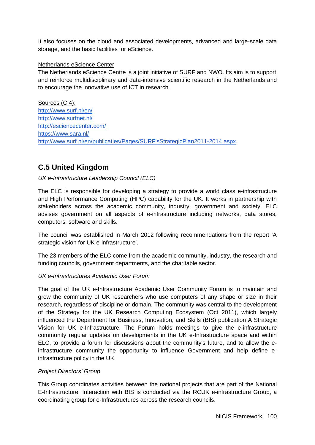It also focuses on the cloud and associated developments, advanced and large-scale data storage, and the basic facilities for eScience.

#### Netherlands eScience Center

The Netherlands eScience Centre is a joint initiative of SURF and NWO. Its aim is to support and reinforce multidisciplinary and data-intensive scientific research in the Netherlands and to encourage the innovative use of ICT in research.

Sources (C.4): <http://www.surf.nl/en/> <http://www.surfnet.nl/> <http://esciencecenter.com/> <https://www.sara.nl/> [http://www.surf.nl/en/publicaties/Pages/SURF'sStrategicPlan2011-2014.aspx](http://www.surf.nl/en/publicaties/Pages/SURF)

## **C.5 United Kingdom**

#### *UK e-Infrastructure Leadership Council (ELC)*

The ELC is responsible for developing a strategy to provide a world class e-infrastructure and High Performance Computing (HPC) capability for the UK. It works in partnership with stakeholders across the academic community, industry, government and society. ELC advises government on all aspects of e-infrastructure including networks, data stores, computers, software and skills.

The council was established in March 2012 following recommendations from the report 'A strategic vision for UK e-infrastructure'.

The 23 members of the ELC come from the academic community, industry, the research and funding councils, government departments, and the charitable sector.

#### *UK e-Infrastructures Academic User Forum*

The goal of the UK e-Infrastructure Academic User Community Forum is to maintain and grow the community of UK researchers who use computers of any shape or size in their research, regardless of discipline or domain. The community was central to the development of the Strategy for the UK Research Computing Ecosystem (Oct 2011), which largely influenced the Department for Business, Innovation, and Skills (BIS) publication A Strategic Vision for UK e-Infrastructure. The Forum holds meetings to give the e-infrastructure community regular updates on developments in the UK e-Infrastructure space and within ELC, to provide a forum for discussions about the community's future, and to allow the einfrastructure community the opportunity to influence Government and help define einfrastructure policy in the UK.

#### *Project Directors' Group*

This Group coordinates activities between the national projects that are part of the National E-Infrastructure. Interaction with BIS is conducted via the RCUK e-infrastructure Group, a coordinating group for e-Infrastructures across the research councils.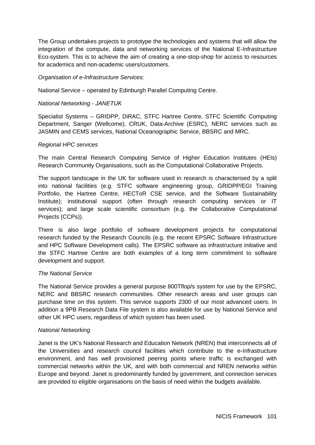The Group undertakes projects to prototype the technologies and systems that will allow the integration of the compute, data and networking services of the National E-Infrastructure Eco-system. This is to achieve the aim of creating a one-stop-shop for access to resources for academics and non-academic users/customers.

*Organisation of e-Infrastructure Services:*

National Service – operated by Edinburgh Parallel Computing Centre.

#### *National Networking - JANETUK*

Specialist Systems – GRIDPP, DiRAC, STFC Hartree Centre, STFC Scientific Computing Department, Sanger (Wellcome), CRUK, Data-Archive (ESRC), NERC services such as JASMIN and CEMS services, National Oceanographic Service, BBSRC and MRC.

#### *Regional HPC services*

The main Central Research Computing Service of Higher Education Institutes (HEIs) Research Community Organisations, such as the Computational Collaborative Projects.

The support landscape in the UK for software used in research is characterised by a split into national facilities (e.g. STFC software engineering group, GRIDPP/EGI Training Portfolio, the Hartree Centre, HECToR CSE service, and the Software Sustainability Institute); institutional support (often through research computing services or IT services); and large scale scientific consortium (e.g. the Collaborative Computational Projects (CCPs)).

There is also large portfolio of software development projects for computational research funded by the Research Councils (e.g. the recent EPSRC Software Infrastructure and HPC Software Development calls). The EPSRC software as infrastructure initiative and the STFC Hartree Centre are both examples of a long term commitment to software development and support.

#### *The National Service*

The National Service provides a general purpose 800Tflop/s system for use by the EPSRC, NERC and BBSRC research communities. Other research areas and user groups can purchase time on this system. This service supports 2300 of our most advanced users. In addition a 9PB Research Data File system is also available for use by National Service and other UK HPC users, regardless of which system has been used.

#### *National Networking*

Janet is the UK's National Research and Education Network (NREN) that interconnects all of the Universities and research council facilities which contribute to the e-Infrastructure environment, and has well provisioned peering points where traffic is exchanged with commercial networks within the UK, and with both commercial and NREN networks within Europe and beyond. Janet is predominantly funded by government, and connection services are provided to eligible organisations on the basis of need within the budgets available.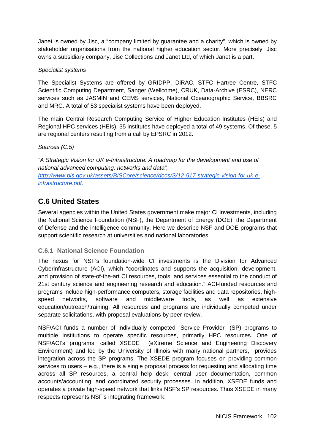Janet is owned by Jisc, a "company limited by guarantee and a charity", which is owned by stakeholder organisations from the national higher education sector. More precisely, Jisc owns a subsidiary company, Jisc Collections and Janet Ltd, of which Janet is a part.

#### *Specialist systems*

The Specialist Systems are offered by GRIDPP, DiRAC, STFC Hartree Centre, STFC Scientific Computing Department, Sanger (Wellcome), CRUK, Data-Archive (ESRC), NERC services such as JASMIN and CEMS services, National Oceanographic Service, BBSRC and MRC. A total of 53 specialist systems have been deployed.

The main Central Research Computing Service of Higher Education Institutes (HEIs) and Regional HPC services (HEIs). 35 institutes have deployed a total of 49 systems. Of these, 5 are regional centers resulting from a call by EPSRC in 2012.

#### *Sources (C.5)*

*"A Strategic Vision for UK e-Infrastructure: A roadmap for the development and use of national advanced computing, networks and data", [http://www.bis.gov.uk/assets/BISCore/science/docs/S/12-517-strategic-vision-for-uk-e](http://www.bis.gov.uk/assets/BISCore/science/docs/S/12-517-strategic-vision-for-uk-e-infrastructure.pdf)[infrastructure.pdf.](http://www.bis.gov.uk/assets/BISCore/science/docs/S/12-517-strategic-vision-for-uk-e-infrastructure.pdf)* 

## **C.6 United States**

Several agencies within the United States government make major CI investments, including the National Science Foundation (NSF), the Department of Energy (DOE), the Department of Defense and the intelligence community. Here we describe NSF and DOE programs that support scientific research at universities and national laboratories.

#### **C.6.1 National Science Foundation**

The nexus for NSF's foundation-wide CI investments is the Division for Advanced Cyberinfrastructure (ACI), which "coordinates and supports the acquisition, development, and provision of state-of-the-art CI resources, tools, and services essential to the conduct of 21st century science and engineering research and education." ACI-funded resources and programs include high-performance computers, storage facilities and data repositories, highspeed networks, software and middleware tools, as well as extensive education/outreach/training. All resources and programs are individually competed under separate solicitations, with proposal evaluations by peer review.

NSF/ACI funds a number of individually competed "Service Provider" (SP) programs to multiple institutions to operate specific resources, primarily HPC resources. One of NSF/ACI's programs, called XSEDE (eXtreme Science and Engineering Discovery Environment) and led by the University of Illinois with many national partners, provides integration across the SP programs. The XSEDE program focuses on providing common services to users – e.g., there is a single proposal process for requesting and allocating time across all SP resources, a central help desk, central user documentation, common accounts/accounting, and coordinated security processes. In addition, XSEDE funds and operates a private high-speed network that links NSF's SP resources. Thus XSEDE in many respects represents NSF's integrating framework.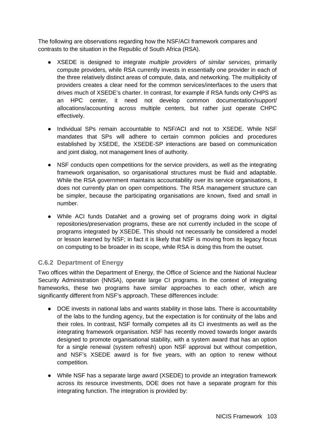The following are observations regarding how the NSF/ACI framework compares and contrasts to the situation in the Republic of South Africa (RSA).

- XSEDE is designed to integrate *multiple providers of similar services,* primarily compute providers, while RSA currently invests in essentially one provider in each of the three relatively distinct areas of compute, data, and networking. The multiplicity of providers creates a clear need for the common services/interfaces to the users that drives much of XSEDE's charter. In contrast, for example if RSA funds only CHPS as an HPC center, it need not develop common documentation/support/ allocations/accounting across multiple centers, but rather just operate CHPC effectively.
- Individual SPs remain accountable to NSF/ACI and not to XSEDE. While NSF mandates that SPs will adhere to certain common policies and procedures established by XSEDE, the XSEDE-SP interactions are based on communication and joint dialog, not management lines of authority.
- NSF conducts open competitions for the service providers, as well as the integrating framework organisation, so organisational structures must be fluid and adaptable. While the RSA government maintains accountability over its service organisations, it does not currently plan on open competitions. The RSA management structure can be simpler, because the participating organisations are known, fixed and small in number.
- While ACI funds DataNet and a growing set of programs doing work in digital repositories/preservation programs, these are not currently included in the scope of programs integrated by XSEDE. This should not necessarily be considered a model or lesson learned by NSF; in fact it is likely that NSF is moving from its legacy focus on computing to be broader in its scope, while RSA is doing this from the outset.

### **C.6.2 Department of Energy**

Two offices within the Department of Energy, the Office of Science and the National Nuclear Security Administration (NNSA), operate large CI programs. In the context of integrating frameworks, these two programs have similar approaches to each other, which are significantly different from NSF's approach. These differences include:

- DOE invests in national labs and wants stability in those labs. There is accountability of the labs to the funding agency, but the expectation is for continuity of the labs and their roles. In contrast, NSF formally competes all its CI investments as well as the integrating framework organisation. NSF has recently moved towards longer awards designed to promote organisational stability, with a system award that has an option for a single renewal (system refresh) upon NSF approval but without competition, and NSF's XSEDE award is for five years, with an option to renew without competition.
- While NSF has a separate large award (XSEDE) to provide an integration framework across its resource investments, DOE does not have a separate program for this integrating function. The integration is provided by: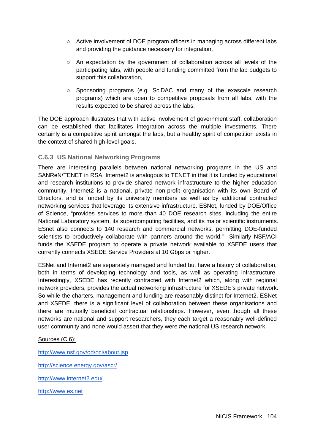- Active involvement of DOE program officers in managing across different labs and providing the guidance necessary for integration,
- An expectation by the government of collaboration across all levels of the participating labs, with people and funding committed from the lab budgets to support this collaboration,
- $\circ$  Sponsoring programs (e.g. SciDAC and many of the exascale research programs) which are open to competitive proposals from all labs, with the results expected to be shared across the labs.

The DOE approach illustrates that with active involvement of government staff, collaboration can be established that facilitates integration across the multiple investments. There certainly is a competitive spirit amongst the labs, but a healthy spirit of competition exists in the context of shared high-level goals.

#### **C.6.3 US National Networking Programs**

There are interesting parallels between national networking programs in the US and SANReN/TENET in RSA. Internet2 is analogous to TENET in that it is funded by educational and research institutions to provide shared network infrastructure to the higher education community. Internet2 is a national, private non-profit organisation with its own Board of Directors, and is funded by its university members as well as by additional contracted networking services that leverage its extensive infrastructure. ESNet, funded by DOE/Office of Science, "provides services to more than 40 DOE research sites, including the entire National Laboratory system, its supercomputing facilities, and its major scientific instruments. ESnet also connects to 140 research and commercial networks, permitting DOE-funded scientists to productively collaborate with partners around the world." Similarly NSF/ACI funds the XSEDE program to operate a private network available to XSEDE users that currently connects XSEDE Service Providers at 10 Gbps or higher.

ESNet and Internet2 are separately managed and funded but have a history of collaboration, both in terms of developing technology and tools, as well as operating infrastructure. Interestingly, XSEDE has recently contracted with Internet2 which, along with regional network providers, provides the actual networking infrastructure for XSEDE's private network. So while the charters, management and funding are reasonably distinct for Internet2, ESNet and XSEDE, there is a significant level of collaboration between these organisations and there are mutually beneficial contractual relationships. However, even though all these networks are national and support researchers, they each target a reasonably well-defined user community and none would assert that they were *the* national US research network.

#### Sources (C.6):

<http://www.nsf.gov/od/oci/about.jsp>

[http://science.energy.gov/ascr/](http://science.energy.gov/ascr/funding-opportunities/)

[http://www.internet2.edu/](http://www.esnet.org/)

[http://www.es.net](http://www.esnet.org/)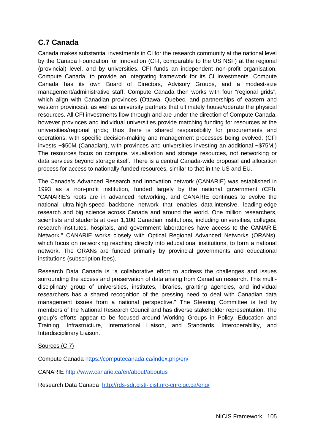## **C.7 Canada**

Canada makes substantial investments in CI for the research community at the national level by the Canada Foundation for Innovation (CFI, comparable to the US NSF) at the regional (provincial) level, and by universities. CFI funds an independent non-profit organisation, Compute Canada, to provide an integrating framework for its CI investments. Compute Canada has its own Board of Directors, Advisory Groups, and a modest-size management/administrative staff. Compute Canada then works with four "regional grids", which align with Canadian provinces (Ottawa, Quebec, and partnerships of eastern and western provinces), as well as university partners that ultimately house/operate the physical resources. All CFI investments flow through and are under the direction of Compute Canada, however provinces and individual universities provide matching funding for resources at the universities/regional grids; thus there is shared responsibility for procurements and operations, with specific decision-making and management processes being evolved. (CFI invests ~\$50M (Canadian), with provinces and universities investing an additional ~\$75M.) The resources focus on compute, visualisation and storage resources, not networking or data services beyond storage itself. There is a central Canada-wide proposal and allocation process for access to nationally-funded resources, similar to that in the US and EU.

The Canada's Advanced Research and Innovation network (CANARIE) was established in 1993 as a non-profit institution, funded largely by the national government (CFI). "CANARIE's roots are in advanced networking, and CANARIE continues to evolve the national ultra-high-speed backbone network that enables data-intensive, leading-edge research and big science across Canada and around the world. One million researchers, scientists and students at over 1,100 Canadian institutions, including universities, colleges, research institutes, hospitals, and government laboratories have access to the CANARIE Network." CANARIE works closely with Optical Regional Advanced Networks (ORANs), which focus on networking reaching directly into educational institutions, to form a national network. The ORANs are funded primarily by provincial governments and educational institutions (subscription fees).

Research Data Canada is "a collaborative effort to address the challenges and issues surrounding the access and preservation of data arising from Canadian research. This multidisciplinary group of universities, institutes, libraries, granting agencies, and individual researchers has a shared recognition of the pressing need to deal with Canadian data management issues from a national perspective." The Steering Committee is led by members of the National Research Council and has diverse stakeholder representation. The group's efforts appear to be focused around Working Groups in Policy, Education and Training, Infrastructure, International Liaison, and Standards, Interoperability, and Interdisciplinary Liaison.

#### Sources (C.7)

Compute Canada<https://computecanada.ca/index.php/en/>

CANARIE<http://www.canarie.ca/en/about/aboutus>

Research Data Canada <http://rds-sdr.cisti-icist.nrc-cnrc.gc.ca/eng/>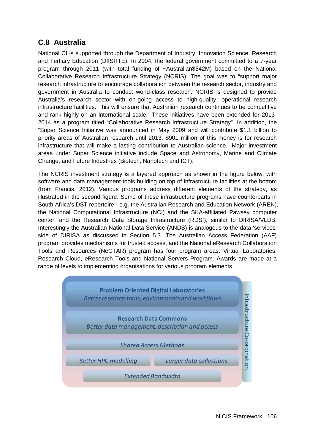## **C.8 Australia**

National CI is supported through the Department of Industry, Innovation Science, Research and Tertiary Education (DIISRTE). In 2004, the federal government committed to a 7-year program through 2011 (with total funding of ~Australian\$542M) based on the National Collaborative Research Infrastructure Strategy (NCRIS). The goal was to "support major research infrastructure to encourage collaboration between the research sector, industry and government in Australia to conduct world-class research. NCRIS is designed to provide Australia's research sector with on-going access to high-quality, operational research infrastructure facilities. This will ensure that Australian research continues to be competitive and rank highly on an international scale." These initiatives have been extended for 2013- 2014 as a program titled "Collaborative Research Infrastructure Strategy". In addition, the "Super Science Initiative was announced in May 2009 and will contribute \$1.1 billion to priority areas of Australian research until 2013. \$901 million of this money is for research infrastructure that will make a lasting contribution to Australian science." Major investment areas under Super Science initiative include Space and Astronomy, Marine and Climate Change, and Future Industries (Biotech, Nanotech and ICT).

The NCRIS investment strategy is a layered approach as shown in the figure below, with software and data management tools building on top of infrastructure facilities at the bottom (from Francis, 2012). Various programs address different elements of the strategy, as illustrated in the second figure. Some of these infrastructure programs have counterparts in South Africa's DST repertoire - e.g. the Australian Research and Education Network (AREN), the National Computational Infrastructure (NCI) and the SKA-affiliated Pawsey computer center, and the Research Data Storage Infrastructure (RDSI), similar to DIRISA/VLDB. Interestingly the Australian National Data Service (ANDS) is analogous to the data 'services' side of DIRISA as discussed in Section 5.3. The Australian Access Federation (AAF) program provides mechanisms for trusted access, and the National eResearch Collaboration Tools and Resources (NeCTAR) program has four program areas: Virtual Laboratories, Research Cloud, eResearch Tools and National Servers Program. Awards are made at a range of levels to implementing organisations for various program elements.

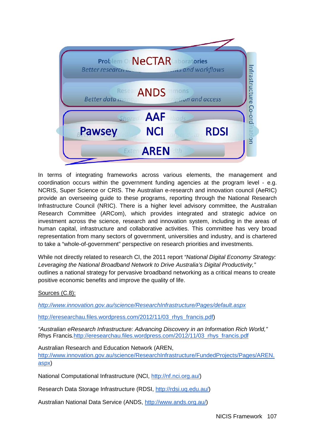

In terms of integrating frameworks across various elements, the management and coordination occurs within the government funding agencies at the program level - e.g. NCRIS, Super Science or CRIS. The Australian e-research and innovation council (AeRIC) provide an overseeing guide to these programs, reporting through the National Research Infrastructure Council (NRIC). There is a higher level advisory committee, the Australian Research Committee (ARCom), which provides integrated and strategic advice on investment across the science, research and innovation system, including in the areas of human capital, infrastructure and collaborative activities. This committee has very broad representation from many sectors of government, universities and industry, and is chartered to take a "whole-of-government" perspective on research priorities and investments.

While not directly related to research CI, the 2011 report *"National Digital Economy Strategy: Leveraging the National Broadband Network to Drive Australia's Digital Productivity,"* outlines a national strategy for pervasive broadband networking as a critical means to create positive economic benefits and improve the quality of life.

#### Sources (C.8):

*<http://www.innovation.gov.au/science/ResearchInfrastructure/Pages/default.aspx>*

[http://eresearchau.files.wordpress.com/2012/11/03\\_rhys\\_francis.pdf\)](http://eresearchau.files.wordpress.com/2012/11/03_rhys_francis.pdf)

*"Australian eResearch Infrastructure: Advancing Discovery in an Information Rich World,"*  Rhys Francis*.*[http://eresearchau.files.wordpress.com/2012/11/03\\_rhys\\_francis.pdf](http://eresearchau.files.wordpress.com/2012/11/03_rhys_francis.pdf)

Australian Research and Education Network (AREN,

[http://www.innovation.gov.au/science/ResearchInfrastructure/FundedProjects/Pages/AREN.](http://www.innovation.gov.au/science/ResearchInfrastructure/FundedProjects/Pages/AREN.aspx) [aspx\)](http://www.innovation.gov.au/science/ResearchInfrastructure/FundedProjects/Pages/AREN.aspx)

National Computational Infrastructure (NCI, [http://nf.nci.org.au/\)](http://nf.nci.org.au/)

Research Data Storage Infrastructure (RDSI, [http://rdsi.uq.edu.au/\)](http://rdsi.uq.edu.au/)

Australian National Data Service (ANDS, [http://www.ands.org.au/\)](http://www.ands.org.au/)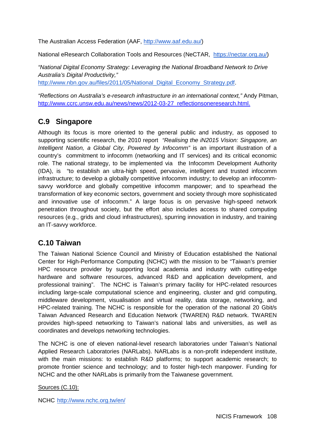The Australian Access Federation (AAF, [http://www.aaf.edu.au/\)](http://www.aaf.edu.au/)

National eResearch Collaboration Tools and Resources (NeCTAR, [https://nectar.org.au/\)](https://nectar.org.au/)

*"National Digital Economy Strategy: Leveraging the National Broadband Network to Drive Australia's Digital Productivity,"*  [http://www.nbn.gov.au/files/2011/05/National\\_Digital\\_Economy\\_Strategy.pdf.](http://www.nbn.gov.au/files/2011/05/National_Digital_Economy_Strategy.pdf)

*"Reflections on Australia's e-research infrastructure in an international context,"* Andy Pitman, [http://www.ccrc.unsw.edu.au/news/news/2012-03-27\\_reflectionsoneresearch.html.](http://www.ccrc.unsw.edu.au/news/news/2012-03-27_reflectionsoneresearch.html) 

## **C.9 Singapore**

Although its focus is more oriented to the general public and industry, as opposed to supporting scientific research, the 2010 report *"Realising the iN2015 Vision: Singapore, an Intelligent Nation, a Global City. Powered by Infocomm*" is an important illustration of a country's commitment to infocomm (networking and IT services) and its critical economic role. The national strategy, to be implemented via the Infocomm Development Authority (IDA), is "to establish an ultra-high speed, pervasive, intelligent and trusted infocomm infrastructure; to develop a globally competitive infocomm industry; to develop an infocommsavvy workforce and globally competitive infocomm manpower; and to spearhead the transformation of key economic sectors, government and society through more sophisticated and innovative use of infocomm." A large focus is on pervasive high-speed network penetration throughout society, but the effort also includes access to shared computing resources (e.g., grids and cloud infrastructures), spurring innovation in industry, and training an IT-savvy workforce.

## **C.10 Taiwan**

The Taiwan National Science Council and Ministry of Education established the National Center for High-Performance Computing (NCHC) with the mission to be "Taiwan's premier HPC resource provider by supporting local academia and industry with cutting-edge hardware and software resources, advanced R&D and application development, and professional training". The NCHC is Taiwan's primary facility for HPC-related resources including large-scale computational science and engineering, cluster and grid computing, middleware development, visualisation and virtual reality, data storage, networking, and HPC-related training. The NCHC is responsible for the operation of the national 20 Gbit/s Taiwan Advanced Research and Education Network (TWAREN) R&D network. TWAREN provides high-speed networking to Taiwan's national labs and universities, as well as coordinates and develops networking technologies.

The NCHC is one of eleven national-level research laboratories under Taiwan's National Applied Research Laboratories (NARLabs). NARLabs is a non-profit independent institute, with the main missions: to establish R&D platforms; to support academic research; to promote frontier science and technology; and to foster high-tech manpower. Funding for NCHC and the other NARLabs is primarily from the Taiwanese government.

Sources (C.10):

NCHC [http://www.nchc.org.tw/en/](http://www.nchc.org.tw/en/about/history.php)